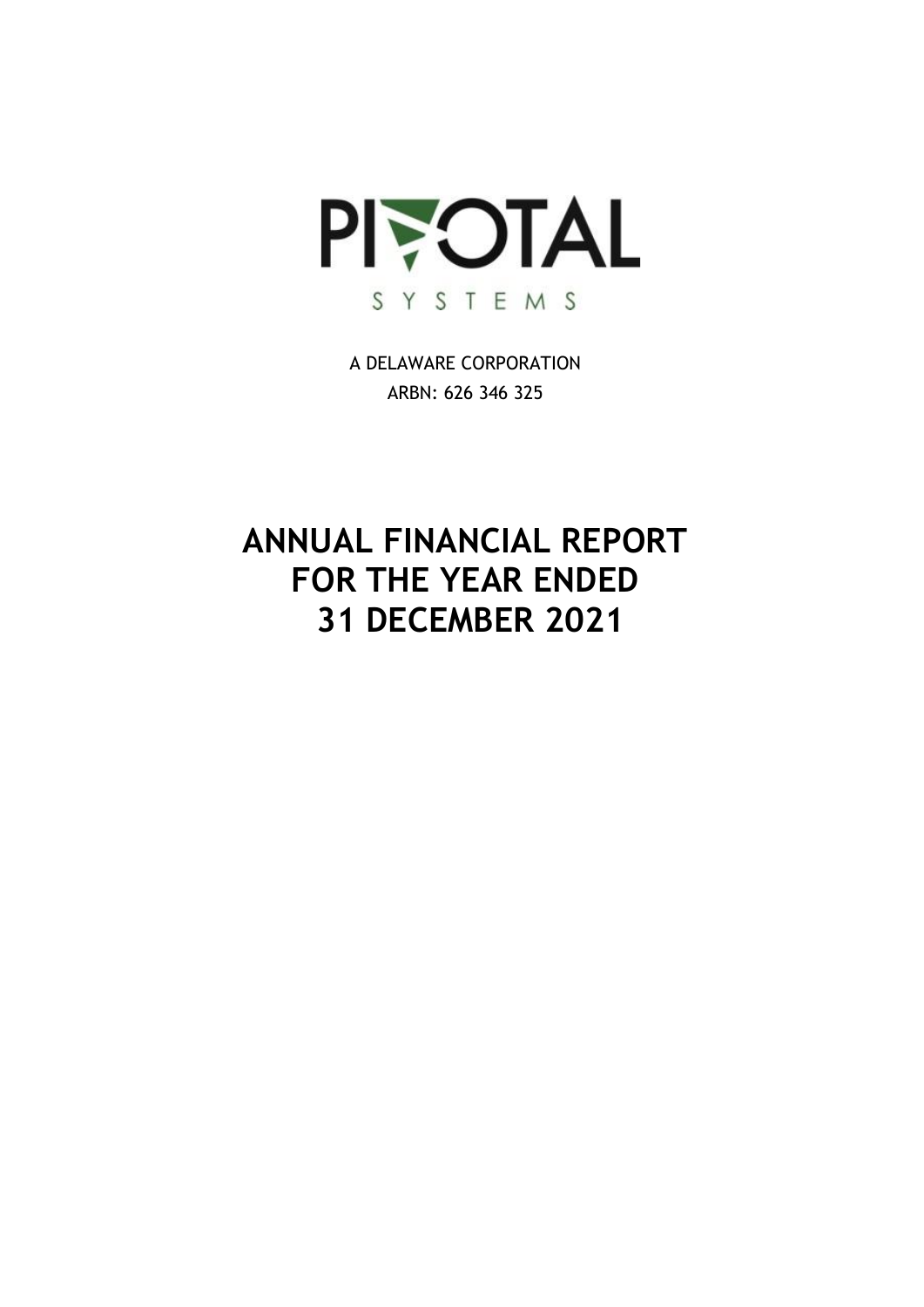

A DELAWARE CORPORATION ARBN: 626 346 325

# **ANNUAL FINANCIAL REPORT FOR THE YEAR ENDED 31 DECEMBER 2021**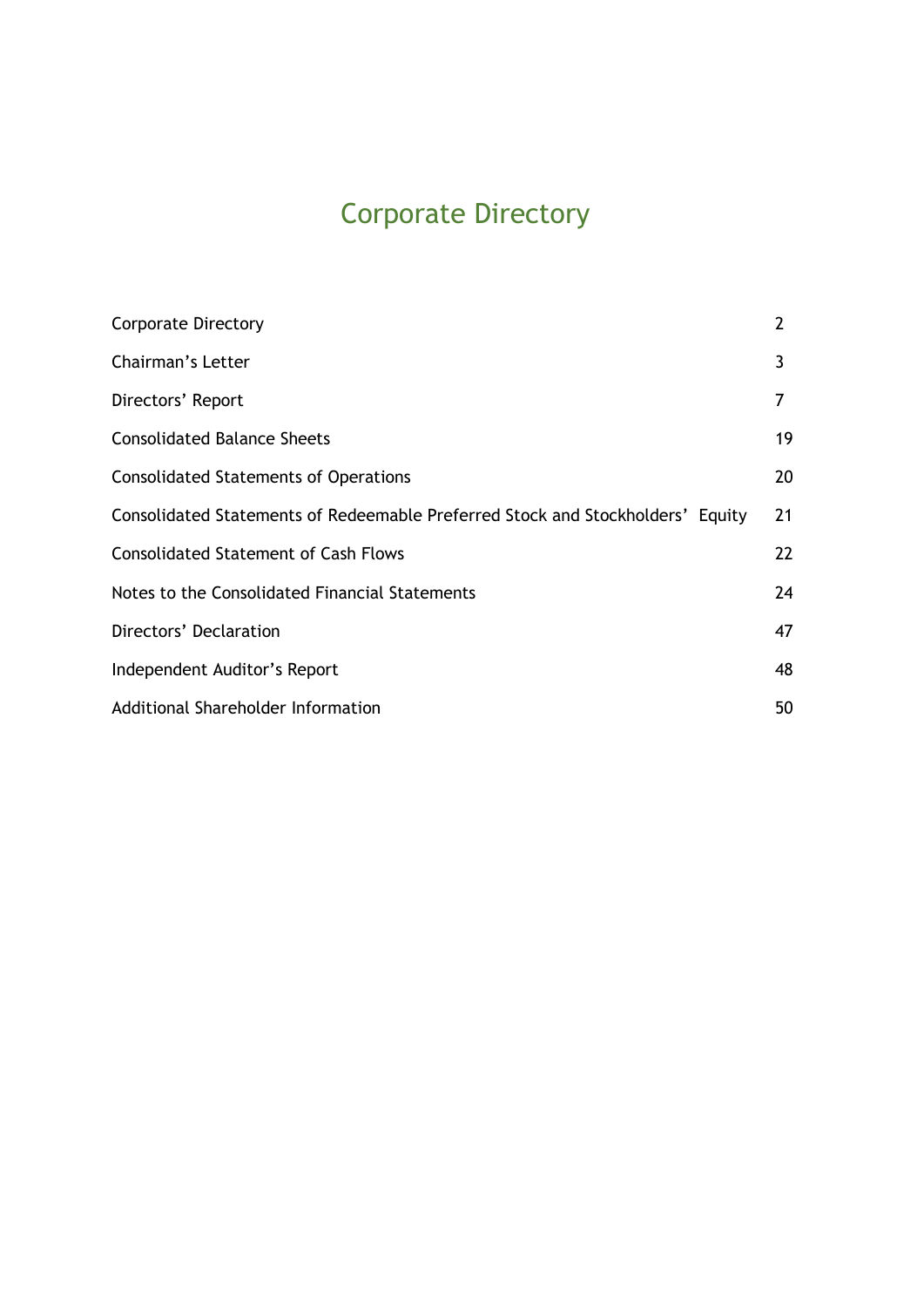# Corporate Directory

| <b>Corporate Directory</b>                                                     | $\overline{2}$ |
|--------------------------------------------------------------------------------|----------------|
| Chairman's Letter                                                              | 3              |
| Directors' Report                                                              |                |
| <b>Consolidated Balance Sheets</b>                                             | 19             |
| <b>Consolidated Statements of Operations</b>                                   | 20             |
| Consolidated Statements of Redeemable Preferred Stock and Stockholders' Equity | 21             |
| <b>Consolidated Statement of Cash Flows</b>                                    | 22             |
| Notes to the Consolidated Financial Statements                                 | 24             |
| Directors' Declaration                                                         | 47             |
| Independent Auditor's Report                                                   | 48             |
| Additional Shareholder Information                                             | 50             |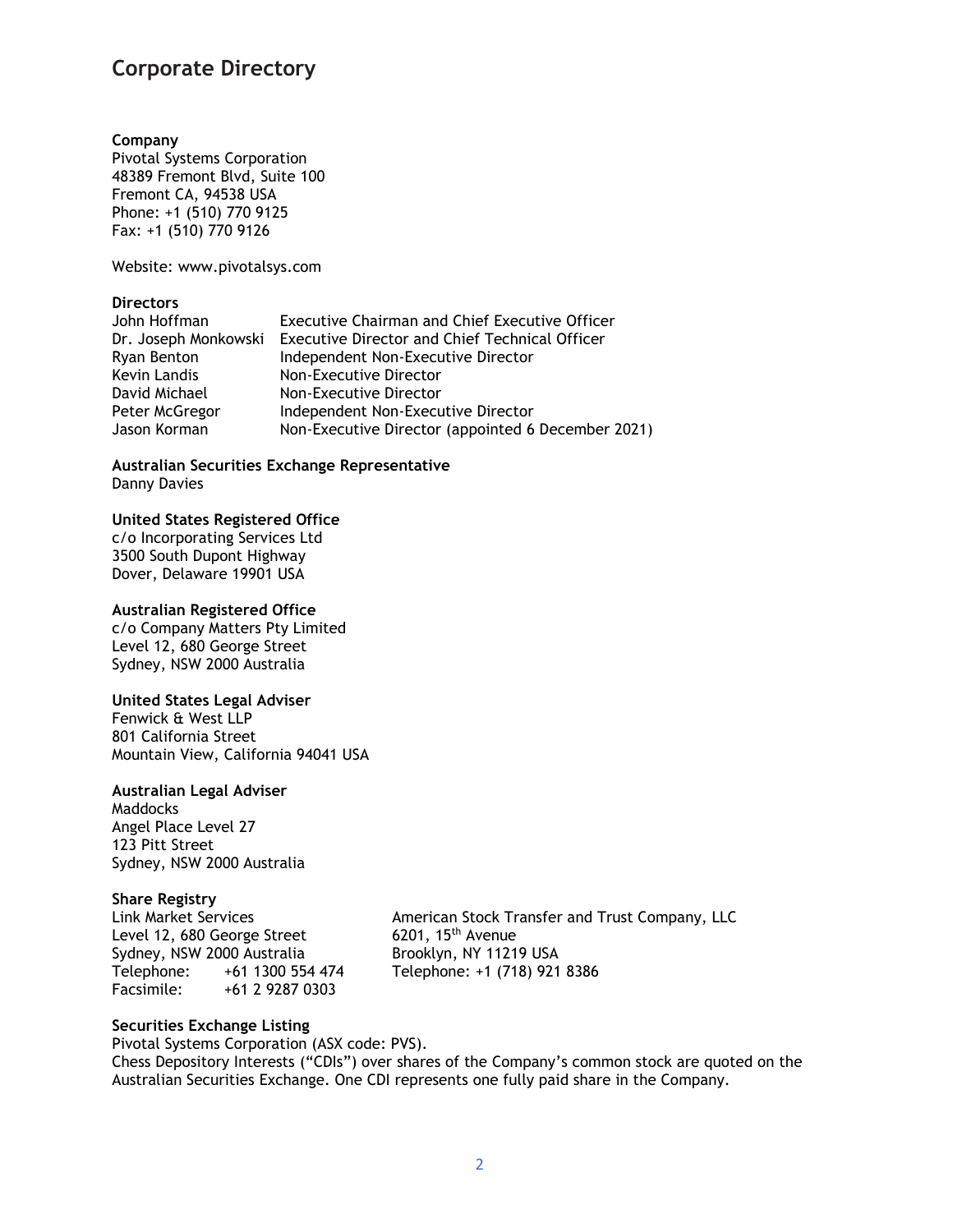## **Corporate Directory**

## **Company**

Pivotal Systems Corporation 48389 Fremont Blvd, Suite 100 Fremont CA, 94538 USA Phone: +1 (510) 770 9125 Fax: +1 (510) 770 9126

Website: www.pivotalsys.com

## **Directors**

| John Hoffman         | <b>Executive Chairman and Chief Executive Officer</b> |
|----------------------|-------------------------------------------------------|
| Dr. Joseph Monkowski | <b>Executive Director and Chief Technical Officer</b> |
| Ryan Benton          | Independent Non-Executive Director                    |
| Kevin Landis         | Non-Executive Director                                |
| David Michael        | Non-Executive Director                                |
| Peter McGregor       | Independent Non-Executive Director                    |
| Jason Korman         | Non-Executive Director (appointed 6 December 2021)    |

**Australian Securities Exchange Representative** Danny Davies

## **United States Registered Office**

c/o Incorporating Services Ltd 3500 South Dupont Highway Dover, Delaware 19901 USA

## **Australian Registered Office**

c/o Company Matters Pty Limited Level 12, 680 George Street Sydney, NSW 2000 Australia

## **United States Legal Adviser**

Fenwick & West LLP 801 California Street Mountain View, California 94041 USA

## **Australian Legal Adviser**

**Maddocks** Angel Place Level 27 123 Pitt Street Sydney, NSW 2000 Australia

## **Share Registry**

Level 12, 680 George Street Sydney, NSW 2000 Australia Brooklyn, NY 11219 USA Telephone: +61 1300 554 474 Telephone: +1 (718) 921 8386 Facsimile: +61 2 9287 0303

Link Market Services<br>
Level 12, 680 George Street 6201, 15<sup>th</sup> Avenue<br>
6201, 15<sup>th</sup> Avenue

## **Securities Exchange Listing**

Pivotal Systems Corporation (ASX code: PVS).

Chess Depository Interests ("CDIs") over shares of the Company's common stock are quoted on the Australian Securities Exchange. One CDI represents one fully paid share in the Company.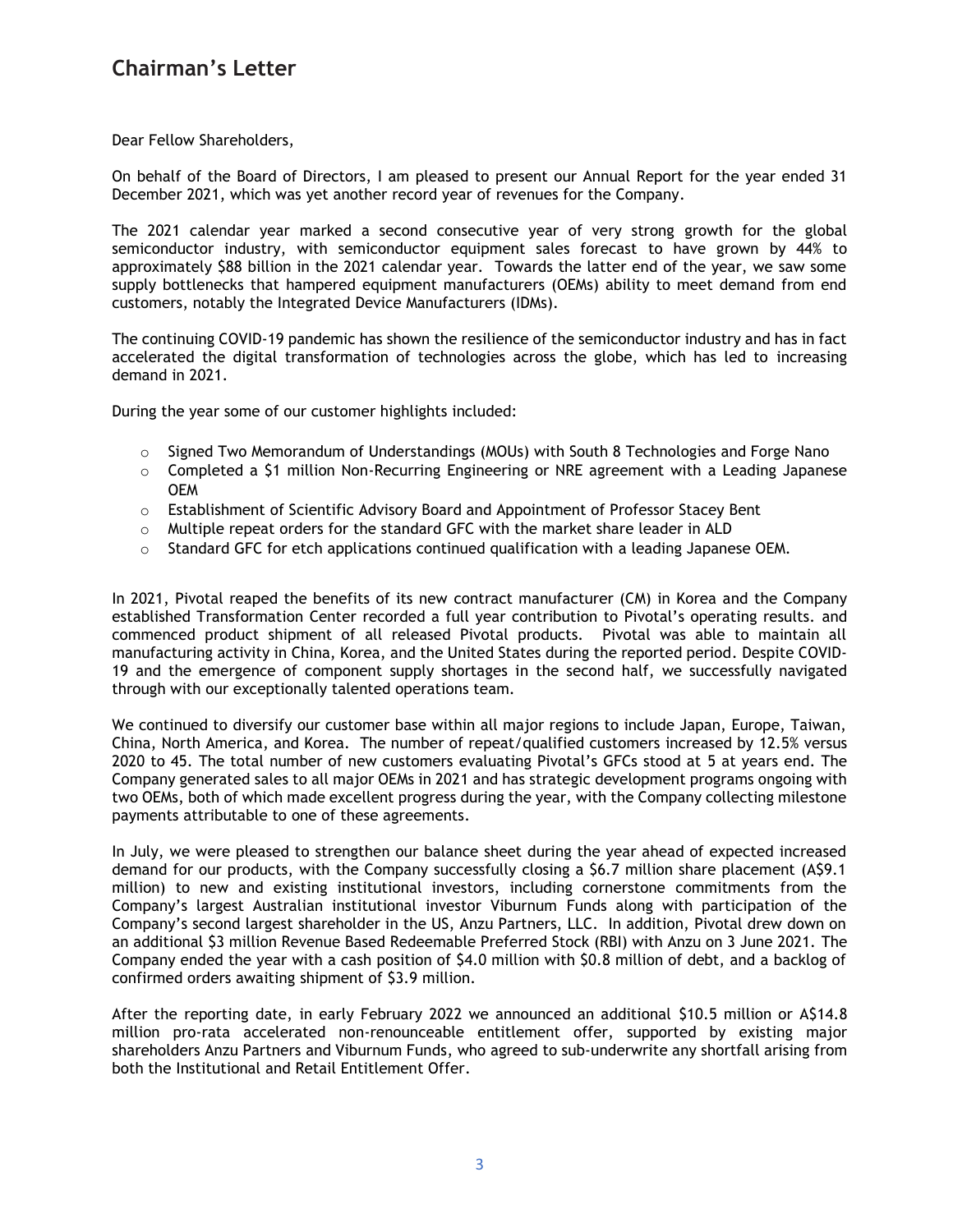## **Chairman's Letter**

Dear Fellow Shareholders,

On behalf of the Board of Directors, I am pleased to present our Annual Report for the year ended 31 December 2021, which was yet another record year of revenues for the Company.

The 2021 calendar year marked a second consecutive year of very strong growth for the global semiconductor industry, with semiconductor equipment sales forecast to have grown by 44% to approximately \$88 billion in the 2021 calendar year. Towards the latter end of the year, we saw some supply bottlenecks that hampered equipment manufacturers (OEMs) ability to meet demand from end customers, notably the Integrated Device Manufacturers (IDMs).

The continuing COVID-19 pandemic has shown the resilience of the semiconductor industry and has in fact accelerated the digital transformation of technologies across the globe, which has led to increasing demand in 2021.

During the year some of our customer highlights included:

- $\circ$  Signed Two Memorandum of Understandings (MOUs) with South 8 Technologies and Forge Nano
- $\circ$  Completed a \$1 million Non-Recurring Engineering or NRE agreement with a Leading Japanese OEM
- o Establishment of Scientific Advisory Board and Appointment of Professor Stacey Bent
- $\circ$  Multiple repeat orders for the standard GFC with the market share leader in ALD
- $\circ$  Standard GFC for etch applications continued qualification with a leading Japanese OEM.

In 2021, Pivotal reaped the benefits of its new contract manufacturer (CM) in Korea and the Company established Transformation Center recorded a full year contribution to Pivotal's operating results. and commenced product shipment of all released Pivotal products. Pivotal was able to maintain all manufacturing activity in China, Korea, and the United States during the reported period. Despite COVID-19 and the emergence of component supply shortages in the second half, we successfully navigated through with our exceptionally talented operations team.

We continued to diversify our customer base within all major regions to include Japan, Europe, Taiwan, China, North America, and Korea. The number of repeat/qualified customers increased by 12.5% versus 2020 to 45. The total number of new customers evaluating Pivotal's GFCs stood at 5 at years end. The Company generated sales to all major OEMs in 2021 and has strategic development programs ongoing with two OEMs, both of which made excellent progress during the year, with the Company collecting milestone payments attributable to one of these agreements.

In July, we were pleased to strengthen our balance sheet during the year ahead of expected increased demand for our products, with the Company successfully closing a \$6.7 million share placement (A\$9.1 million) to new and existing institutional investors, including cornerstone commitments from the Company's largest Australian institutional investor Viburnum Funds along with participation of the Company's second largest shareholder in the US, Anzu Partners, LLC. In addition, Pivotal drew down on an additional \$3 million Revenue Based Redeemable Preferred Stock (RBI) with Anzu on 3 June 2021. The Company ended the year with a cash position of \$4.0 million with \$0.8 million of debt, and a backlog of confirmed orders awaiting shipment of \$3.9 million.

After the reporting date, in early February 2022 we announced an additional \$10.5 million or A\$14.8 million pro-rata accelerated non-renounceable entitlement offer, supported by existing major shareholders Anzu Partners and Viburnum Funds, who agreed to sub-underwrite any shortfall arising from both the Institutional and Retail Entitlement Offer.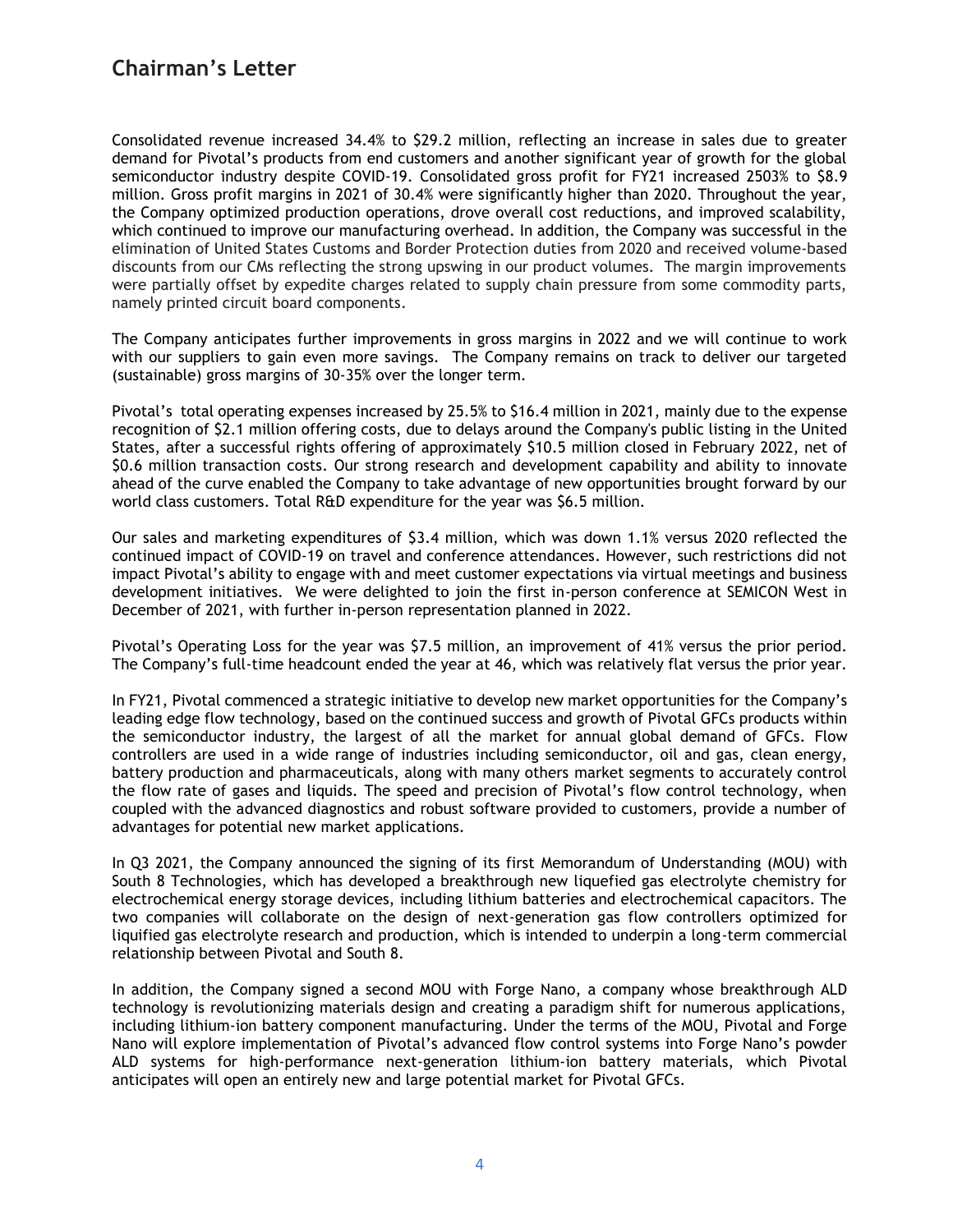## **Chairman's Letter**

Consolidated revenue increased 34.4% to \$29.2 million, reflecting an increase in sales due to greater demand for Pivotal's products from end customers and another significant year of growth for the global semiconductor industry despite COVID-19. Consolidated gross profit for FY21 increased 2503% to \$8.9 million. Gross profit margins in 2021 of 30.4% were significantly higher than 2020. Throughout the year, the Company optimized production operations, drove overall cost reductions, and improved scalability, which continued to improve our manufacturing overhead. In addition, the Company was successful in the elimination of United States Customs and Border Protection duties from 2020 and received volume-based discounts from our CMs reflecting the strong upswing in our product volumes. The margin improvements were partially offset by expedite charges related to supply chain pressure from some commodity parts, namely printed circuit board components.

The Company anticipates further improvements in gross margins in 2022 and we will continue to work with our suppliers to gain even more savings. The Company remains on track to deliver our targeted (sustainable) gross margins of 30-35% over the longer term.

Pivotal's total operating expenses increased by 25.5% to \$16.4 million in 2021, mainly due to the expense recognition of \$2.1 million offering costs, due to delays around the Company's public listing in the United States, after a successful rights offering of approximately \$10.5 million closed in February 2022, net of \$0.6 million transaction costs. Our strong research and development capability and ability to innovate ahead of the curve enabled the Company to take advantage of new opportunities brought forward by our world class customers. Total R&D expenditure for the year was \$6.5 million.

Our sales and marketing expenditures of \$3.4 million, which was down 1.1% versus 2020 reflected the continued impact of COVID-19 on travel and conference attendances. However, such restrictions did not impact Pivotal's ability to engage with and meet customer expectations via virtual meetings and business development initiatives. We were delighted to join the first in-person conference at SEMICON West in December of 2021, with further in-person representation planned in 2022.

Pivotal's Operating Loss for the year was \$7.5 million, an improvement of 41% versus the prior period. The Company's full-time headcount ended the year at 46, which was relatively flat versus the prior year.

In FY21, Pivotal commenced a strategic initiative to develop new market opportunities for the Company's leading edge flow technology, based on the continued success and growth of Pivotal GFCs products within the semiconductor industry, the largest of all the market for annual global demand of GFCs. Flow controllers are used in a wide range of industries including semiconductor, oil and gas, clean energy, battery production and pharmaceuticals, along with many others market segments to accurately control the flow rate of gases and liquids. The speed and precision of Pivotal's flow control technology, when coupled with the advanced diagnostics and robust software provided to customers, provide a number of advantages for potential new market applications.

In Q3 2021, the Company announced the signing of its first Memorandum of Understanding (MOU) with South 8 Technologies, which has developed a breakthrough new liquefied gas electrolyte chemistry for electrochemical energy storage devices, including lithium batteries and electrochemical capacitors. The two companies will collaborate on the design of next-generation gas flow controllers optimized for liquified gas electrolyte research and production, which is intended to underpin a long-term commercial relationship between Pivotal and South 8.

In addition, the Company signed a second MOU with Forge Nano, a company whose breakthrough ALD technology is revolutionizing materials design and creating a paradigm shift for numerous applications, including lithium-ion battery component manufacturing. Under the terms of the MOU, Pivotal and Forge Nano will explore implementation of Pivotal's advanced flow control systems into Forge Nano's powder ALD systems for high-performance next-generation lithium-ion battery materials, which Pivotal anticipates will open an entirely new and large potential market for Pivotal GFCs.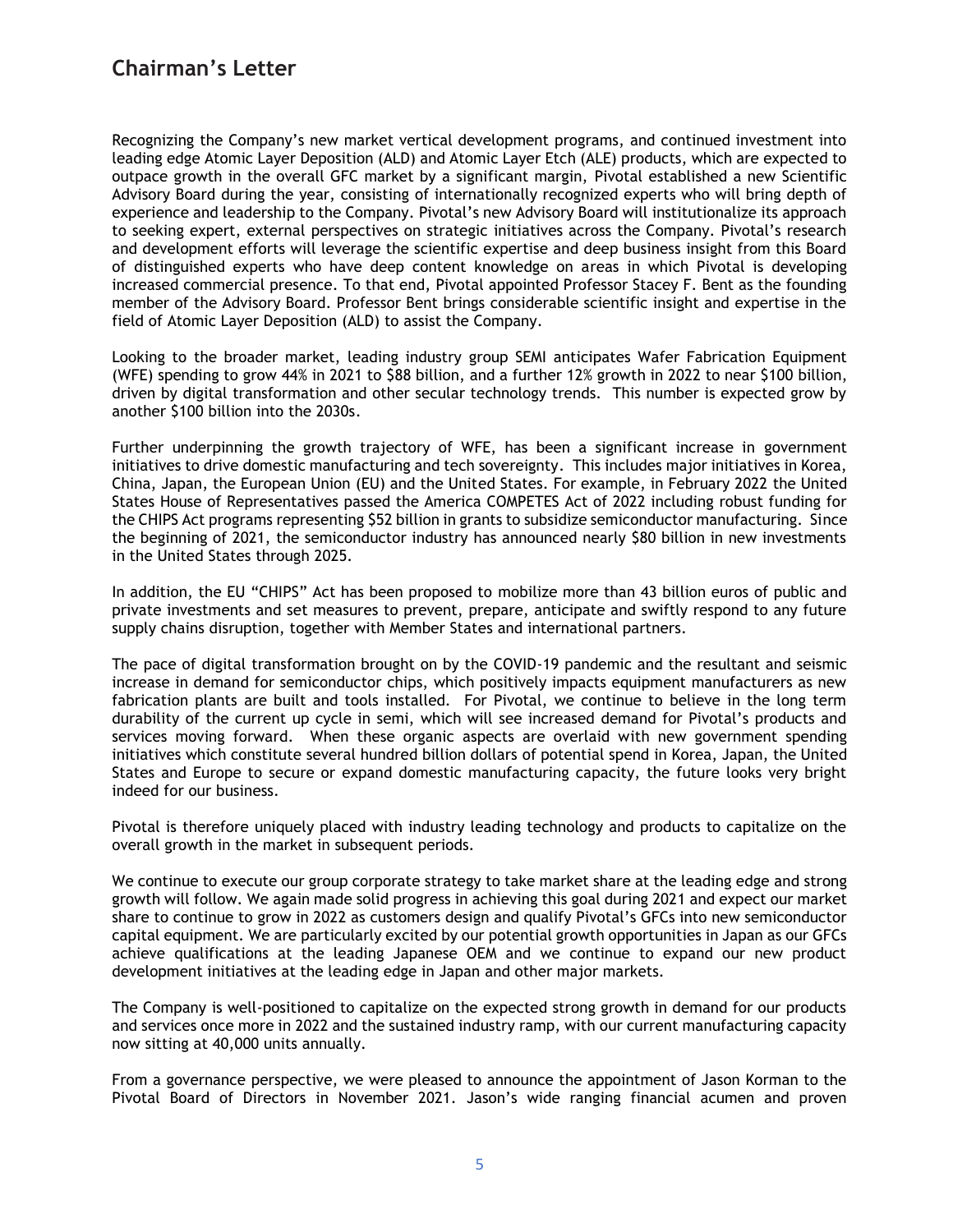Recognizing the Company's new market vertical development programs, and continued investment into leading edge Atomic Layer Deposition (ALD) and Atomic Layer Etch (ALE) products, which are expected to outpace growth in the overall GFC market by a significant margin, Pivotal established a new Scientific Advisory Board during the year, consisting of internationally recognized experts who will bring depth of experience and leadership to the Company. Pivotal's new Advisory Board will institutionalize its approach to seeking expert, external perspectives on strategic initiatives across the Company. Pivotal's research and development efforts will leverage the scientific expertise and deep business insight from this Board of distinguished experts who have deep content knowledge on areas in which Pivotal is developing increased commercial presence. To that end, Pivotal appointed Professor Stacey F. Bent as the founding member of the Advisory Board. Professor Bent brings considerable scientific insight and expertise in the field of Atomic Layer Deposition (ALD) to assist the Company.

Looking to the broader market, leading industry group SEMI anticipates Wafer Fabrication Equipment (WFE) spending to grow 44% in 2021 to \$88 billion, and a further 12% growth in 2022 to near \$100 billion, driven by digital transformation and other secular technology trends. This number is expected grow by another \$100 billion into the 2030s.

Further underpinning the growth trajectory of WFE, has been a significant increase in government initiatives to drive domestic manufacturing and tech sovereignty. This includes major initiatives in Korea, China, Japan, the European Union (EU) and the United States. For example, in February 2022 the United States House of Representatives passed the America COMPETES Act of 2022 including robust funding for the CHIPS Act programs representing \$52 billion in grants to subsidize semiconductor manufacturing. Since the beginning of 2021, the semiconductor industry has announced nearly \$80 billion in new investments in the United States through 2025.

In addition, the EU "CHIPS" Act has been proposed to mobilize more than 43 billion euros of public and private investments and set measures to prevent, prepare, anticipate and swiftly respond to any future supply chains disruption, together with Member States and international partners.

The pace of digital transformation brought on by the COVID-19 pandemic and the resultant and seismic increase in demand for semiconductor chips, which positively impacts equipment manufacturers as new fabrication plants are built and tools installed. For Pivotal, we continue to believe in the long term durability of the current up cycle in semi, which will see increased demand for Pivotal's products and services moving forward. When these organic aspects are overlaid with new government spending initiatives which constitute several hundred billion dollars of potential spend in Korea, Japan, the United States and Europe to secure or expand domestic manufacturing capacity, the future looks very bright indeed for our business.

Pivotal is therefore uniquely placed with industry leading technology and products to capitalize on the overall growth in the market in subsequent periods.

We continue to execute our group corporate strategy to take market share at the leading edge and strong growth will follow. We again made solid progress in achieving this goal during 2021 and expect our market share to continue to grow in 2022 as customers design and qualify Pivotal's GFCs into new semiconductor capital equipment. We are particularly excited by our potential growth opportunities in Japan as our GFCs achieve qualifications at the leading Japanese OEM and we continue to expand our new product development initiatives at the leading edge in Japan and other major markets.

The Company is well-positioned to capitalize on the expected strong growth in demand for our products and services once more in 2022 and the sustained industry ramp, with our current manufacturing capacity now sitting at 40,000 units annually.

From a governance perspective, we were pleased to announce the appointment of Jason Korman to the Pivotal Board of Directors in November 2021. Jason's wide ranging financial acumen and proven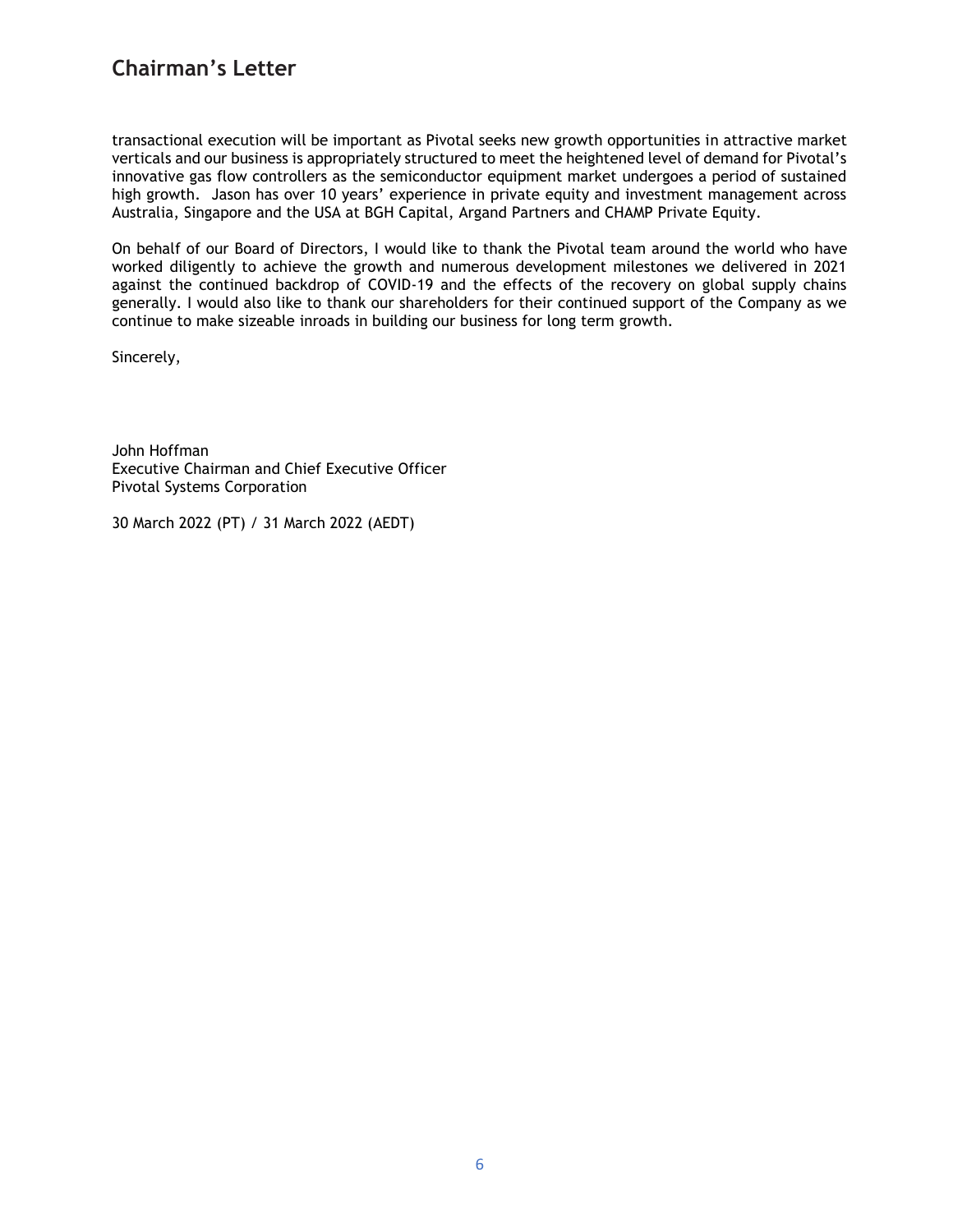## **Chairman's Letter**

transactional execution will be important as Pivotal seeks new growth opportunities in attractive market verticals and our business is appropriately structured to meet the heightened level of demand for Pivotal's innovative gas flow controllers as the semiconductor equipment market undergoes a period of sustained high growth. Jason has over 10 years' experience in private equity and investment management across Australia, Singapore and the USA at BGH Capital, Argand Partners and CHAMP Private Equity.

On behalf of our Board of Directors, I would like to thank the Pivotal team around the world who have worked diligently to achieve the growth and numerous development milestones we delivered in 2021 against the continued backdrop of COVID-19 and the effects of the recovery on global supply chains generally. I would also like to thank our shareholders for their continued support of the Company as we continue to make sizeable inroads in building our business for long term growth.

Sincerely,

John Hoffman Executive Chairman and Chief Executive Officer Pivotal Systems Corporation

30 March 2022 (PT) / 31 March 2022 (AEDT)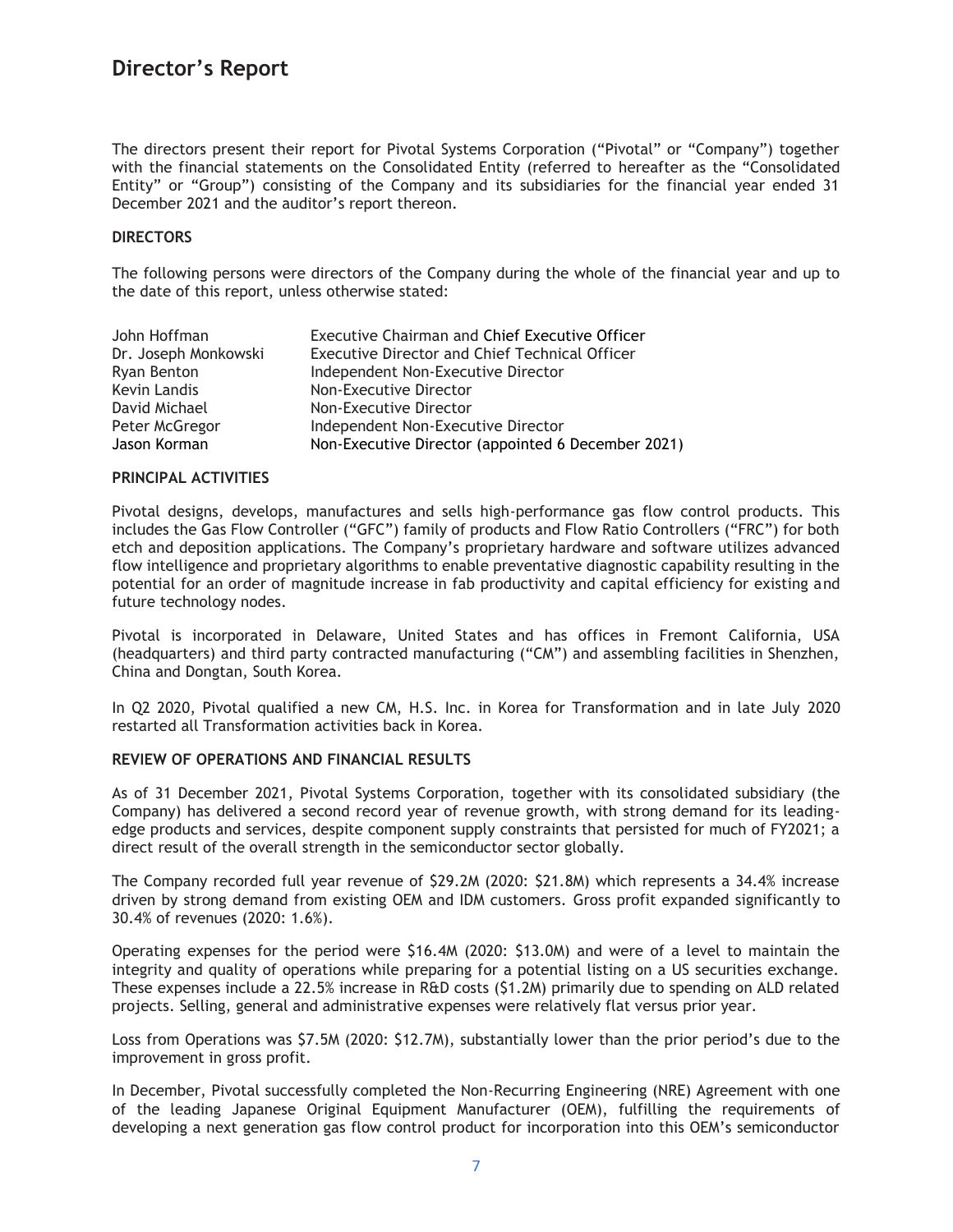The directors present their report for Pivotal Systems Corporation ("Pivotal" or "Company") together with the financial statements on the Consolidated Entity (referred to hereafter as the "Consolidated Entity" or "Group") consisting of the Company and its subsidiaries for the financial year ended 31 December 2021 and the auditor's report thereon.

### **DIRECTORS**

The following persons were directors of the Company during the whole of the financial year and up to the date of this report, unless otherwise stated:

| John Hoffman         | <b>Executive Chairman and Chief Executive Officer</b> |
|----------------------|-------------------------------------------------------|
| Dr. Joseph Monkowski | <b>Executive Director and Chief Technical Officer</b> |
| Ryan Benton          | Independent Non-Executive Director                    |
| Kevin Landis         | Non-Executive Director                                |
| David Michael        | Non-Executive Director                                |
| Peter McGregor       | Independent Non-Executive Director                    |
| Jason Korman         | Non-Executive Director (appointed 6 December 2021)    |

#### **PRINCIPAL ACTIVITIES**

Pivotal designs, develops, manufactures and sells high-performance gas flow control products. This includes the Gas Flow Controller ("GFC") family of products and Flow Ratio Controllers ("FRC") for both etch and deposition applications. The Company's proprietary hardware and software utilizes advanced flow intelligence and proprietary algorithms to enable preventative diagnostic capability resulting in the potential for an order of magnitude increase in fab productivity and capital efficiency for existing and future technology nodes.

Pivotal is incorporated in Delaware, United States and has offices in Fremont California, USA (headquarters) and third party contracted manufacturing ("CM") and assembling facilities in Shenzhen, China and Dongtan, South Korea.

In Q2 2020, Pivotal qualified a new CM, H.S. Inc. in Korea for Transformation and in late July 2020 restarted all Transformation activities back in Korea.

### **REVIEW OF OPERATIONS AND FINANCIAL RESULTS**

As of 31 December 2021, Pivotal Systems Corporation, together with its consolidated subsidiary (the Company) has delivered a second record year of revenue growth, with strong demand for its leadingedge products and services, despite component supply constraints that persisted for much of FY2021; a direct result of the overall strength in the semiconductor sector globally.

The Company recorded full year revenue of \$29.2M (2020: \$21.8M) which represents a 34.4% increase driven by strong demand from existing OEM and IDM customers. Gross profit expanded significantly to 30.4% of revenues (2020: 1.6%).

Operating expenses for the period were \$16.4M (2020: \$13.0M) and were of a level to maintain the integrity and quality of operations while preparing for a potential listing on a US securities exchange. These expenses include a 22.5% increase in R&D costs (\$1.2M) primarily due to spending on ALD related projects. Selling, general and administrative expenses were relatively flat versus prior year.

Loss from Operations was \$7.5M (2020: \$12.7M), substantially lower than the prior period's due to the improvement in gross profit.

In December, Pivotal successfully completed the Non-Recurring Engineering (NRE) Agreement with one of the leading Japanese Original Equipment Manufacturer (OEM), fulfilling the requirements of developing a next generation gas flow control product for incorporation into this OEM's semiconductor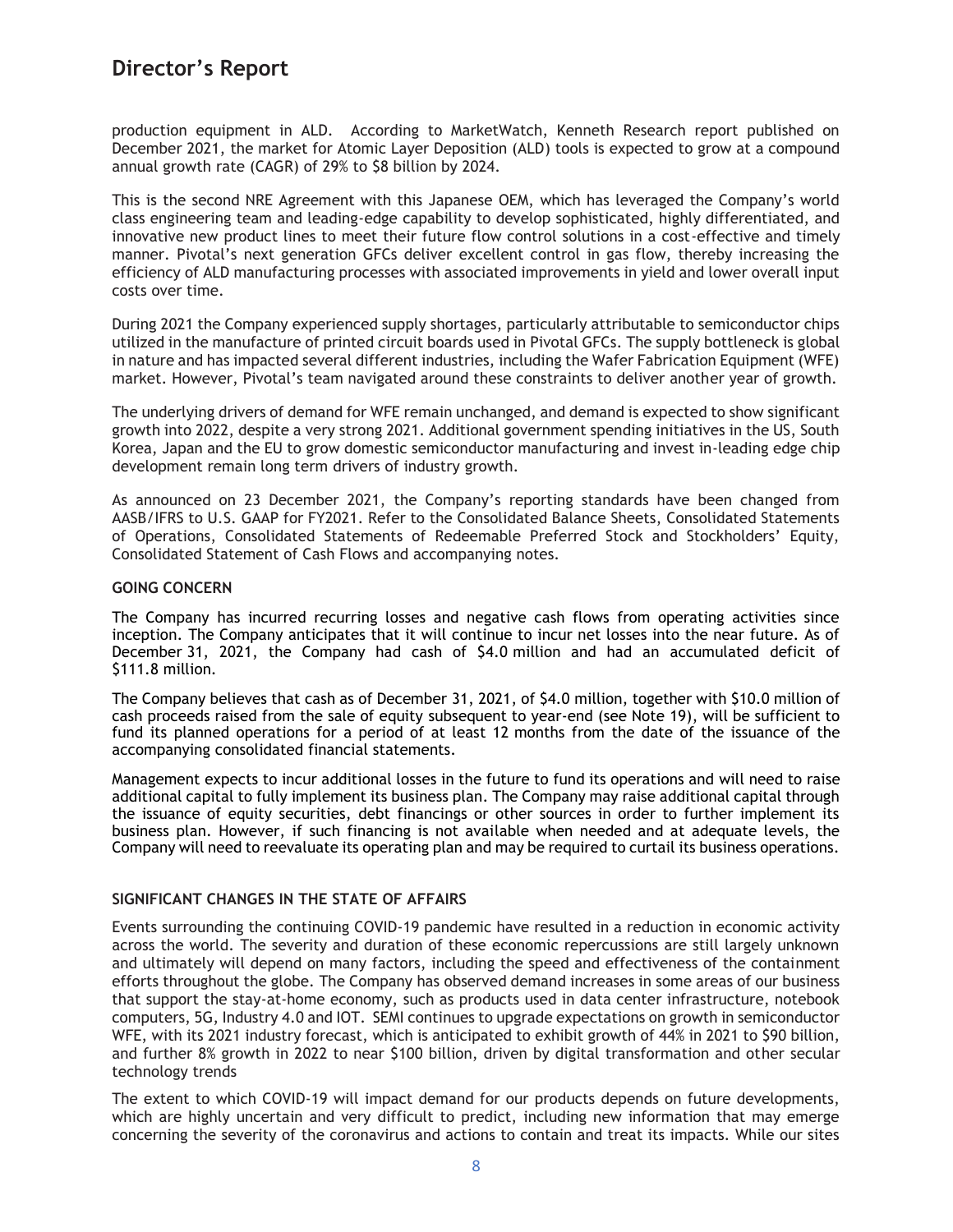production equipment in ALD. According to MarketWatch, Kenneth Research report published on December 2021, the market for Atomic Layer Deposition (ALD) tools is expected to grow at a compound annual growth rate (CAGR) of 29% to \$8 billion by 2024.

This is the second NRE Agreement with this Japanese OEM, which has leveraged the Company's world class engineering team and leading-edge capability to develop sophisticated, highly differentiated, and innovative new product lines to meet their future flow control solutions in a cost-effective and timely manner. Pivotal's next generation GFCs deliver excellent control in gas flow, thereby increasing the efficiency of ALD manufacturing processes with associated improvements in yield and lower overall input costs over time.

During 2021 the Company experienced supply shortages, particularly attributable to semiconductor chips utilized in the manufacture of printed circuit boards used in Pivotal GFCs. The supply bottleneck is global in nature and has impacted several different industries, including the Wafer Fabrication Equipment (WFE) market. However, Pivotal's team navigated around these constraints to deliver another year of growth.

The underlying drivers of demand for WFE remain unchanged, and demand is expected to show significant growth into 2022, despite a very strong 2021. Additional government spending initiatives in the US, South Korea, Japan and the EU to grow domestic semiconductor manufacturing and invest in-leading edge chip development remain long term drivers of industry growth.

As announced on 23 December 2021, the Company's reporting standards have been changed from AASB/IFRS to U.S. GAAP for FY2021. Refer to the Consolidated Balance Sheets, Consolidated Statements of Operations, Consolidated Statements of Redeemable Preferred Stock and Stockholders' Equity, Consolidated Statement of Cash Flows and accompanying notes.

### **GOING CONCERN**

The Company has incurred recurring losses and negative cash flows from operating activities since inception. The Company anticipates that it will continue to incur net losses into the near future. As of December 31, 2021, the Company had cash of \$4.0 million and had an accumulated deficit of \$111.8 million.

The Company believes that cash as of December 31, 2021, of \$4.0 million, together with \$10.0 million of cash proceeds raised from the sale of equity subsequent to year-end (see Note 19), will be sufficient to fund its planned operations for a period of at least 12 months from the date of the issuance of the accompanying consolidated financial statements.

Management expects to incur additional losses in the future to fund its operations and will need to raise additional capital to fully implement its business plan. The Company may raise additional capital through the issuance of equity securities, debt financings or other sources in order to further implement its business plan. However, if such financing is not available when needed and at adequate levels, the Company will need to reevaluate its operating plan and may be required to curtail its business operations.

## **SIGNIFICANT CHANGES IN THE STATE OF AFFAIRS**

Events surrounding the continuing COVID-19 pandemic have resulted in a reduction in economic activity across the world. The severity and duration of these economic repercussions are still largely unknown and ultimately will depend on many factors, including the speed and effectiveness of the containment efforts throughout the globe. The Company has observed demand increases in some areas of our business that support the stay-at-home economy, such as products used in data center infrastructure, notebook computers, 5G, Industry 4.0 and IOT. SEMI continues to upgrade expectations on growth in semiconductor WFE, with its 2021 industry forecast, which is anticipated to exhibit growth of 44% in 2021 to \$90 billion, and further 8% growth in 2022 to near \$100 billion, driven by digital transformation and other secular technology trends

The extent to which COVID-19 will impact demand for our products depends on future developments, which are highly uncertain and very difficult to predict, including new information that may emerge concerning the severity of the coronavirus and actions to contain and treat its impacts. While our sites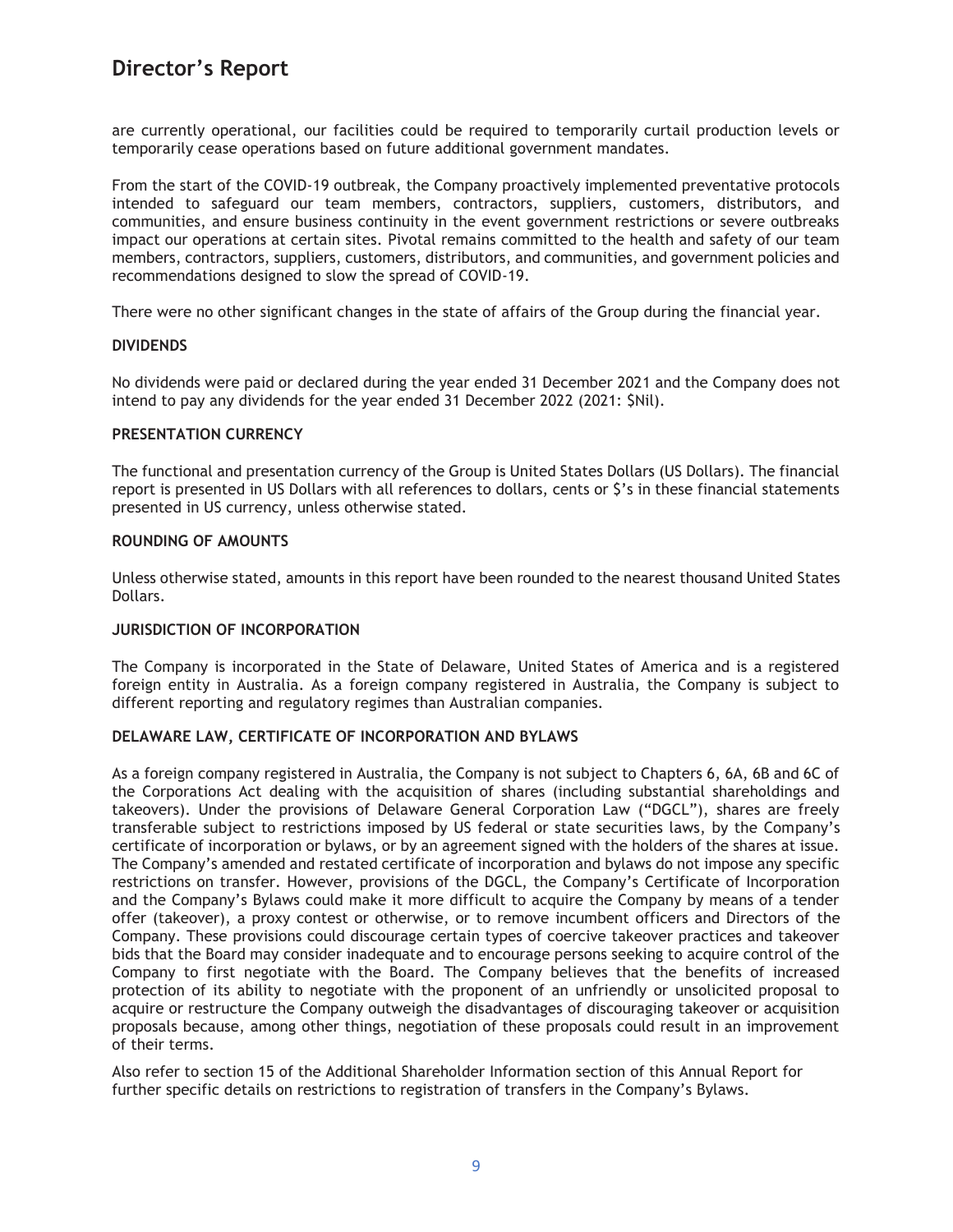are currently operational, our facilities could be required to temporarily curtail production levels or temporarily cease operations based on future additional government mandates.

From the start of the COVID-19 outbreak, the Company proactively implemented preventative protocols intended to safeguard our team members, contractors, suppliers, customers, distributors, and communities, and ensure business continuity in the event government restrictions or severe outbreaks impact our operations at certain sites. Pivotal remains committed to the health and safety of our team members, contractors, suppliers, customers, distributors, and communities, and government policies and recommendations designed to slow the spread of COVID-19.

There were no other significant changes in the state of affairs of the Group during the financial year.

### **DIVIDENDS**

No dividends were paid or declared during the year ended 31 December 2021 and the Company does not intend to pay any dividends for the year ended 31 December 2022 (2021: \$Nil).

#### **PRESENTATION CURRENCY**

The functional and presentation currency of the Group is United States Dollars (US Dollars). The financial report is presented in US Dollars with all references to dollars, cents or \$'s in these financial statements presented in US currency, unless otherwise stated.

### **ROUNDING OF AMOUNTS**

Unless otherwise stated, amounts in this report have been rounded to the nearest thousand United States Dollars.

### **JURISDICTION OF INCORPORATION**

The Company is incorporated in the State of Delaware, United States of America and is a registered foreign entity in Australia. As a foreign company registered in Australia, the Company is subject to different reporting and regulatory regimes than Australian companies.

## **DELAWARE LAW, CERTIFICATE OF INCORPORATION AND BYLAWS**

As a foreign company registered in Australia, the Company is not subject to Chapters 6, 6A, 6B and 6C of the Corporations Act dealing with the acquisition of shares (including substantial shareholdings and takeovers). Under the provisions of Delaware General Corporation Law ("DGCL"), shares are freely transferable subject to restrictions imposed by US federal or state securities laws, by the Company's certificate of incorporation or bylaws, or by an agreement signed with the holders of the shares at issue. The Company's amended and restated certificate of incorporation and bylaws do not impose any specific restrictions on transfer. However, provisions of the DGCL, the Company's Certificate of Incorporation and the Company's Bylaws could make it more difficult to acquire the Company by means of a tender offer (takeover), a proxy contest or otherwise, or to remove incumbent officers and Directors of the Company. These provisions could discourage certain types of coercive takeover practices and takeover bids that the Board may consider inadequate and to encourage persons seeking to acquire control of the Company to first negotiate with the Board. The Company believes that the benefits of increased protection of its ability to negotiate with the proponent of an unfriendly or unsolicited proposal to acquire or restructure the Company outweigh the disadvantages of discouraging takeover or acquisition proposals because, among other things, negotiation of these proposals could result in an improvement of their terms.

Also refer to section 15 of the Additional Shareholder Information section of this Annual Report for further specific details on restrictions to registration of transfers in the Company's Bylaws.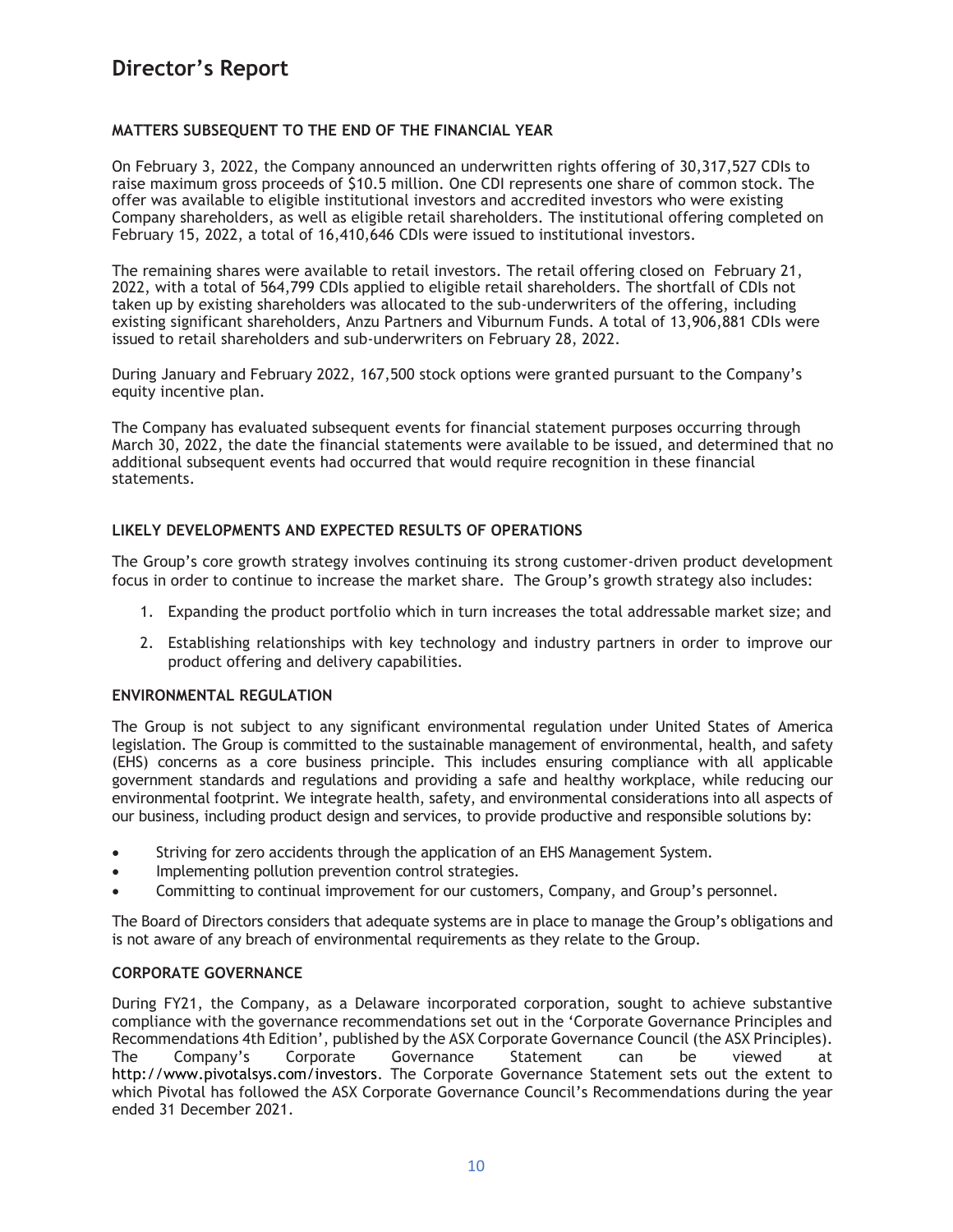## **MATTERS SUBSEQUENT TO THE END OF THE FINANCIAL YEAR**

On February 3, 2022, the Company announced an underwritten rights offering of 30,317,527 CDIs to raise maximum gross proceeds of \$10.5 million. One CDI represents one share of common stock. The offer was available to eligible institutional investors and accredited investors who were existing Company shareholders, as well as eligible retail shareholders. The institutional offering completed on February 15, 2022, a total of 16,410,646 CDIs were issued to institutional investors.

The remaining shares were available to retail investors. The retail offering closed on February 21, 2022, with a total of 564,799 CDIs applied to eligible retail shareholders. The shortfall of CDIs not taken up by existing shareholders was allocated to the sub-underwriters of the offering, including existing significant shareholders, Anzu Partners and Viburnum Funds. A total of 13,906,881 CDIs were issued to retail shareholders and sub-underwriters on February 28, 2022.

During January and February 2022, 167,500 stock options were granted pursuant to the Company's equity incentive plan.

The Company has evaluated subsequent events for financial statement purposes occurring through March 30, 2022, the date the financial statements were available to be issued, and determined that no additional subsequent events had occurred that would require recognition in these financial statements.

### **LIKELY DEVELOPMENTS AND EXPECTED RESULTS OF OPERATIONS**

The Group's core growth strategy involves continuing its strong customer-driven product development focus in order to continue to increase the market share. The Group's growth strategy also includes:

- 1. Expanding the product portfolio which in turn increases the total addressable market size; and
- 2. Establishing relationships with key technology and industry partners in order to improve our product offering and delivery capabilities.

## **ENVIRONMENTAL REGULATION**

The Group is not subject to any significant environmental regulation under United States of America legislation. The Group is committed to the sustainable management of environmental, health, and safety (EHS) concerns as a core business principle. This includes ensuring compliance with all applicable government standards and regulations and providing a safe and healthy workplace, while reducing our environmental footprint. We integrate health, safety, and environmental considerations into all aspects of our business, including product design and services, to provide productive and responsible solutions by:

- Striving for zero accidents through the application of an EHS Management System.
- Implementing pollution prevention control strategies.
- Committing to continual improvement for our customers, Company, and Group's personnel.

The Board of Directors considers that adequate systems are in place to manage the Group's obligations and is not aware of any breach of environmental requirements as they relate to the Group.

### **CORPORATE GOVERNANCE**

During FY21, the Company, as a Delaware incorporated corporation, sought to achieve substantive compliance with the governance recommendations set out in the 'Corporate Governance Principles and Recommendations 4th Edition', published by the ASX Corporate Governance Council (the ASX Principles). The Company's Corporate Governance Statement can be viewed at http://www.pivotalsys.com/investors. The Corporate Governance Statement sets out the extent to which Pivotal has followed the ASX Corporate Governance Council's Recommendations during the year ended 31 December 2021.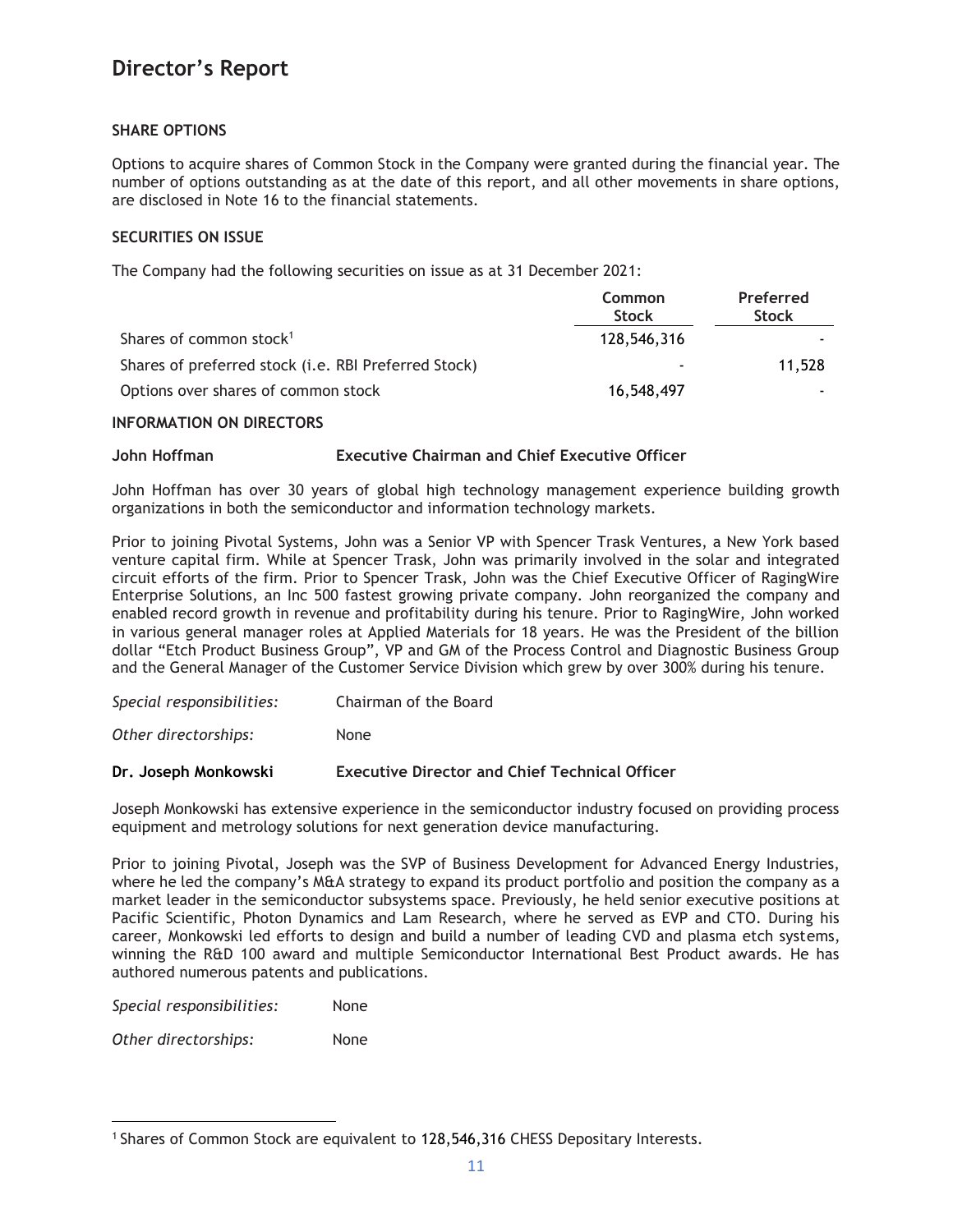## **SHARE OPTIONS**

Options to acquire shares of Common Stock in the Company were granted during the financial year. The number of options outstanding as at the date of this report, and all other movements in share options, are disclosed in Note 16 to the financial statements.

## **SECURITIES ON ISSUE**

The Company had the following securities on issue as at 31 December 2021:

|                                                      | <b>Common</b><br><b>Stock</b> | Preferred<br><b>Stock</b> |
|------------------------------------------------------|-------------------------------|---------------------------|
| Shares of common stock <sup>1</sup>                  | 128,546,316                   |                           |
| Shares of preferred stock (i.e. RBI Preferred Stock) | $\blacksquare$                | 11,528                    |
| Options over shares of common stock                  | 16,548,497                    |                           |

## **INFORMATION ON DIRECTORS**

## **John Hoffman Executive Chairman and Chief Executive Officer**

John Hoffman has over 30 years of global high technology management experience building growth organizations in both the semiconductor and information technology markets.

Prior to joining Pivotal Systems, John was a Senior VP with Spencer Trask Ventures, a New York based venture capital firm. While at Spencer Trask, John was primarily involved in the solar and integrated circuit efforts of the firm. Prior to Spencer Trask, John was the Chief Executive Officer of RagingWire Enterprise Solutions, an Inc 500 fastest growing private company. John reorganized the company and enabled record growth in revenue and profitability during his tenure. Prior to RagingWire, John worked in various general manager roles at Applied Materials for 18 years. He was the President of the billion dollar "Etch Product Business Group", VP and GM of the Process Control and Diagnostic Business Group and the General Manager of the Customer Service Division which grew by over 300% during his tenure.

*Special responsibilities:* Chairman of the Board

*Other directorships:* None

## **Dr. Joseph Monkowski Executive Director and Chief Technical Officer**

Joseph Monkowski has extensive experience in the semiconductor industry focused on providing process equipment and metrology solutions for next generation device manufacturing.

Prior to joining Pivotal, Joseph was the SVP of Business Development for Advanced Energy Industries, where he led the company's M&A strategy to expand its product portfolio and position the company as a market leader in the semiconductor subsystems space. Previously, he held senior executive positions at Pacific Scientific, Photon Dynamics and Lam Research, where he served as EVP and CTO. During his career, Monkowski led efforts to design and build a number of leading CVD and plasma etch systems, winning the R&D 100 award and multiple Semiconductor International Best Product awards. He has authored numerous patents and publications.

*Special responsibilities:* None

*Other directorships:* None

<sup>1</sup> Shares of Common Stock are equivalent to 128,546,316 CHESS Depositary Interests.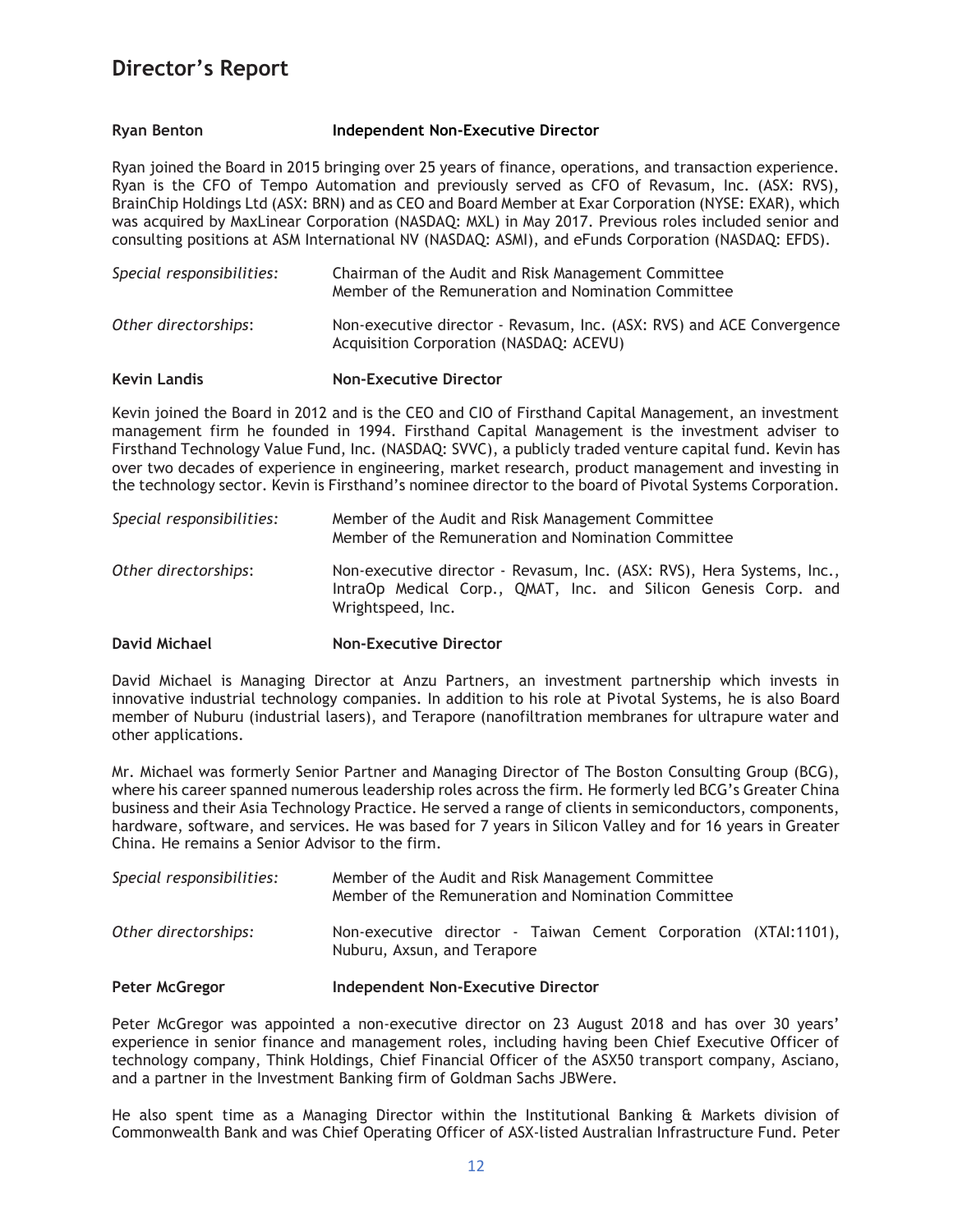### **Ryan Benton Independent Non-Executive Director**

Ryan joined the Board in 2015 bringing over 25 years of finance, operations, and transaction experience. Ryan is the CFO of Tempo Automation and previously served as CFO of Revasum, Inc. (ASX: RVS), BrainChip Holdings Ltd (ASX: BRN) and as CEO and Board Member at Exar Corporation (NYSE: EXAR), which was acquired by MaxLinear Corporation (NASDAQ: MXL) in May 2017. Previous roles included senior and consulting positions at ASM International NV (NASDAQ: ASMI), and eFunds Corporation (NASDAQ: EFDS).

| Special responsibilities: | Chairman of the Audit and Risk Management Committee<br>Member of the Remuneration and Nomination Committee       |  |  |
|---------------------------|------------------------------------------------------------------------------------------------------------------|--|--|
| Other directorships:      | Non-executive director - Revasum, Inc. (ASX: RVS) and ACE Convergence<br>Acquisition Corporation (NASDAQ: ACEVU) |  |  |

#### **Kevin Landis Non-Executive Director**

Kevin joined the Board in 2012 and is the CEO and CIO of Firsthand Capital Management, an investment management firm he founded in 1994. Firsthand Capital Management is the investment adviser to Firsthand Technology Value Fund, Inc. (NASDAQ: SVVC), a publicly traded venture capital fund. Kevin has over two decades of experience in engineering, market research, product management and investing in the technology sector. Kevin is Firsthand's nominee director to the board of Pivotal Systems Corporation.

| Special responsibilities: | Member of the Audit and Risk Management Committee<br>Member of the Remuneration and Nomination Committee                                                       |  |  |  |
|---------------------------|----------------------------------------------------------------------------------------------------------------------------------------------------------------|--|--|--|
| Other directorships:      | Non-executive director - Revasum, Inc. (ASX: RVS), Hera Systems, Inc.,<br>IntraOp Medical Corp., QMAT, Inc. and Silicon Genesis Corp. and<br>Wrightspeed, Inc. |  |  |  |

### **David Michael Non-Executive Director**

David Michael is Managing Director at Anzu Partners, an investment partnership which invests in innovative industrial technology companies. In addition to his role at Pivotal Systems, he is also Board member of Nuburu (industrial lasers), and Terapore (nanofiltration membranes for ultrapure water and other applications.

Mr. Michael was formerly Senior Partner and Managing Director of The Boston Consulting Group (BCG), where his career spanned numerous leadership roles across the firm. He formerly led BCG's Greater China business and their Asia Technology Practice. He served a range of clients in semiconductors, components, hardware, software, and services. He was based for 7 years in Silicon Valley and for 16 years in Greater China. He remains a Senior Advisor to the firm.

| Special responsibilities: | Member of the Audit and Risk Management Committee<br>Member of the Remuneration and Nomination Committee |  |  |  |
|---------------------------|----------------------------------------------------------------------------------------------------------|--|--|--|
| Other directorships:      | Non-executive director - Taiwan Cement Corporation (XTAI:1101),<br>Nuburu, Axsun, and Terapore           |  |  |  |

## **Peter McGregor Independent Non-Executive Director**

Peter McGregor was appointed a non-executive director on 23 August 2018 and has over 30 years' experience in senior finance and management roles, including having been Chief Executive Officer of technology company, Think Holdings, Chief Financial Officer of the ASX50 transport company, Asciano, and a partner in the Investment Banking firm of Goldman Sachs JBWere.

He also spent time as a Managing Director within the Institutional Banking & Markets division of Commonwealth Bank and was Chief Operating Officer of ASX-listed Australian Infrastructure Fund. Peter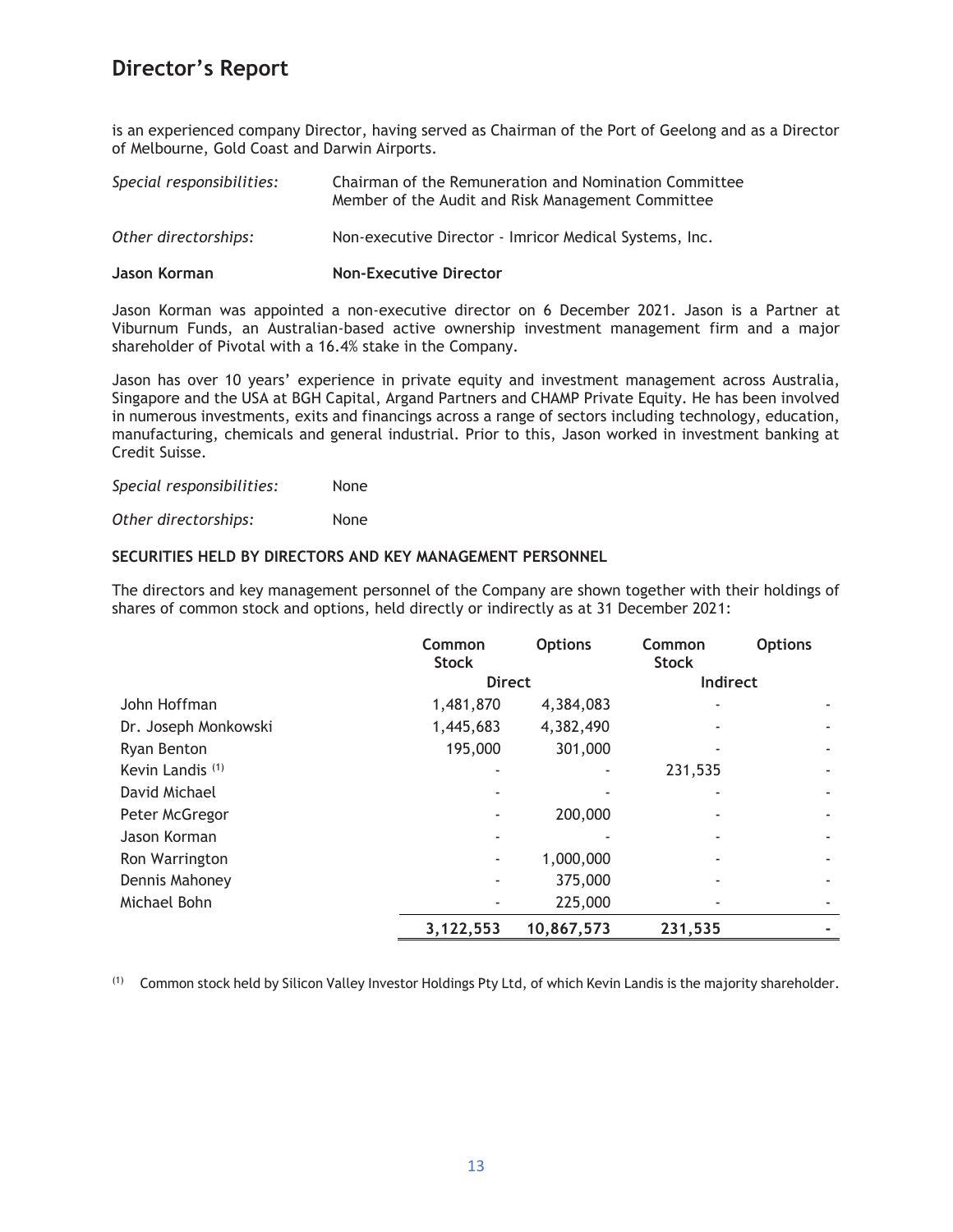is an experienced company Director, having served as Chairman of the Port of Geelong and as a Director of Melbourne, Gold Coast and Darwin Airports.

| Special responsibilities: | Chairman of the Remuneration and Nomination Committee<br>Member of the Audit and Risk Management Committee |  |  |
|---------------------------|------------------------------------------------------------------------------------------------------------|--|--|
| Other directorships:      | Non-executive Director - Imricor Medical Systems, Inc.                                                     |  |  |
| Jason Korman              | <b>Non-Executive Director</b>                                                                              |  |  |

Jason Korman was appointed a non-executive director on 6 December 2021. Jason is a Partner at Viburnum Funds, an Australian-based active ownership investment management firm and a major shareholder of Pivotal with a 16.4% stake in the Company.

Jason has over 10 years' experience in private equity and investment management across Australia, Singapore and the USA at BGH Capital, Argand Partners and CHAMP Private Equity. He has been involved in numerous investments, exits and financings across a range of sectors including technology, education, manufacturing, chemicals and general industrial. Prior to this, Jason worked in investment banking at Credit Suisse.

*Special responsibilities:* None

*Other directorships:* None

## **SECURITIES HELD BY DIRECTORS AND KEY MANAGEMENT PERSONNEL**

The directors and key management personnel of the Company are shown together with their holdings of shares of common stock and options, held directly or indirectly as at 31 December 2021:

|                             | Common<br><b>Stock</b> | <b>Options</b> | Common<br><b>Stock</b> | <b>Options</b> |
|-----------------------------|------------------------|----------------|------------------------|----------------|
|                             | <b>Direct</b>          |                | Indirect               |                |
| John Hoffman                | 1,481,870              | 4,384,083      |                        |                |
| Dr. Joseph Monkowski        | 1,445,683              | 4,382,490      |                        |                |
| Ryan Benton                 | 195,000                | 301,000        |                        |                |
| Kevin Landis <sup>(1)</sup> |                        |                | 231,535                |                |
| David Michael               |                        |                |                        |                |
| Peter McGregor              |                        | 200,000        |                        |                |
| Jason Korman                |                        |                |                        |                |
| Ron Warrington              |                        | 1,000,000      |                        |                |
| Dennis Mahoney              |                        | 375,000        |                        |                |
| Michael Bohn                |                        | 225,000        |                        |                |
|                             | 3,122,553              | 10,867,573     | 231,535                |                |

(1) Common stock held by Silicon Valley Investor Holdings Pty Ltd, of which Kevin Landis is the majority shareholder.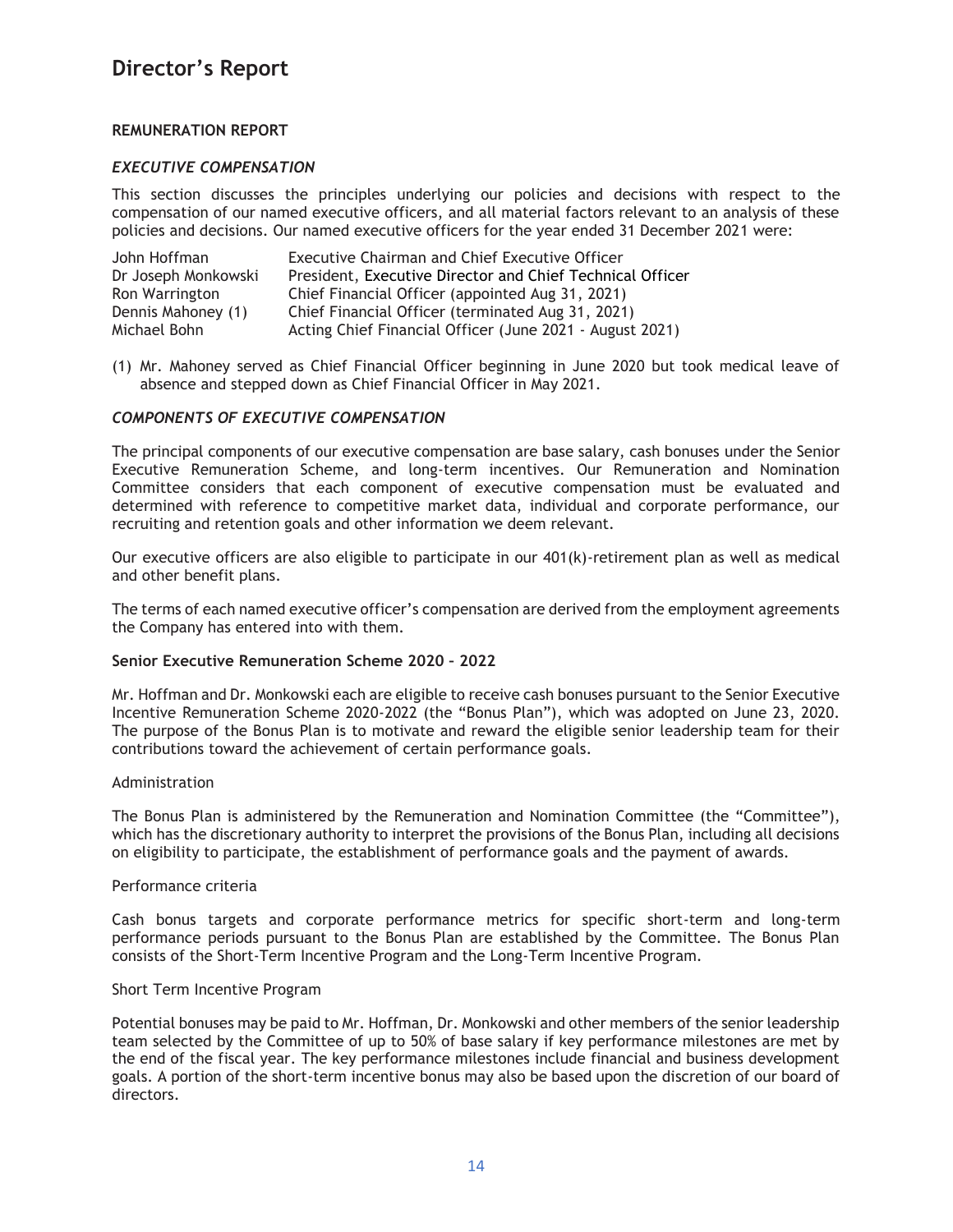## **REMUNERATION REPORT**

## *EXECUTIVE COMPENSATION*

This section discusses the principles underlying our policies and decisions with respect to the compensation of our named executive officers, and all material factors relevant to an analysis of these policies and decisions. Our named executive officers for the year ended 31 December 2021 were:

| John Hoffman        | <b>Executive Chairman and Chief Executive Officer</b>     |
|---------------------|-----------------------------------------------------------|
| Dr Joseph Monkowski | President, Executive Director and Chief Technical Officer |
| Ron Warrington      | Chief Financial Officer (appointed Aug 31, 2021)          |
| Dennis Mahoney (1)  | Chief Financial Officer (terminated Aug 31, 2021)         |
| Michael Bohn        | Acting Chief Financial Officer (June 2021 - August 2021)  |

(1) Mr. Mahoney served as Chief Financial Officer beginning in June 2020 but took medical leave of absence and stepped down as Chief Financial Officer in May 2021.

## *COMPONENTS OF EXECUTIVE COMPENSATION*

The principal components of our executive compensation are base salary, cash bonuses under the Senior Executive Remuneration Scheme, and long-term incentives. Our Remuneration and Nomination Committee considers that each component of executive compensation must be evaluated and determined with reference to competitive market data, individual and corporate performance, our recruiting and retention goals and other information we deem relevant.

Our executive officers are also eligible to participate in our 401(k)-retirement plan as well as medical and other benefit plans.

The terms of each named executive officer's compensation are derived from the employment agreements the Company has entered into with them.

## **Senior Executive Remuneration Scheme 2020 – 2022**

Mr. Hoffman and Dr. Monkowski each are eligible to receive cash bonuses pursuant to the Senior Executive Incentive Remuneration Scheme 2020-2022 (the "Bonus Plan"), which was adopted on June 23, 2020. The purpose of the Bonus Plan is to motivate and reward the eligible senior leadership team for their contributions toward the achievement of certain performance goals.

#### Administration

The Bonus Plan is administered by the Remuneration and Nomination Committee (the "Committee"), which has the discretionary authority to interpret the provisions of the Bonus Plan, including all decisions on eligibility to participate, the establishment of performance goals and the payment of awards.

## Performance criteria

Cash bonus targets and corporate performance metrics for specific short-term and long-term performance periods pursuant to the Bonus Plan are established by the Committee. The Bonus Plan consists of the Short-Term Incentive Program and the Long-Term Incentive Program.

### Short Term Incentive Program

Potential bonuses may be paid to Mr. Hoffman, Dr. Monkowski and other members of the senior leadership team selected by the Committee of up to 50% of base salary if key performance milestones are met by the end of the fiscal year. The key performance milestones include financial and business development goals. A portion of the short-term incentive bonus may also be based upon the discretion of our board of directors.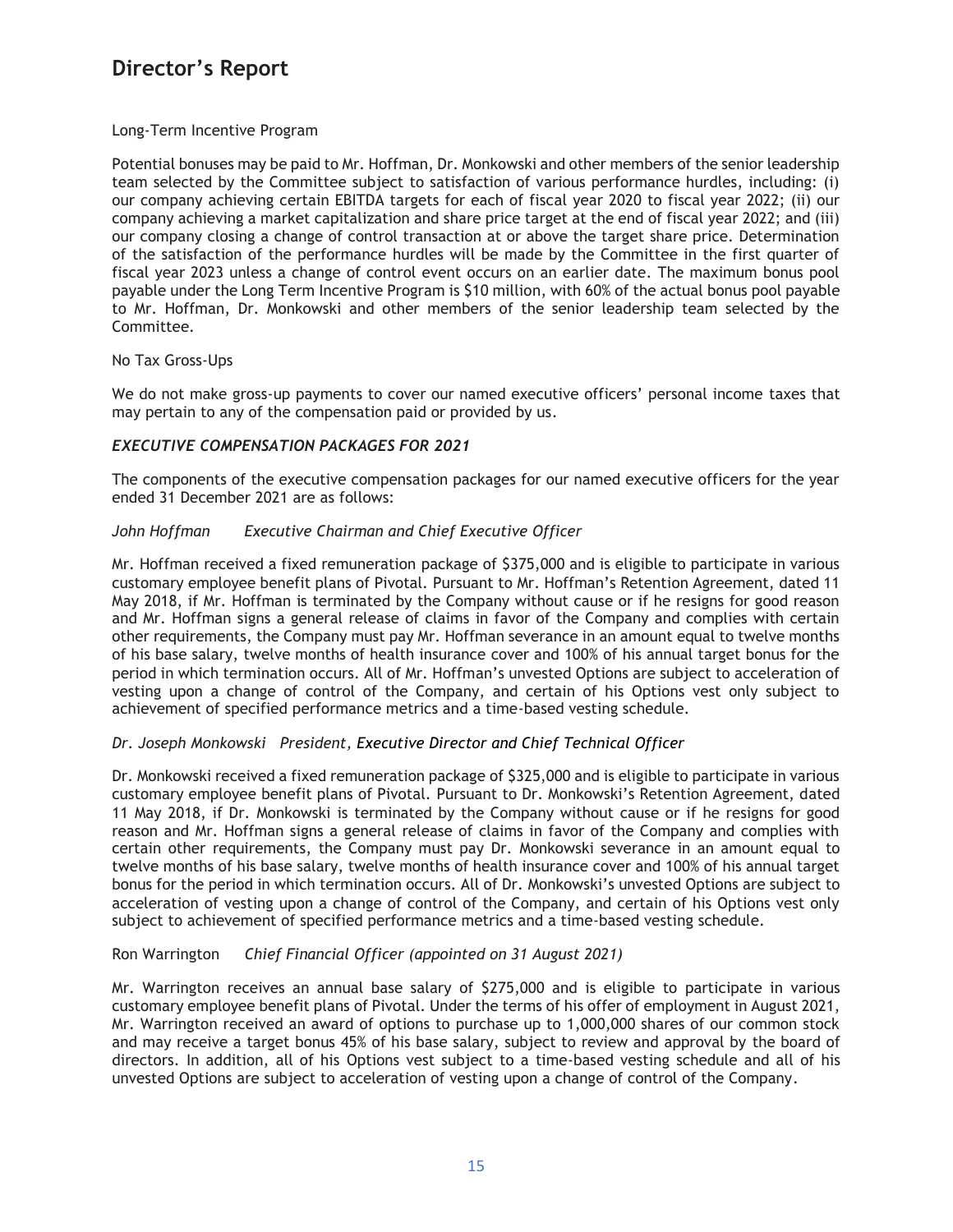## Long-Term Incentive Program

Potential bonuses may be paid to Mr. Hoffman, Dr. Monkowski and other members of the senior leadership team selected by the Committee subject to satisfaction of various performance hurdles, including: (i) our company achieving certain EBITDA targets for each of fiscal year 2020 to fiscal year 2022; (ii) our company achieving a market capitalization and share price target at the end of fiscal year 2022; and (iii) our company closing a change of control transaction at or above the target share price. Determination of the satisfaction of the performance hurdles will be made by the Committee in the first quarter of fiscal year 2023 unless a change of control event occurs on an earlier date. The maximum bonus pool payable under the Long Term Incentive Program is \$10 million, with 60% of the actual bonus pool payable to Mr. Hoffman, Dr. Monkowski and other members of the senior leadership team selected by the Committee.

## No Tax Gross-Ups

We do not make gross-up payments to cover our named executive officers' personal income taxes that may pertain to any of the compensation paid or provided by us.

## *EXECUTIVE COMPENSATION PACKAGES FOR 2021*

The components of the executive compensation packages for our named executive officers for the year ended 31 December 2021 are as follows:

## *John Hoffman Executive Chairman and Chief Executive Officer*

Mr. Hoffman received a fixed remuneration package of \$375,000 and is eligible to participate in various customary employee benefit plans of Pivotal. Pursuant to Mr. Hoffman's Retention Agreement, dated 11 May 2018, if Mr. Hoffman is terminated by the Company without cause or if he resigns for good reason and Mr. Hoffman signs a general release of claims in favor of the Company and complies with certain other requirements, the Company must pay Mr. Hoffman severance in an amount equal to twelve months of his base salary, twelve months of health insurance cover and 100% of his annual target bonus for the period in which termination occurs. All of Mr. Hoffman's unvested Options are subject to acceleration of vesting upon a change of control of the Company, and certain of his Options vest only subject to achievement of specified performance metrics and a time-based vesting schedule.

## *Dr. Joseph Monkowski President, Executive Director and Chief Technical Officer*

Dr. Monkowski received a fixed remuneration package of \$325,000 and is eligible to participate in various customary employee benefit plans of Pivotal. Pursuant to Dr. Monkowski's Retention Agreement, dated 11 May 2018, if Dr. Monkowski is terminated by the Company without cause or if he resigns for good reason and Mr. Hoffman signs a general release of claims in favor of the Company and complies with certain other requirements, the Company must pay Dr. Monkowski severance in an amount equal to twelve months of his base salary, twelve months of health insurance cover and 100% of his annual target bonus for the period in which termination occurs. All of Dr. Monkowski's unvested Options are subject to acceleration of vesting upon a change of control of the Company, and certain of his Options vest only subject to achievement of specified performance metrics and a time-based vesting schedule.

## Ron Warrington *Chief Financial Officer (appointed on 31 August 2021)*

Mr. Warrington receives an annual base salary of \$275,000 and is eligible to participate in various customary employee benefit plans of Pivotal. Under the terms of his offer of employment in August 2021, Mr. Warrington received an award of options to purchase up to 1,000,000 shares of our common stock and may receive a target bonus 45% of his base salary, subject to review and approval by the board of directors. In addition, all of his Options vest subject to a time-based vesting schedule and all of his unvested Options are subject to acceleration of vesting upon a change of control of the Company.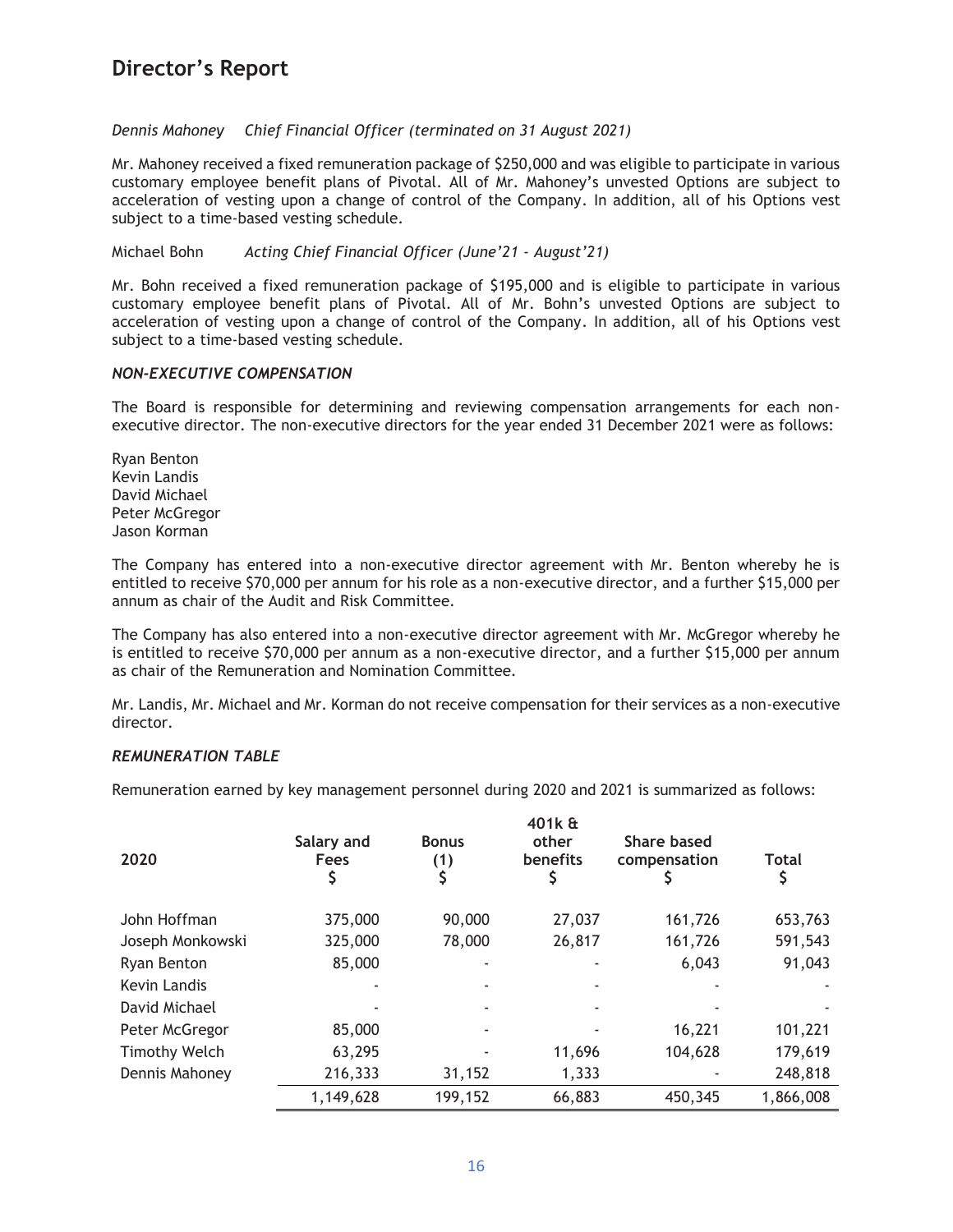*Dennis Mahoney Chief Financial Officer (terminated on 31 August 2021)*

Mr. Mahoney received a fixed remuneration package of \$250,000 and was eligible to participate in various customary employee benefit plans of Pivotal. All of Mr. Mahoney's unvested Options are subject to acceleration of vesting upon a change of control of the Company. In addition, all of his Options vest subject to a time-based vesting schedule.

Michael Bohn *Acting Chief Financial Officer (June'21 - August'21)*

Mr. Bohn received a fixed remuneration package of \$195,000 and is eligible to participate in various customary employee benefit plans of Pivotal. All of Mr. Bohn's unvested Options are subject to acceleration of vesting upon a change of control of the Company. In addition, all of his Options vest subject to a time-based vesting schedule.

## *NON-EXECUTIVE COMPENSATION*

The Board is responsible for determining and reviewing compensation arrangements for each nonexecutive director. The non-executive directors for the year ended 31 December 2021 were as follows:

Ryan Benton Kevin Landis David Michael Peter McGregor Jason Korman

The Company has entered into a non-executive director agreement with Mr. Benton whereby he is entitled to receive \$70,000 per annum for his role as a non-executive director, and a further \$15,000 per annum as chair of the Audit and Risk Committee.

The Company has also entered into a non-executive director agreement with Mr. McGregor whereby he is entitled to receive \$70,000 per annum as a non-executive director, and a further \$15,000 per annum as chair of the Remuneration and Nomination Committee.

Mr. Landis, Mr. Michael and Mr. Korman do not receive compensation for their services as a non-executive director.

## *REMUNERATION TABLE*

Remuneration earned by key management personnel during 2020 and 2021 is summarized as follows:

| 2020                 | Salary and<br><b>Fees</b> | <b>Bonus</b><br>(1) | 401k &<br>other<br>benefits | Share based<br>compensation | <b>Total</b> |
|----------------------|---------------------------|---------------------|-----------------------------|-----------------------------|--------------|
| John Hoffman         | 375,000                   | 90,000              | 27,037                      | 161,726                     | 653,763      |
| Joseph Monkowski     | 325,000                   | 78,000              | 26,817                      | 161,726                     | 591,543      |
| Ryan Benton          | 85,000                    |                     |                             | 6,043                       | 91,043       |
| Kevin Landis         |                           |                     |                             |                             |              |
| David Michael        |                           |                     |                             |                             |              |
| Peter McGregor       | 85,000                    |                     |                             | 16,221                      | 101,221      |
| <b>Timothy Welch</b> | 63,295                    |                     | 11,696                      | 104,628                     | 179,619      |
| Dennis Mahoney       | 216,333                   | 31,152              | 1,333                       |                             | 248,818      |
|                      | 1,149,628                 | 199,152             | 66,883                      | 450,345                     | 1,866,008    |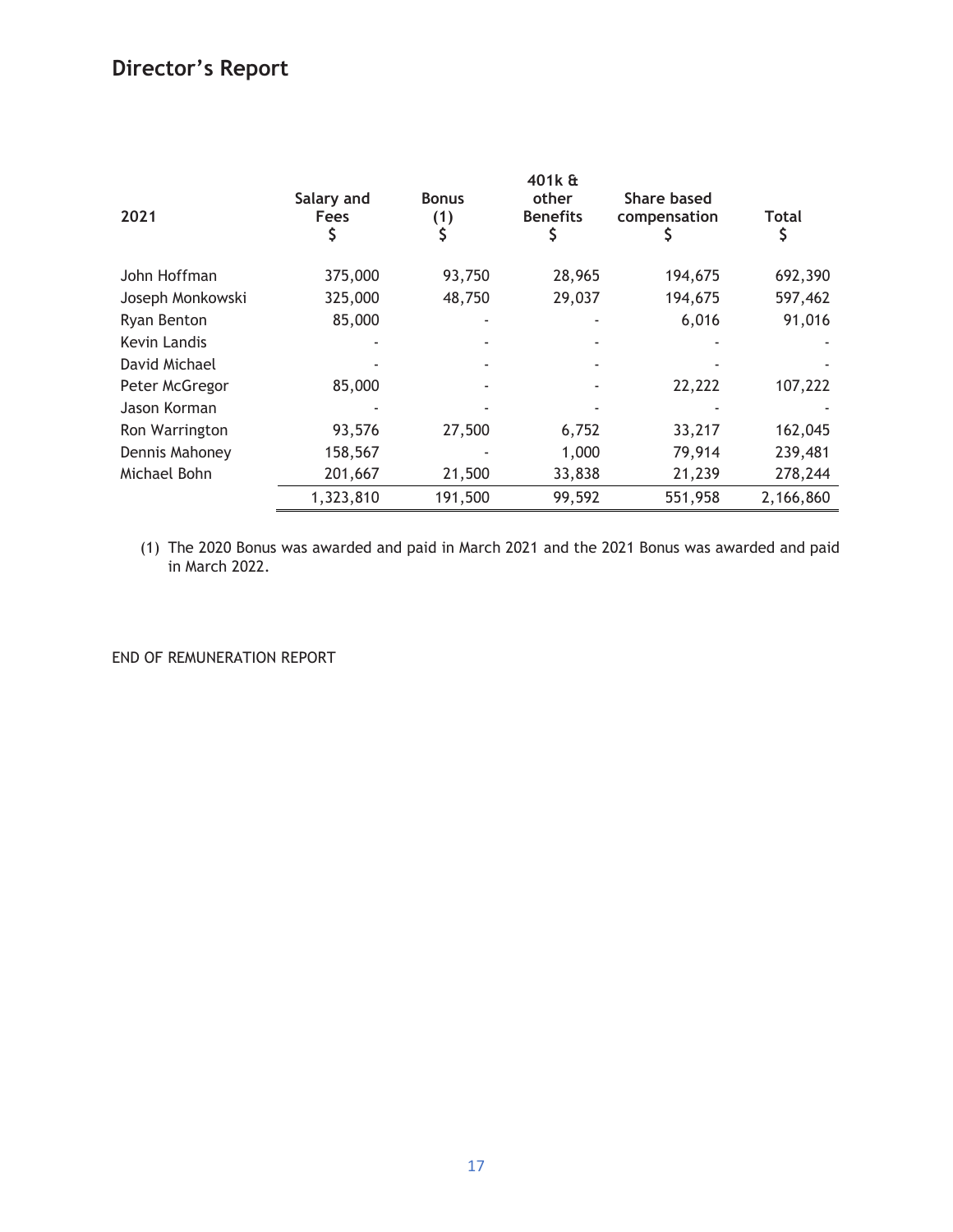| 2021             | Salary and<br>Fees<br>\$ | <b>Bonus</b><br>(1) | 401k &<br>other<br><b>Benefits</b> | <b>Share based</b><br>compensation | Total     |
|------------------|--------------------------|---------------------|------------------------------------|------------------------------------|-----------|
| John Hoffman     | 375,000                  | 93,750              | 28,965                             | 194,675                            | 692,390   |
| Joseph Monkowski | 325,000                  | 48,750              | 29,037                             | 194,675                            | 597,462   |
| Ryan Benton      | 85,000                   |                     |                                    | 6,016                              | 91,016    |
| Kevin Landis     |                          |                     |                                    |                                    |           |
| David Michael    |                          |                     |                                    |                                    |           |
| Peter McGregor   | 85,000                   |                     |                                    | 22,222                             | 107,222   |
| Jason Korman     |                          |                     |                                    |                                    |           |
| Ron Warrington   | 93,576                   | 27,500              | 6,752                              | 33,217                             | 162,045   |
| Dennis Mahoney   | 158,567                  |                     | 1,000                              | 79,914                             | 239,481   |
| Michael Bohn     | 201,667                  | 21,500              | 33,838                             | 21,239                             | 278,244   |
|                  | 1,323,810                | 191,500             | 99,592                             | 551,958                            | 2,166,860 |

(1) The 2020 Bonus was awarded and paid in March 2021 and the 2021 Bonus was awarded and paid in March 2022.

END OF REMUNERATION REPORT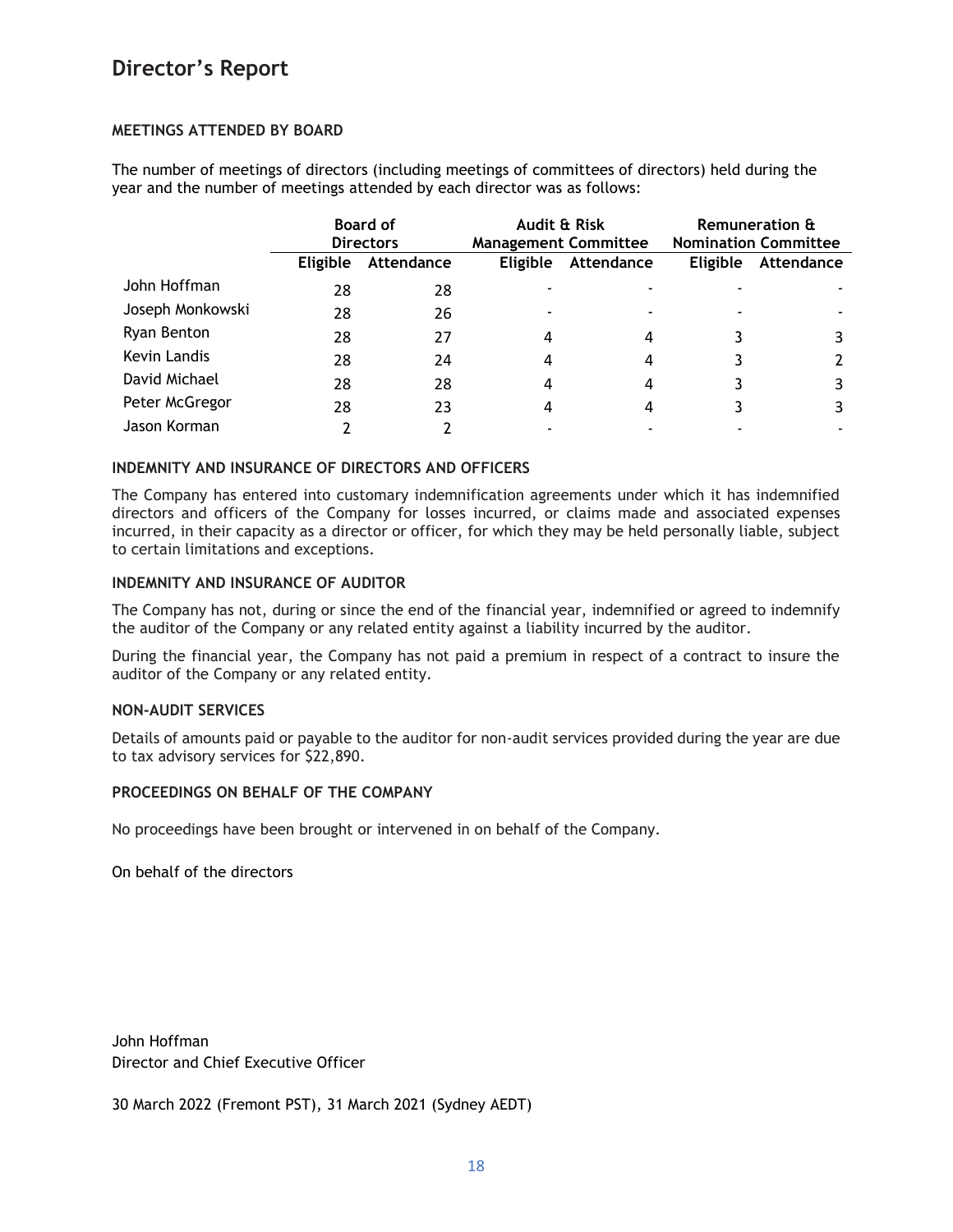## **MEETINGS ATTENDED BY BOARD**

The number of meetings of directors (including meetings of committees of directors) held during the year and the number of meetings attended by each director was as follows:

|                  |                 | <b>Board of</b><br><b>Directors</b> |                 | Audit & Risk<br><b>Management Committee</b> |                 | <b>Remuneration &amp;</b><br><b>Nomination Committee</b> |  |
|------------------|-----------------|-------------------------------------|-----------------|---------------------------------------------|-----------------|----------------------------------------------------------|--|
|                  | <b>Eligible</b> | Attendance                          | <b>Eligible</b> | Attendance                                  | <b>Eligible</b> | Attendance                                               |  |
| John Hoffman     | 28              | 28                                  |                 |                                             |                 |                                                          |  |
| Joseph Monkowski | 28              | 26                                  |                 |                                             |                 |                                                          |  |
| Ryan Benton      | 28              | 27                                  | 4               | 4                                           |                 |                                                          |  |
| Kevin Landis     | 28              | 24                                  | 4               | 4                                           |                 |                                                          |  |
| David Michael    | 28              | 28                                  | 4               | 4                                           |                 | 3                                                        |  |
| Peter McGregor   | 28              | 23                                  | 4               | 4                                           |                 | 3                                                        |  |
| Jason Korman     |                 |                                     |                 |                                             |                 |                                                          |  |

## **INDEMNITY AND INSURANCE OF DIRECTORS AND OFFICERS**

The Company has entered into customary indemnification agreements under which it has indemnified directors and officers of the Company for losses incurred, or claims made and associated expenses incurred, in their capacity as a director or officer, for which they may be held personally liable, subject to certain limitations and exceptions.

## **INDEMNITY AND INSURANCE OF AUDITOR**

The Company has not, during or since the end of the financial year, indemnified or agreed to indemnify the auditor of the Company or any related entity against a liability incurred by the auditor.

During the financial year, the Company has not paid a premium in respect of a contract to insure the auditor of the Company or any related entity.

## **NON-AUDIT SERVICES**

Details of amounts paid or payable to the auditor for non-audit services provided during the year are due to tax advisory services for \$22,890.

## **PROCEEDINGS ON BEHALF OF THE COMPANY**

No proceedings have been brought or intervened in on behalf of the Company.

On behalf of the directors

John Hoffman Director and Chief Executive Officer

30 March 2022 (Fremont PST), 31 March 2021 (Sydney AEDT)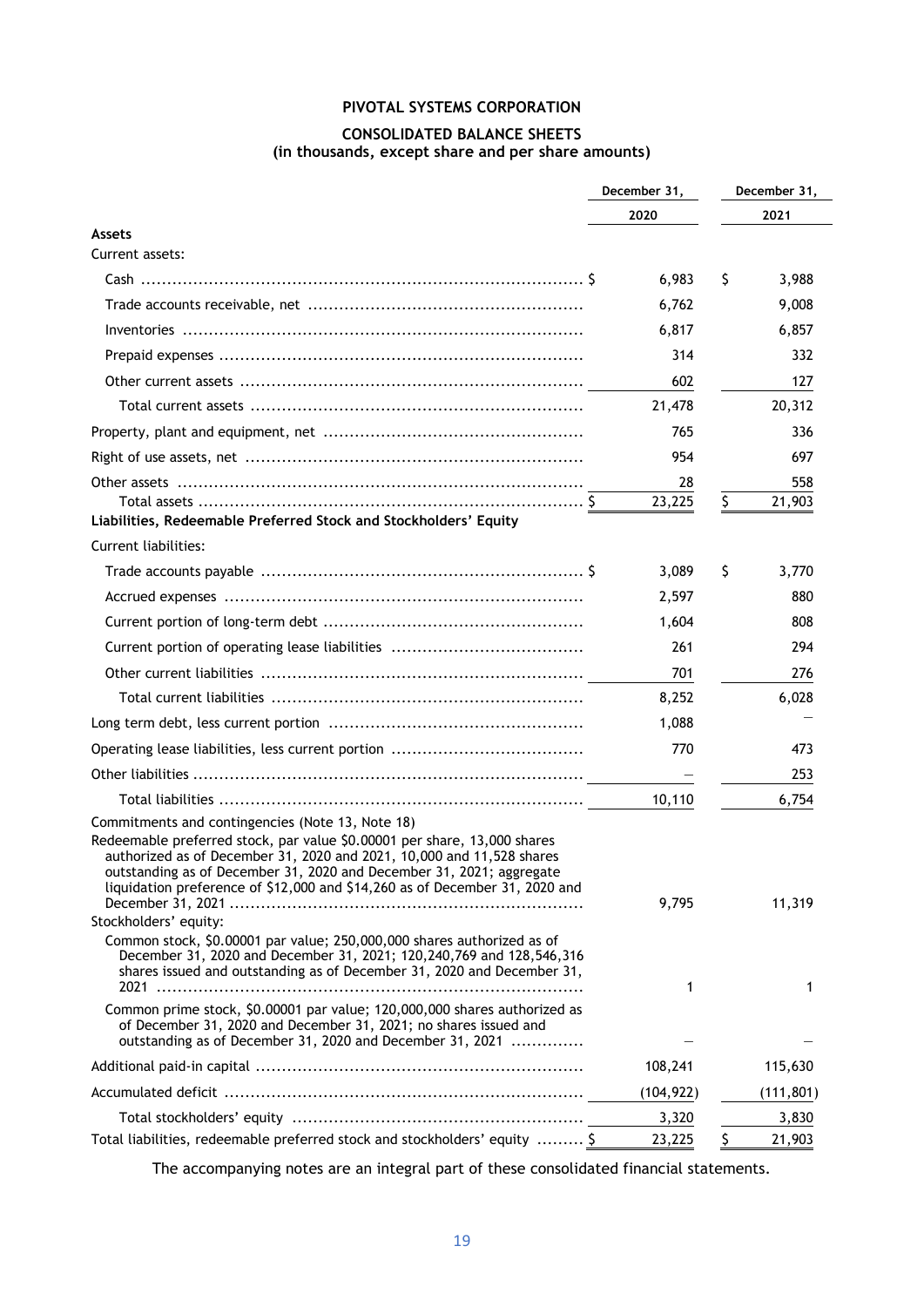## **PIVOTAL SYSTEMS CORPORATION**

## **CONSOLIDATED BALANCE SHEETS (in thousands, except share and per share amounts)**

|                                                                                                                                                                                                                                                                                                          | December 31, |    | December 31, |  |
|----------------------------------------------------------------------------------------------------------------------------------------------------------------------------------------------------------------------------------------------------------------------------------------------------------|--------------|----|--------------|--|
|                                                                                                                                                                                                                                                                                                          | 2020         |    | 2021         |  |
| <b>Assets</b>                                                                                                                                                                                                                                                                                            |              |    |              |  |
| Current assets:                                                                                                                                                                                                                                                                                          |              |    |              |  |
|                                                                                                                                                                                                                                                                                                          | 6,983        | Ş  | 3,988        |  |
|                                                                                                                                                                                                                                                                                                          | 6,762        |    | 9,008        |  |
|                                                                                                                                                                                                                                                                                                          | 6,817        |    | 6,857        |  |
|                                                                                                                                                                                                                                                                                                          | 314          |    | 332          |  |
|                                                                                                                                                                                                                                                                                                          | 602          |    | 127          |  |
|                                                                                                                                                                                                                                                                                                          | 21,478       |    | 20,312       |  |
|                                                                                                                                                                                                                                                                                                          | 765          |    | 336          |  |
|                                                                                                                                                                                                                                                                                                          | 954          |    | 697          |  |
|                                                                                                                                                                                                                                                                                                          | 28           |    | 558          |  |
|                                                                                                                                                                                                                                                                                                          | 23,225       | \$ | 21,903       |  |
| Liabilities, Redeemable Preferred Stock and Stockholders' Equity                                                                                                                                                                                                                                         |              |    |              |  |
| Current liabilities:                                                                                                                                                                                                                                                                                     |              |    |              |  |
|                                                                                                                                                                                                                                                                                                          | 3,089        | Ş  | 3,770        |  |
|                                                                                                                                                                                                                                                                                                          | 2,597        |    | 880          |  |
|                                                                                                                                                                                                                                                                                                          | 1,604        |    | 808          |  |
|                                                                                                                                                                                                                                                                                                          | 261          |    | 294          |  |
|                                                                                                                                                                                                                                                                                                          | 701          |    | 276          |  |
|                                                                                                                                                                                                                                                                                                          | 8,252        |    | 6,028        |  |
|                                                                                                                                                                                                                                                                                                          | 1,088        |    |              |  |
|                                                                                                                                                                                                                                                                                                          | 770          |    | 473          |  |
|                                                                                                                                                                                                                                                                                                          |              |    | 253          |  |
|                                                                                                                                                                                                                                                                                                          | 10.110       |    | 6,754        |  |
| Commitments and contingencies (Note 13, Note 18)                                                                                                                                                                                                                                                         |              |    |              |  |
| Redeemable preferred stock, par value \$0.00001 per share, 13,000 shares<br>authorized as of December 31, 2020 and 2021, 10,000 and 11,528 shares<br>outstanding as of December 31, 2020 and December 31, 2021; aggregate<br>liquidation preference of \$12,000 and \$14,260 as of December 31, 2020 and | 9,795        |    | 11,319       |  |
| Stockholders' equity:                                                                                                                                                                                                                                                                                    |              |    |              |  |
| Common stock, \$0.00001 par value; 250,000,000 shares authorized as of<br>December 31, 2020 and December 31, 2021; 120, 240, 769 and 128, 546, 316<br>shares issued and outstanding as of December 31, 2020 and December 31,                                                                             | 1            |    | 1            |  |
| Common prime stock, \$0.00001 par value; 120,000,000 shares authorized as<br>of December 31, 2020 and December 31, 2021; no shares issued and<br>outstanding as of December 31, 2020 and December 31, 2021                                                                                               |              |    |              |  |
|                                                                                                                                                                                                                                                                                                          | 108,241      |    | 115,630      |  |
|                                                                                                                                                                                                                                                                                                          | (104, 922)   |    | (111, 801)   |  |
|                                                                                                                                                                                                                                                                                                          | 3,320        |    | 3,830        |  |
| Total liabilities, redeemable preferred stock and stockholders' equity  \$                                                                                                                                                                                                                               | 23,225       | \$ | 21,903       |  |

The accompanying notes are an integral part of these consolidated financial statements.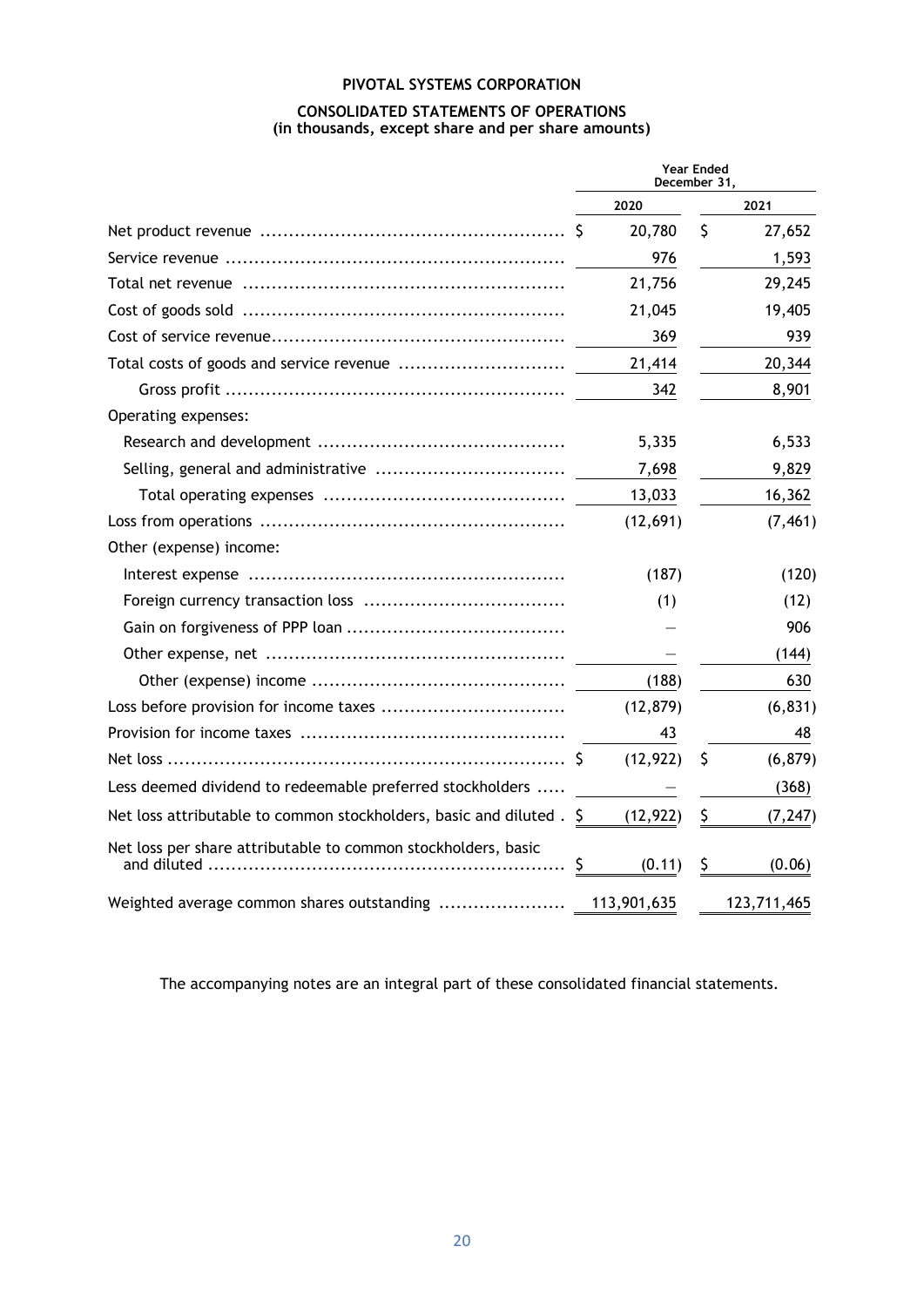## **PIVOTAL SYSTEMS CORPORATION CONSOLIDATED STATEMENTS OF OPERATIONS (in thousands, except share and per share amounts)**

|                                                                      | <b>Year Ended</b><br>December 31, |           |    |             |
|----------------------------------------------------------------------|-----------------------------------|-----------|----|-------------|
|                                                                      |                                   | 2020      |    | 2021        |
|                                                                      |                                   | 20,780    | \$ | 27,652      |
|                                                                      |                                   | 976       |    | 1,593       |
|                                                                      |                                   | 21,756    |    | 29,245      |
|                                                                      |                                   | 21,045    |    | 19,405      |
|                                                                      |                                   | 369       |    | 939         |
|                                                                      |                                   | 21,414    |    | 20,344      |
|                                                                      |                                   | 342       |    | 8,901       |
| Operating expenses:                                                  |                                   |           |    |             |
|                                                                      |                                   | 5,335     |    | 6,533       |
|                                                                      |                                   | 7,698     |    | 9,829       |
|                                                                      |                                   | 13,033    |    | 16,362      |
|                                                                      |                                   | (12,691)  |    | (7, 461)    |
| Other (expense) income:                                              |                                   |           |    |             |
|                                                                      |                                   | (187)     |    | (120)       |
|                                                                      |                                   | (1)       |    | (12)        |
|                                                                      |                                   |           |    | 906         |
|                                                                      |                                   |           |    | (144)       |
|                                                                      |                                   | (188)     |    | 630         |
|                                                                      |                                   | (12, 879) |    | (6, 831)    |
|                                                                      |                                   | 43        |    | 48          |
|                                                                      |                                   | (12, 922) | \$ | (6, 879)    |
| Less deemed dividend to redeemable preferred stockholders            |                                   |           |    | (368)       |
| Net loss attributable to common stockholders, basic and diluted . \$ |                                   | (12, 922) | \$ | (7, 247)    |
| Net loss per share attributable to common stockholders, basic        | \$                                | (0.11)    | \$ | (0.06)      |
|                                                                      |                                   |           |    | 123,711,465 |

The accompanying notes are an integral part of these consolidated financial statements.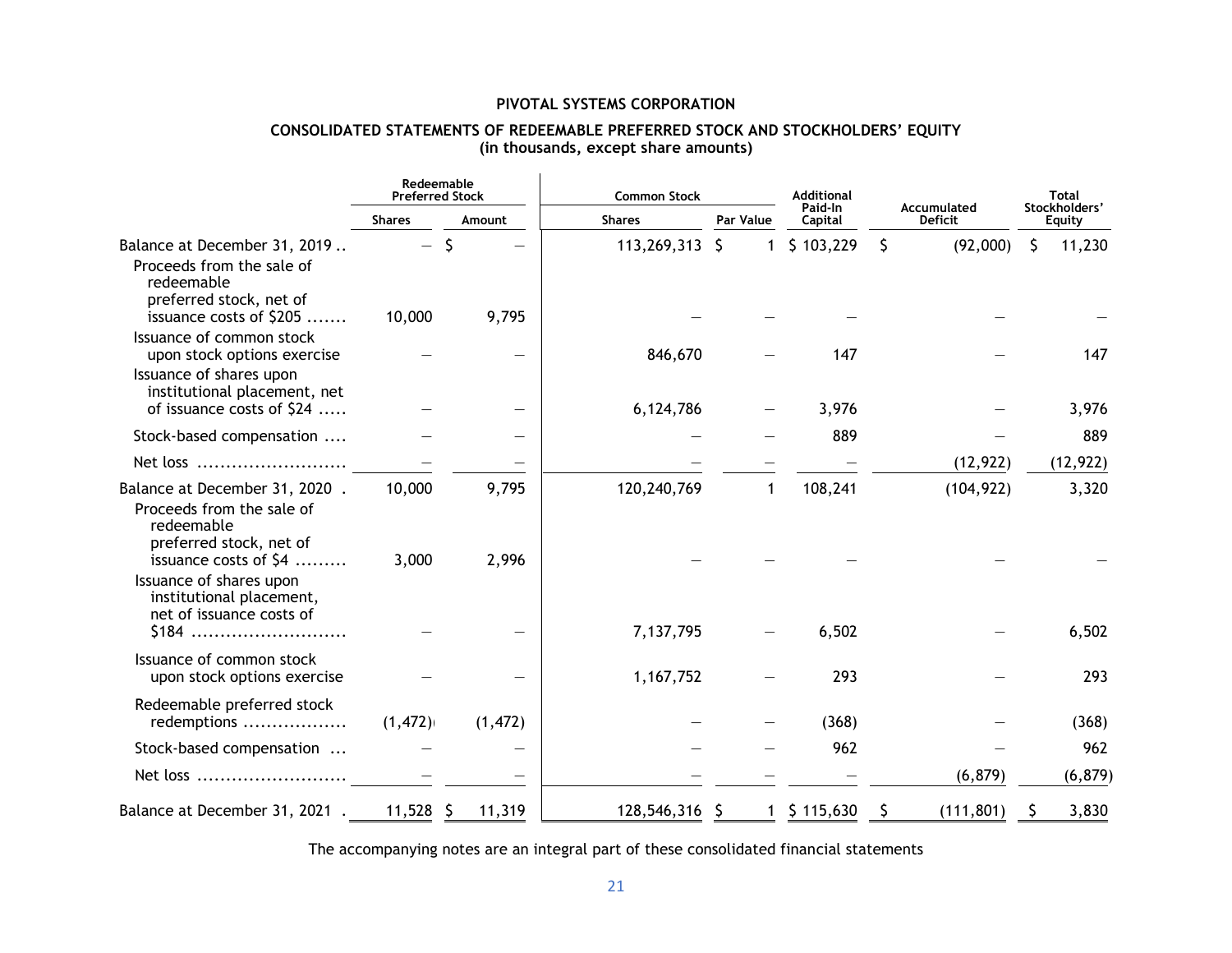## **PIVOTAL SYSTEMS CORPORATION**

## **CONSOLIDATED STATEMENTS OF REDEEMABLE PREFERRED STOCK AND STOCKHOLDERS' EQUITY (in thousands, except share amounts)**

|                                                                                                                                     | Redeemable<br><b>Preferred Stock</b> |                          | <b>Common Stock</b> |           | <b>Additional</b>         | Accumulated      | <b>Total</b><br>Stockholders' |  |
|-------------------------------------------------------------------------------------------------------------------------------------|--------------------------------------|--------------------------|---------------------|-----------|---------------------------|------------------|-------------------------------|--|
|                                                                                                                                     | <b>Shares</b>                        | Amount                   | <b>Shares</b>       | Par Value | Paid-In<br>Capital        | <b>Deficit</b>   | <b>Equity</b>                 |  |
| Balance at December 31, 2019<br>Proceeds from the sale of<br>redeemable                                                             | $\overline{\phantom{m}}$             | Ŝ                        | 113,269,313 \$      |           | \$103,229<br>$\mathbf{1}$ | \$<br>(92,000)   | S.<br>11,230                  |  |
| preferred stock, net of<br>issuance costs of \$205                                                                                  | 10,000                               | 9,795                    |                     |           |                           |                  |                               |  |
| Issuance of common stock<br>upon stock options exercise                                                                             |                                      | $\overline{\phantom{0}}$ | 846,670             |           | 147                       |                  | 147                           |  |
| Issuance of shares upon<br>institutional placement, net<br>of issuance costs of \$24                                                |                                      |                          | 6,124,786           |           | 3,976                     |                  | 3,976                         |  |
| Stock-based compensation                                                                                                            |                                      |                          |                     |           | 889                       |                  | 889                           |  |
| Net loss                                                                                                                            |                                      |                          |                     |           |                           | (12, 922)        | (12, 922)                     |  |
| Balance at December 31, 2020.<br>Proceeds from the sale of<br>redeemable                                                            | 10,000                               | 9,795                    | 120,240,769         |           | 108,241                   | (104, 922)       | 3,320                         |  |
| preferred stock, net of<br>issuance costs of \$4<br>Issuance of shares upon<br>institutional placement,<br>net of issuance costs of | 3,000                                | 2,996                    |                     |           |                           |                  |                               |  |
| $$184$                                                                                                                              |                                      |                          | 7,137,795           |           | 6,502                     |                  | 6,502                         |  |
| Issuance of common stock<br>upon stock options exercise                                                                             |                                      |                          | 1,167,752           |           | 293                       |                  | 293                           |  |
| Redeemable preferred stock<br>redemptions                                                                                           | (1, 472)                             | (1, 472)                 |                     |           | (368)                     |                  | (368)                         |  |
| Stock-based compensation                                                                                                            |                                      |                          |                     |           | 962                       |                  | 962                           |  |
| Net loss                                                                                                                            |                                      |                          |                     |           |                           | (6, 879)         | (6, 879)                      |  |
| Balance at December 31, 2021.                                                                                                       | $11,528$ \$                          | 11,319                   | 128,546,316 \$      |           | \$115,630<br>$\mathbf{1}$ | (111, 801)<br>\$ | 3,830<br>S                    |  |

The accompanying notes are an integral part of these consolidated financial statements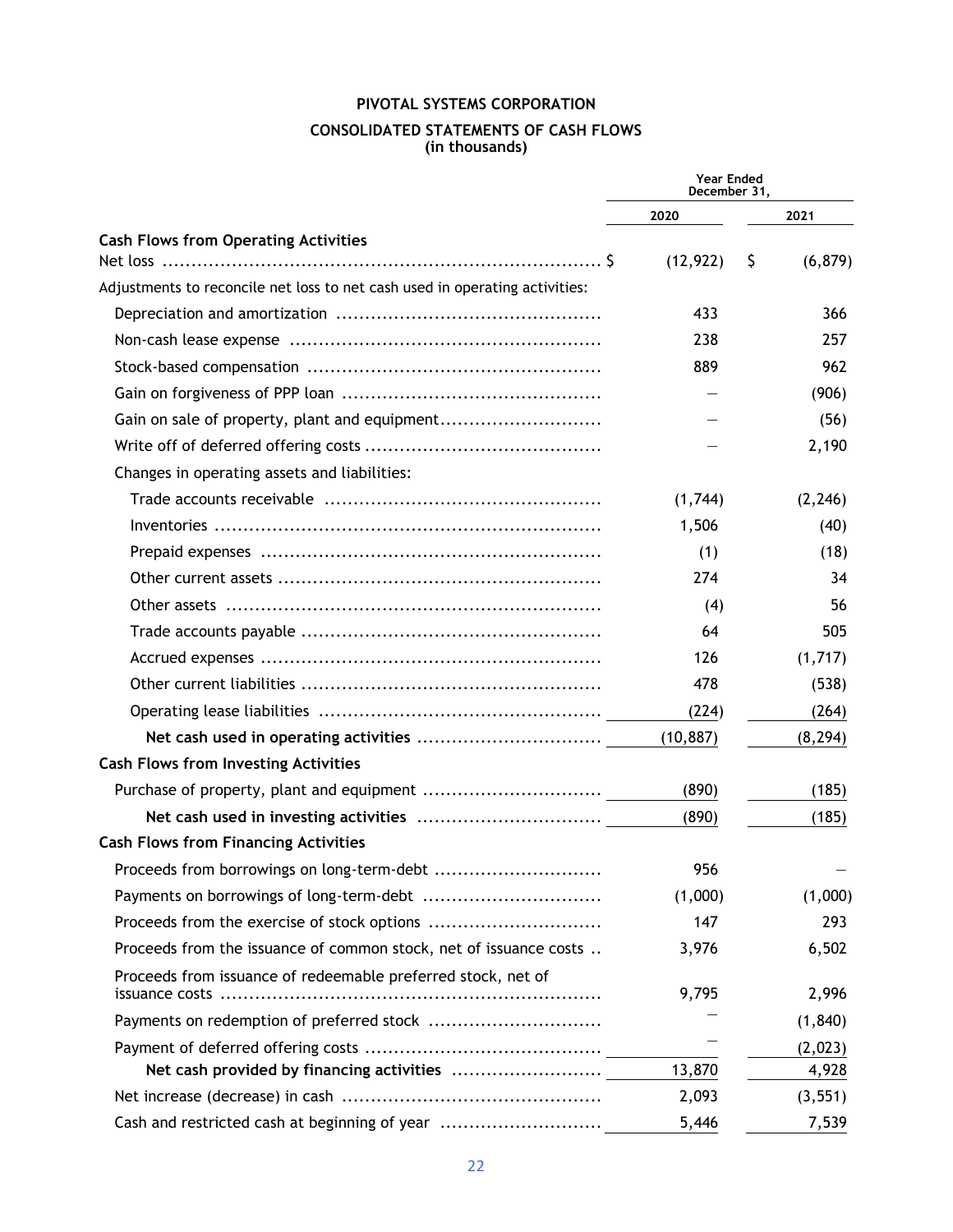## **PIVOTAL SYSTEMS CORPORATION CONSOLIDATED STATEMENTS OF CASH FLOWS (in thousands)**

|                                                                                | <b>Year Ended</b><br>December 31, |    |          |
|--------------------------------------------------------------------------------|-----------------------------------|----|----------|
|                                                                                | 2020                              |    | 2021     |
| <b>Cash Flows from Operating Activities</b>                                    |                                   |    |          |
|                                                                                | (12, 922)                         | \$ | (6, 879) |
| Adjustments to reconcile net loss to net cash used in operating activities:    |                                   |    |          |
|                                                                                | 433                               |    | 366      |
|                                                                                | 238                               |    | 257      |
|                                                                                | 889                               |    | 962      |
|                                                                                |                                   |    | (906)    |
| Gain on sale of property, plant and equipment                                  |                                   |    | (56)     |
|                                                                                |                                   |    | 2,190    |
| Changes in operating assets and liabilities:                                   |                                   |    |          |
|                                                                                | (1,744)                           |    | (2, 246) |
|                                                                                | 1,506                             |    | (40)     |
|                                                                                | (1)                               |    | (18)     |
|                                                                                | 274                               |    | 34       |
|                                                                                | (4)                               |    | 56       |
|                                                                                | 64                                |    | 505      |
|                                                                                | 126                               |    | (1,717)  |
|                                                                                | 478                               |    | (538)    |
|                                                                                | (224)                             |    | (264)    |
|                                                                                | (10, 887)                         |    | (8, 294) |
| <b>Cash Flows from Investing Activities</b>                                    |                                   |    |          |
|                                                                                | (890)                             |    | (185)    |
|                                                                                | (890)                             |    | (185)    |
| <b>Cash Flows from Financing Activities</b>                                    |                                   |    |          |
| Proceeds from borrowings on long-term-debt                                     | 956                               |    |          |
|                                                                                | (1,000)                           |    | (1,000)  |
|                                                                                | 147                               |    | 293      |
| Proceeds from the issuance of common stock, net of issuance costs              | 3,976                             |    | 6,502    |
| Proceeds from issuance of redeemable preferred stock, net of<br>issuance costs | 9,795                             |    | 2,996    |
| Payments on redemption of preferred stock                                      |                                   |    | (1, 840) |
|                                                                                |                                   |    | (2,023)  |
|                                                                                | 13,870                            |    | 4,928    |
|                                                                                | 2,093                             |    | (3, 551) |
| Cash and restricted cash at beginning of year                                  | 5,446                             |    | 7,539    |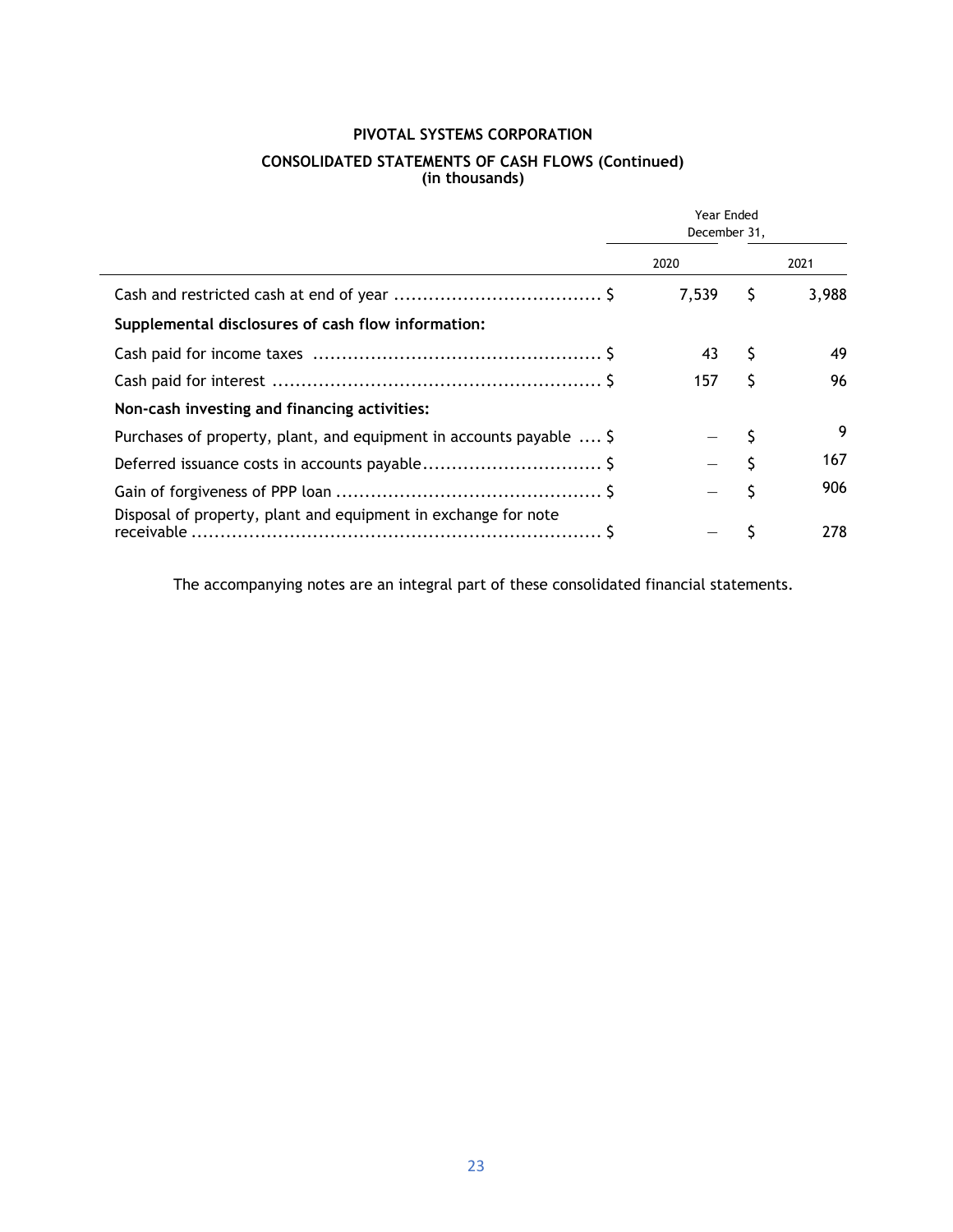## **PIVOTAL SYSTEMS CORPORATION**

#### **CONSOLIDATED STATEMENTS OF CASH FLOWS (Continued) (in thousands)**

|                                                                     | Year Ended<br>December 31, |       |     |       |
|---------------------------------------------------------------------|----------------------------|-------|-----|-------|
|                                                                     |                            | 2020  |     | 2021  |
|                                                                     |                            | 7,539 | \$. | 3,988 |
| Supplemental disclosures of cash flow information:                  |                            |       |     |       |
|                                                                     |                            | 43    | S   | 49    |
|                                                                     |                            | 157   | S   | 96    |
| Non-cash investing and financing activities:                        |                            |       |     |       |
| Purchases of property, plant, and equipment in accounts payable  \$ |                            |       |     | 9     |
|                                                                     |                            |       |     | 167   |
|                                                                     |                            |       |     | 906   |
| Disposal of property, plant and equipment in exchange for note      |                            |       |     | 278   |

The accompanying notes are an integral part of these consolidated financial statements.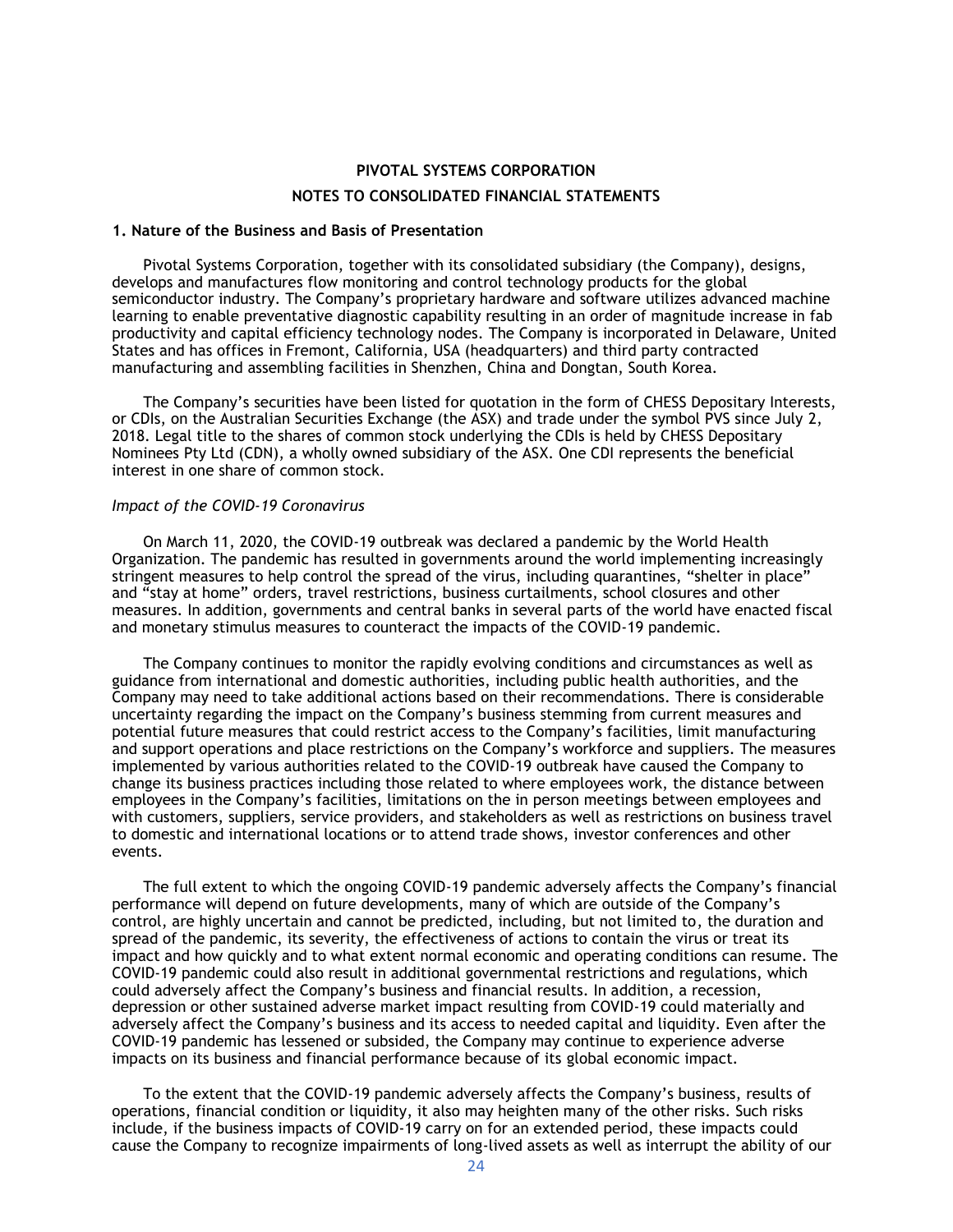## **PIVOTAL SYSTEMS CORPORATION NOTES TO CONSOLIDATED FINANCIAL STATEMENTS**

#### **1. Nature of the Business and Basis of Presentation**

Pivotal Systems Corporation, together with its consolidated subsidiary (the Company), designs, develops and manufactures flow monitoring and control technology products for the global semiconductor industry. The Company's proprietary hardware and software utilizes advanced machine learning to enable preventative diagnostic capability resulting in an order of magnitude increase in fab productivity and capital efficiency technology nodes. The Company is incorporated in Delaware, United States and has offices in Fremont, California, USA (headquarters) and third party contracted manufacturing and assembling facilities in Shenzhen, China and Dongtan, South Korea.

The Company's securities have been listed for quotation in the form of CHESS Depositary Interests, or CDIs, on the Australian Securities Exchange (the ASX) and trade under the symbol PVS since July 2, 2018. Legal title to the shares of common stock underlying the CDIs is held by CHESS Depositary Nominees Pty Ltd (CDN), a wholly owned subsidiary of the ASX. One CDI represents the beneficial interest in one share of common stock.

#### *Impact of the COVID-19 Coronavirus*

On March 11, 2020, the COVID-19 outbreak was declared a pandemic by the World Health Organization. The pandemic has resulted in governments around the world implementing increasingly stringent measures to help control the spread of the virus, including quarantines, "shelter in place" and "stay at home" orders, travel restrictions, business curtailments, school closures and other measures. In addition, governments and central banks in several parts of the world have enacted fiscal and monetary stimulus measures to counteract the impacts of the COVID-19 pandemic.

The Company continues to monitor the rapidly evolving conditions and circumstances as well as guidance from international and domestic authorities, including public health authorities, and the Company may need to take additional actions based on their recommendations. There is considerable uncertainty regarding the impact on the Company's business stemming from current measures and potential future measures that could restrict access to the Company's facilities, limit manufacturing and support operations and place restrictions on the Company's workforce and suppliers. The measures implemented by various authorities related to the COVID-19 outbreak have caused the Company to change its business practices including those related to where employees work, the distance between employees in the Company's facilities, limitations on the in person meetings between employees and with customers, suppliers, service providers, and stakeholders as well as restrictions on business travel to domestic and international locations or to attend trade shows, investor conferences and other events.

The full extent to which the ongoing COVID-19 pandemic adversely affects the Company's financial performance will depend on future developments, many of which are outside of the Company's control, are highly uncertain and cannot be predicted, including, but not limited to, the duration and spread of the pandemic, its severity, the effectiveness of actions to contain the virus or treat its impact and how quickly and to what extent normal economic and operating conditions can resume. The COVID-19 pandemic could also result in additional governmental restrictions and regulations, which could adversely affect the Company's business and financial results. In addition, a recession, depression or other sustained adverse market impact resulting from COVID-19 could materially and adversely affect the Company's business and its access to needed capital and liquidity. Even after the COVID-19 pandemic has lessened or subsided, the Company may continue to experience adverse impacts on its business and financial performance because of its global economic impact.

To the extent that the COVID-19 pandemic adversely affects the Company's business, results of operations, financial condition or liquidity, it also may heighten many of the other risks. Such risks include, if the business impacts of COVID-19 carry on for an extended period, these impacts could cause the Company to recognize impairments of long-lived assets as well as interrupt the ability of our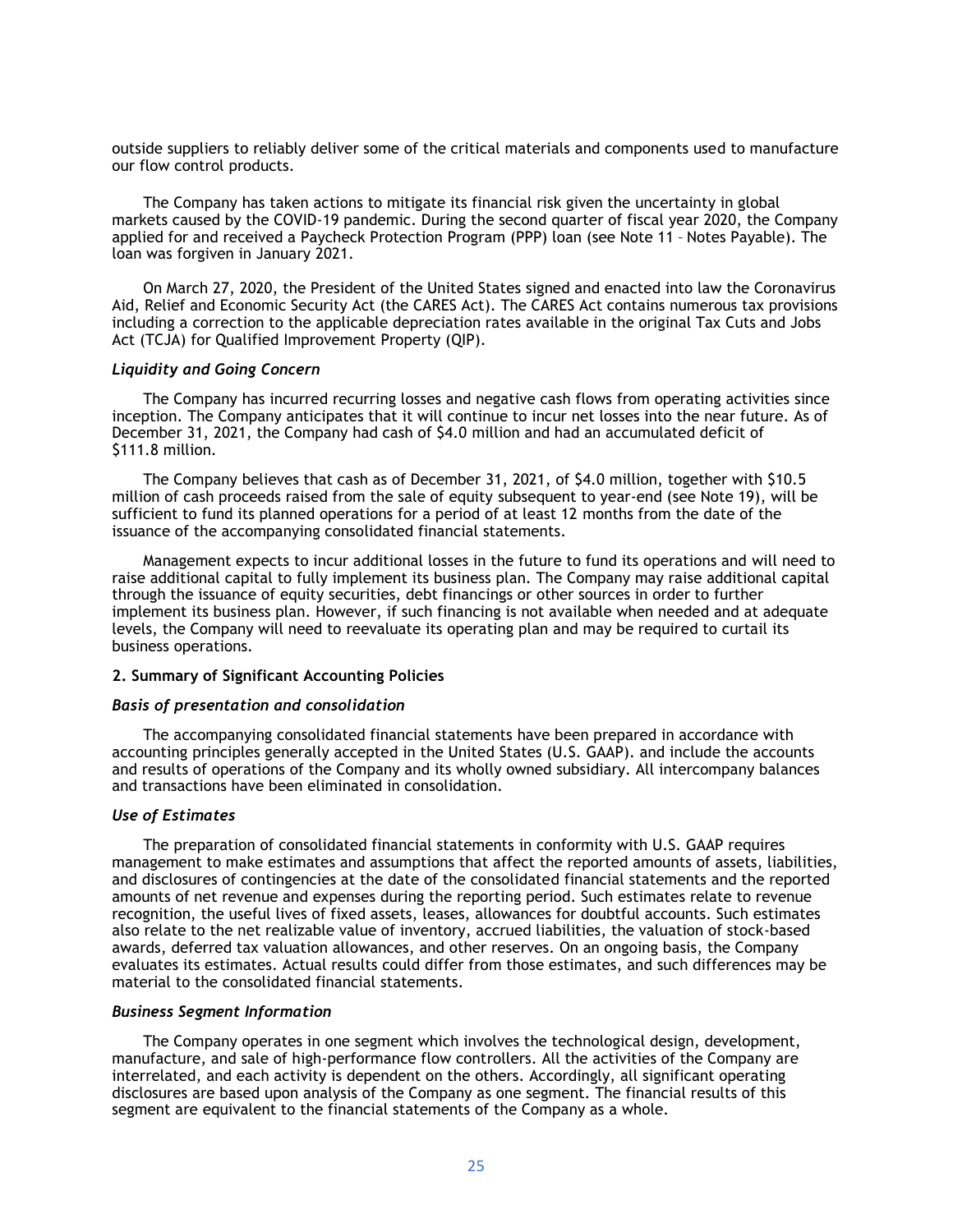outside suppliers to reliably deliver some of the critical materials and components used to manufacture our flow control products.

The Company has taken actions to mitigate its financial risk given the uncertainty in global markets caused by the COVID-19 pandemic. During the second quarter of fiscal year 2020, the Company applied for and received a Paycheck Protection Program (PPP) loan (see Note 11 – Notes Payable). The loan was forgiven in January 2021.

On March 27, 2020, the President of the United States signed and enacted into law the Coronavirus Aid, Relief and Economic Security Act (the CARES Act). The CARES Act contains numerous tax provisions including a correction to the applicable depreciation rates available in the original Tax Cuts and Jobs Act (TCJA) for Qualified Improvement Property (QIP).

#### *Liquidity and Going Concern*

The Company has incurred recurring losses and negative cash flows from operating activities since inception. The Company anticipates that it will continue to incur net losses into the near future. As of December 31, 2021, the Company had cash of \$4.0 million and had an accumulated deficit of \$111.8 million.

The Company believes that cash as of December 31, 2021, of \$4.0 million, together with \$10.5 million of cash proceeds raised from the sale of equity subsequent to year-end (see Note 19), will be sufficient to fund its planned operations for a period of at least 12 months from the date of the issuance of the accompanying consolidated financial statements.

Management expects to incur additional losses in the future to fund its operations and will need to raise additional capital to fully implement its business plan. The Company may raise additional capital through the issuance of equity securities, debt financings or other sources in order to further implement its business plan. However, if such financing is not available when needed and at adequate levels, the Company will need to reevaluate its operating plan and may be required to curtail its business operations.

#### **2. Summary of Significant Accounting Policies**

#### *Basis of presentation and consolidation*

The accompanying consolidated financial statements have been prepared in accordance with accounting principles generally accepted in the United States (U.S. GAAP). and include the accounts and results of operations of the Company and its wholly owned subsidiary. All intercompany balances and transactions have been eliminated in consolidation.

#### *Use of Estimates*

The preparation of consolidated financial statements in conformity with U.S. GAAP requires management to make estimates and assumptions that affect the reported amounts of assets, liabilities, and disclosures of contingencies at the date of the consolidated financial statements and the reported amounts of net revenue and expenses during the reporting period. Such estimates relate to revenue recognition, the useful lives of fixed assets, leases, allowances for doubtful accounts. Such estimates also relate to the net realizable value of inventory, accrued liabilities, the valuation of stock-based awards, deferred tax valuation allowances, and other reserves. On an ongoing basis, the Company evaluates its estimates. Actual results could differ from those estimates, and such differences may be material to the consolidated financial statements.

#### *Business Segment Information*

The Company operates in one segment which involves the technological design, development, manufacture, and sale of high-performance flow controllers. All the activities of the Company are interrelated, and each activity is dependent on the others. Accordingly, all significant operating disclosures are based upon analysis of the Company as one segment. The financial results of this segment are equivalent to the financial statements of the Company as a whole.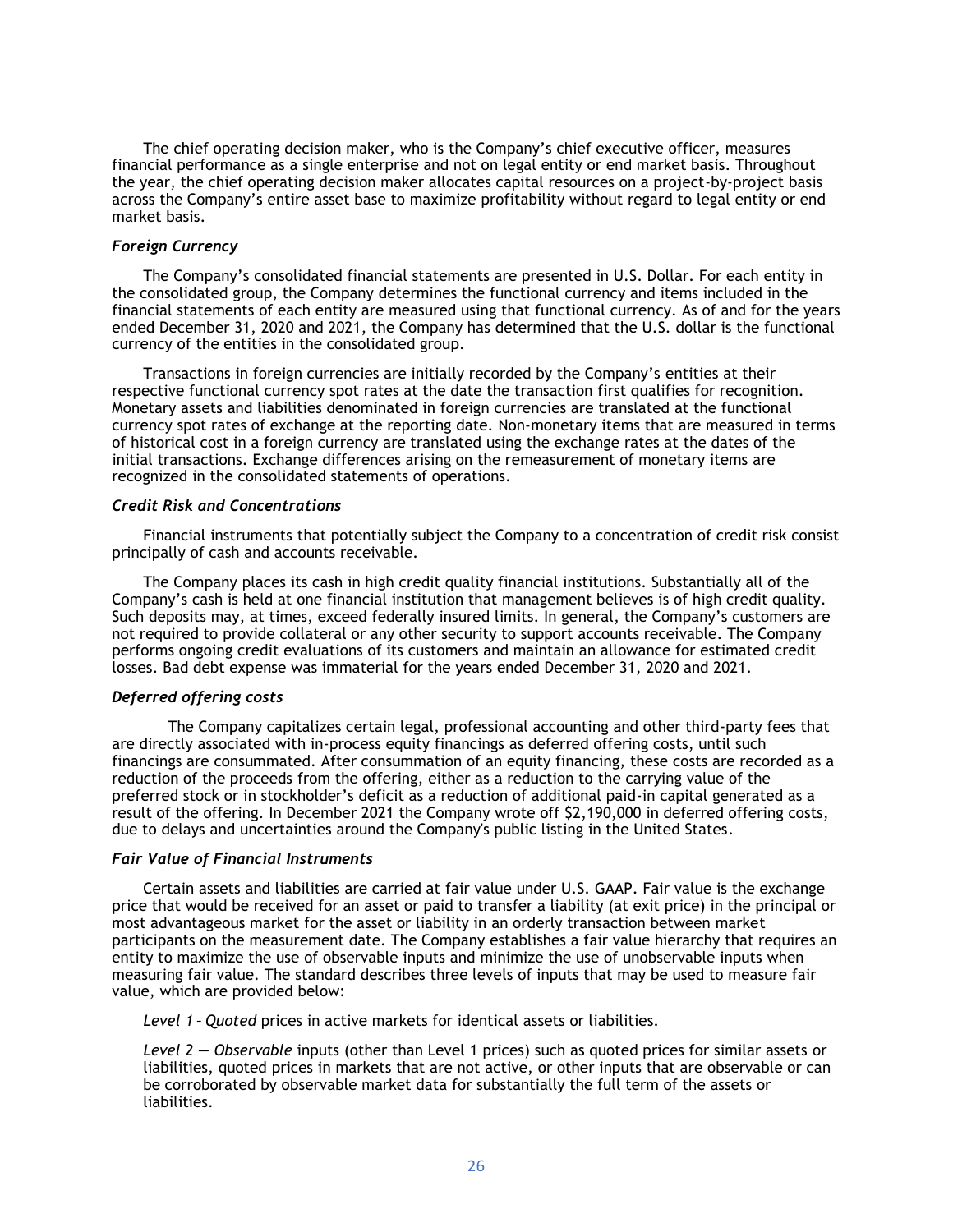The chief operating decision maker, who is the Company's chief executive officer, measures financial performance as a single enterprise and not on legal entity or end market basis. Throughout the year, the chief operating decision maker allocates capital resources on a project-by-project basis across the Company's entire asset base to maximize profitability without regard to legal entity or end market basis.

### *Foreign Currency*

The Company's consolidated financial statements are presented in U.S. Dollar. For each entity in the consolidated group, the Company determines the functional currency and items included in the financial statements of each entity are measured using that functional currency. As of and for the years ended December 31, 2020 and 2021, the Company has determined that the U.S. dollar is the functional currency of the entities in the consolidated group.

Transactions in foreign currencies are initially recorded by the Company's entities at their respective functional currency spot rates at the date the transaction first qualifies for recognition. Monetary assets and liabilities denominated in foreign currencies are translated at the functional currency spot rates of exchange at the reporting date. Non-monetary items that are measured in terms of historical cost in a foreign currency are translated using the exchange rates at the dates of the initial transactions. Exchange differences arising on the remeasurement of monetary items are recognized in the consolidated statements of operations.

#### *Credit Risk and Concentrations*

Financial instruments that potentially subject the Company to a concentration of credit risk consist principally of cash and accounts receivable.

The Company places its cash in high credit quality financial institutions. Substantially all of the Company's cash is held at one financial institution that management believes is of high credit quality. Such deposits may, at times, exceed federally insured limits. In general, the Company's customers are not required to provide collateral or any other security to support accounts receivable. The Company performs ongoing credit evaluations of its customers and maintain an allowance for estimated credit losses. Bad debt expense was immaterial for the years ended December 31, 2020 and 2021.

### *Deferred offering costs*

The Company capitalizes certain legal, professional accounting and other third-party fees that are directly associated with in-process equity financings as deferred offering costs, until such financings are consummated. After consummation of an equity financing, these costs are recorded as a reduction of the proceeds from the offering, either as a reduction to the carrying value of the preferred stock or in stockholder's deficit as a reduction of additional paid-in capital generated as a result of the offering. In December 2021 the Company wrote off \$2,190,000 in deferred offering costs, due to delays and uncertainties around the Company's public listing in the United States.

#### *Fair Value of Financial Instruments*

Certain assets and liabilities are carried at fair value under U.S. GAAP. Fair value is the exchange price that would be received for an asset or paid to transfer a liability (at exit price) in the principal or most advantageous market for the asset or liability in an orderly transaction between market participants on the measurement date. The Company establishes a fair value hierarchy that requires an entity to maximize the use of observable inputs and minimize the use of unobservable inputs when measuring fair value. The standard describes three levels of inputs that may be used to measure fair value, which are provided below:

*Level 1 – Quoted* prices in active markets for identical assets or liabilities.

*Level 2 — Observable* inputs (other than Level 1 prices) such as quoted prices for similar assets or liabilities, quoted prices in markets that are not active, or other inputs that are observable or can be corroborated by observable market data for substantially the full term of the assets or liabilities.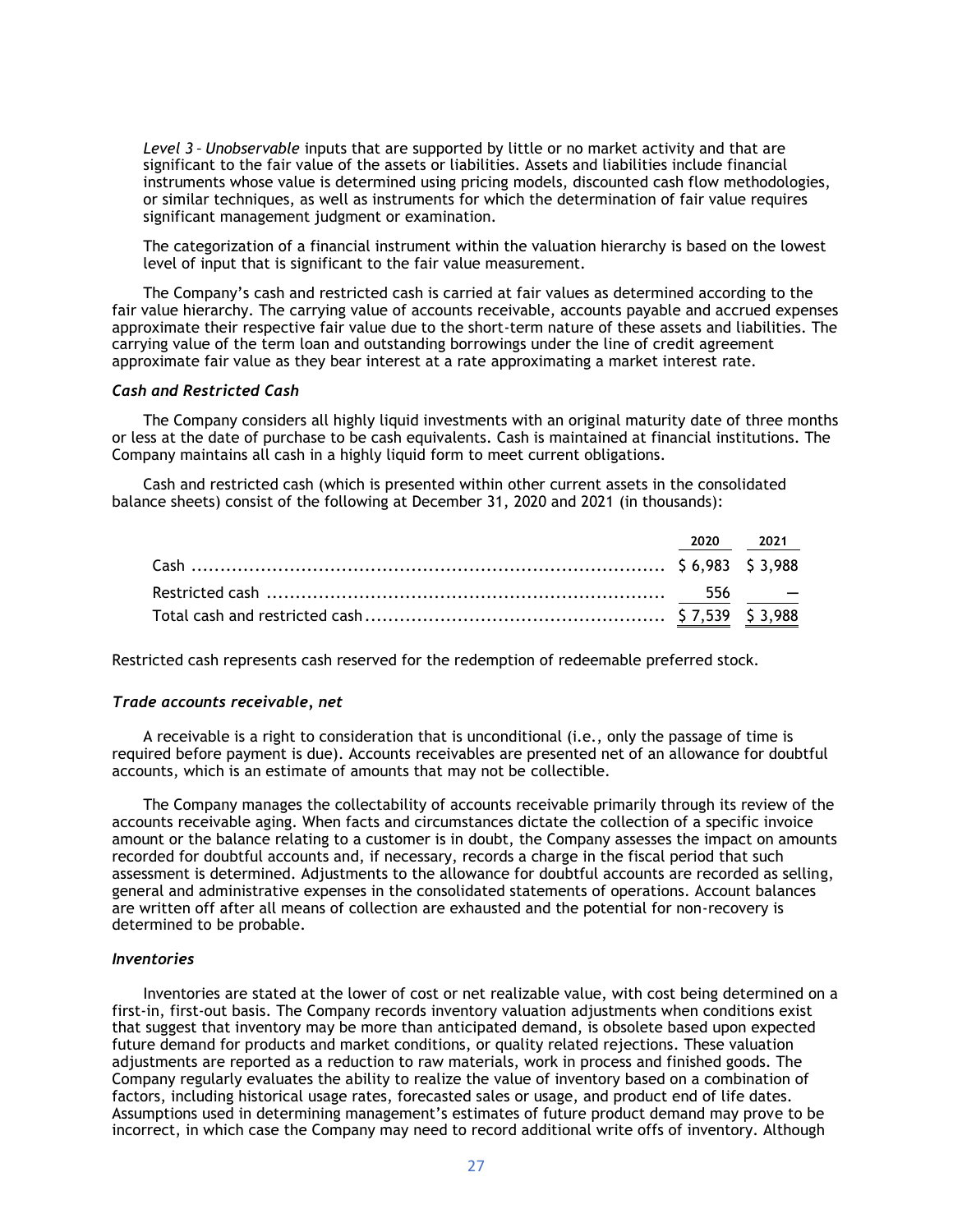*Level 3 – Unobservable* inputs that are supported by little or no market activity and that are significant to the fair value of the assets or liabilities. Assets and liabilities include financial instruments whose value is determined using pricing models, discounted cash flow methodologies, or similar techniques, as well as instruments for which the determination of fair value requires significant management judgment or examination.

The categorization of a financial instrument within the valuation hierarchy is based on the lowest level of input that is significant to the fair value measurement.

The Company's cash and restricted cash is carried at fair values as determined according to the fair value hierarchy. The carrying value of accounts receivable, accounts payable and accrued expenses approximate their respective fair value due to the short-term nature of these assets and liabilities. The carrying value of the term loan and outstanding borrowings under the line of credit agreement approximate fair value as they bear interest at a rate approximating a market interest rate.

## *Cash and Restricted Cash*

The Company considers all highly liquid investments with an original maturity date of three months or less at the date of purchase to be cash equivalents. Cash is maintained at financial institutions. The Company maintains all cash in a highly liquid form to meet current obligations.

Cash and restricted cash (which is presented within other current assets in the consolidated balance sheets) consist of the following at December 31, 2020 and 2021 (in thousands):

| 2020 2021 |  |
|-----------|--|
|           |  |
|           |  |
|           |  |

Restricted cash represents cash reserved for the redemption of redeemable preferred stock.

#### *Trade accounts receivable, net*

A receivable is a right to consideration that is unconditional (i.e., only the passage of time is required before payment is due). Accounts receivables are presented net of an allowance for doubtful accounts, which is an estimate of amounts that may not be collectible.

The Company manages the collectability of accounts receivable primarily through its review of the accounts receivable aging. When facts and circumstances dictate the collection of a specific invoice amount or the balance relating to a customer is in doubt, the Company assesses the impact on amounts recorded for doubtful accounts and, if necessary, records a charge in the fiscal period that such assessment is determined. Adjustments to the allowance for doubtful accounts are recorded as selling, general and administrative expenses in the consolidated statements of operations. Account balances are written off after all means of collection are exhausted and the potential for non-recovery is determined to be probable.

#### *Inventories*

Inventories are stated at the lower of cost or net realizable value, with cost being determined on a first-in, first-out basis. The Company records inventory valuation adjustments when conditions exist that suggest that inventory may be more than anticipated demand, is obsolete based upon expected future demand for products and market conditions, or quality related rejections. These valuation adjustments are reported as a reduction to raw materials, work in process and finished goods. The Company regularly evaluates the ability to realize the value of inventory based on a combination of factors, including historical usage rates, forecasted sales or usage, and product end of life dates. Assumptions used in determining management's estimates of future product demand may prove to be incorrect, in which case the Company may need to record additional write offs of inventory. Although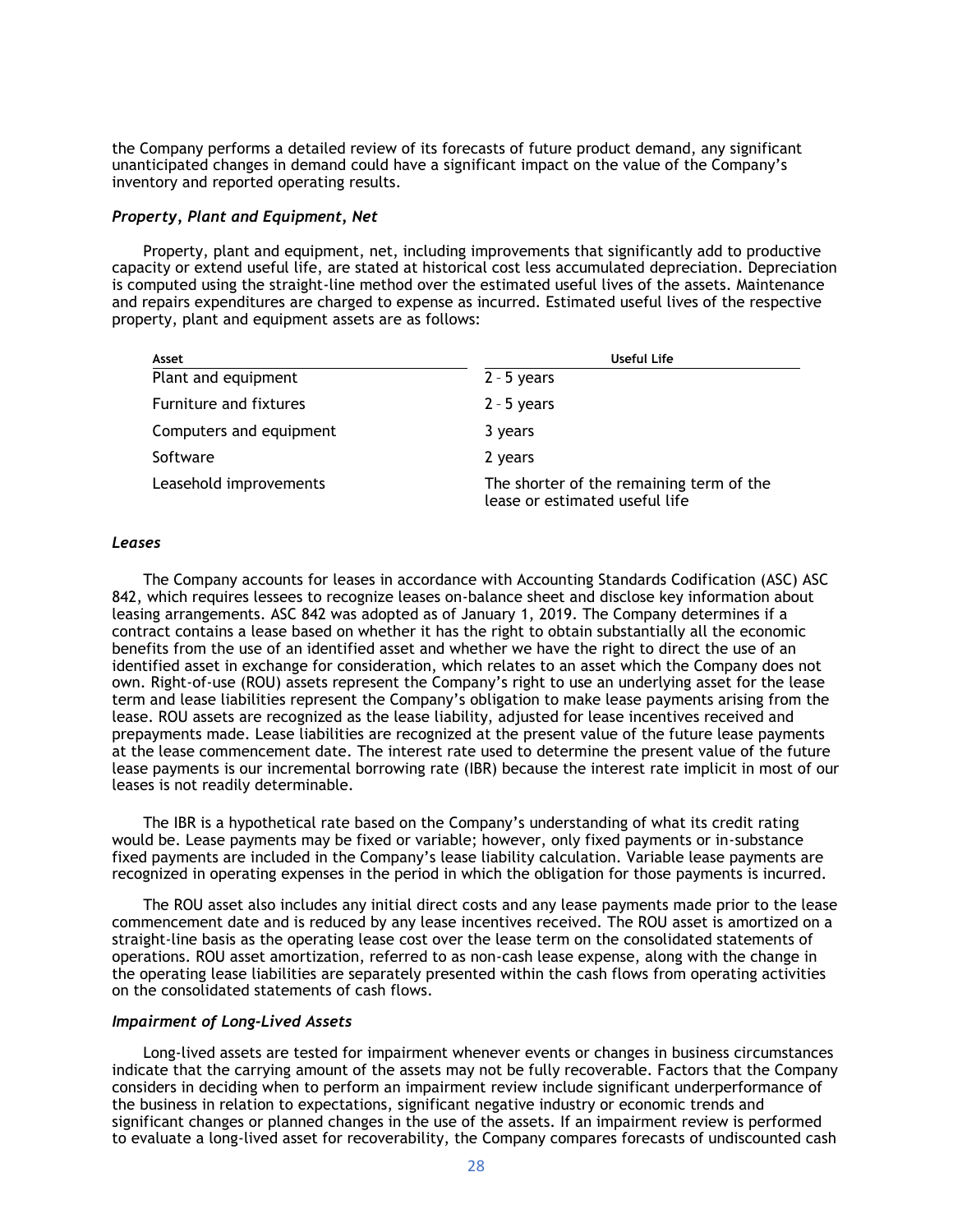the Company performs a detailed review of its forecasts of future product demand, any significant unanticipated changes in demand could have a significant impact on the value of the Company's inventory and reported operating results.

#### *Property, Plant and Equipment, Net*

Property, plant and equipment, net, including improvements that significantly add to productive capacity or extend useful life, are stated at historical cost less accumulated depreciation. Depreciation is computed using the straight-line method over the estimated useful lives of the assets. Maintenance and repairs expenditures are charged to expense as incurred. Estimated useful lives of the respective property, plant and equipment assets are as follows:

| Asset                   | <b>Useful Life</b>                                                         |
|-------------------------|----------------------------------------------------------------------------|
| Plant and equipment     | $2 - 5$ years                                                              |
| Furniture and fixtures  | $2 - 5$ years                                                              |
| Computers and equipment | 3 years                                                                    |
| Software                | 2 years                                                                    |
| Leasehold improvements  | The shorter of the remaining term of the<br>lease or estimated useful life |

#### *Leases*

The Company accounts for leases in accordance with Accounting Standards Codification (ASC) ASC 842, which requires lessees to recognize leases on-balance sheet and disclose key information about leasing arrangements. ASC 842 was adopted as of January 1, 2019. The Company determines if a contract contains a lease based on whether it has the right to obtain substantially all the economic benefits from the use of an identified asset and whether we have the right to direct the use of an identified asset in exchange for consideration, which relates to an asset which the Company does not own. Right-of-use (ROU) assets represent the Company's right to use an underlying asset for the lease term and lease liabilities represent the Company's obligation to make lease payments arising from the lease. ROU assets are recognized as the lease liability, adjusted for lease incentives received and prepayments made. Lease liabilities are recognized at the present value of the future lease payments at the lease commencement date. The interest rate used to determine the present value of the future lease payments is our incremental borrowing rate (IBR) because the interest rate implicit in most of our leases is not readily determinable.

The IBR is a hypothetical rate based on the Company's understanding of what its credit rating would be. Lease payments may be fixed or variable; however, only fixed payments or in-substance fixed payments are included in the Company's lease liability calculation. Variable lease payments are recognized in operating expenses in the period in which the obligation for those payments is incurred.

The ROU asset also includes any initial direct costs and any lease payments made prior to the lease commencement date and is reduced by any lease incentives received. The ROU asset is amortized on a straight-line basis as the operating lease cost over the lease term on the consolidated statements of operations. ROU asset amortization, referred to as non-cash lease expense, along with the change in the operating lease liabilities are separately presented within the cash flows from operating activities on the consolidated statements of cash flows.

#### *Impairment of Long-Lived Assets*

Long-lived assets are tested for impairment whenever events or changes in business circumstances indicate that the carrying amount of the assets may not be fully recoverable. Factors that the Company considers in deciding when to perform an impairment review include significant underperformance of the business in relation to expectations, significant negative industry or economic trends and significant changes or planned changes in the use of the assets. If an impairment review is performed to evaluate a long-lived asset for recoverability, the Company compares forecasts of undiscounted cash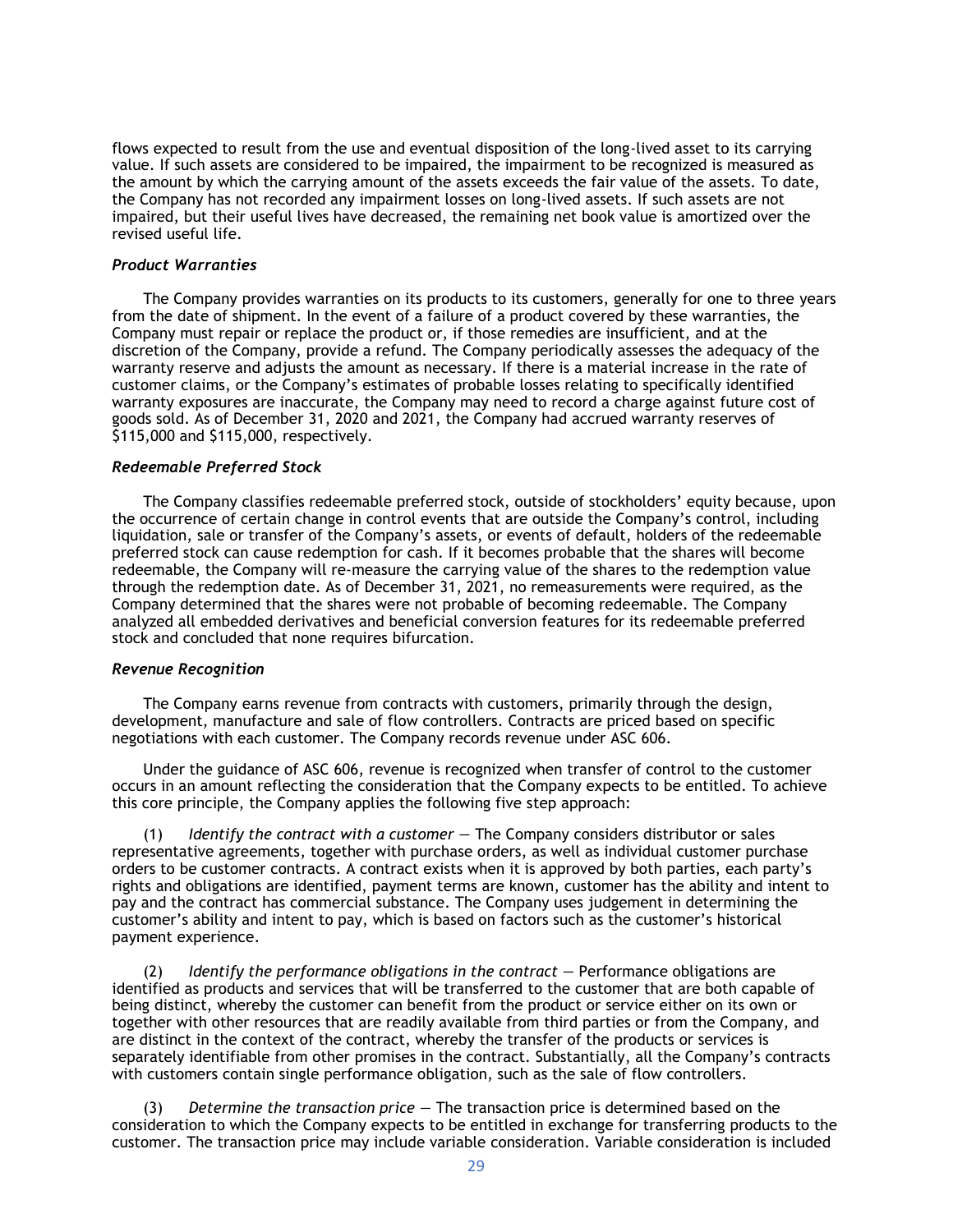flows expected to result from the use and eventual disposition of the long-lived asset to its carrying value. If such assets are considered to be impaired, the impairment to be recognized is measured as the amount by which the carrying amount of the assets exceeds the fair value of the assets. To date, the Company has not recorded any impairment losses on long-lived assets. If such assets are not impaired, but their useful lives have decreased, the remaining net book value is amortized over the revised useful life.

#### *Product Warranties*

The Company provides warranties on its products to its customers, generally for one to three years from the date of shipment. In the event of a failure of a product covered by these warranties, the Company must repair or replace the product or, if those remedies are insufficient, and at the discretion of the Company, provide a refund. The Company periodically assesses the adequacy of the warranty reserve and adjusts the amount as necessary. If there is a material increase in the rate of customer claims, or the Company's estimates of probable losses relating to specifically identified warranty exposures are inaccurate, the Company may need to record a charge against future cost of goods sold. As of December 31, 2020 and 2021, the Company had accrued warranty reserves of \$115,000 and \$115,000, respectively.

#### *Redeemable Preferred Stock*

The Company classifies redeemable preferred stock, outside of stockholders' equity because, upon the occurrence of certain change in control events that are outside the Company's control, including liquidation, sale or transfer of the Company's assets, or events of default, holders of the redeemable preferred stock can cause redemption for cash. If it becomes probable that the shares will become redeemable, the Company will re-measure the carrying value of the shares to the redemption value through the redemption date. As of December 31, 2021, no remeasurements were required, as the Company determined that the shares were not probable of becoming redeemable. The Company analyzed all embedded derivatives and beneficial conversion features for its redeemable preferred stock and concluded that none requires bifurcation.

#### *Revenue Recognition*

The Company earns revenue from contracts with customers, primarily through the design, development, manufacture and sale of flow controllers. Contracts are priced based on specific negotiations with each customer. The Company records revenue under ASC 606.

Under the guidance of ASC 606, revenue is recognized when transfer of control to the customer occurs in an amount reflecting the consideration that the Company expects to be entitled. To achieve this core principle, the Company applies the following five step approach:

(1)   *Identify the contract with a customer —* The Company considers distributor or sales representative agreements, together with purchase orders, as well as individual customer purchase orders to be customer contracts. A contract exists when it is approved by both parties, each party's rights and obligations are identified, payment terms are known, customer has the ability and intent to pay and the contract has commercial substance. The Company uses judgement in determining the customer's ability and intent to pay, which is based on factors such as the customer's historical payment experience.

(2)   *Identify the performance obligations in the contract —* Performance obligations are identified as products and services that will be transferred to the customer that are both capable of being distinct, whereby the customer can benefit from the product or service either on its own or together with other resources that are readily available from third parties or from the Company, and are distinct in the context of the contract, whereby the transfer of the products or services is separately identifiable from other promises in the contract. Substantially, all the Company's contracts with customers contain single performance obligation, such as the sale of flow controllers.

(3)   *Determine the transaction price —* The transaction price is determined based on the consideration to which the Company expects to be entitled in exchange for transferring products to the customer. The transaction price may include variable consideration. Variable consideration is included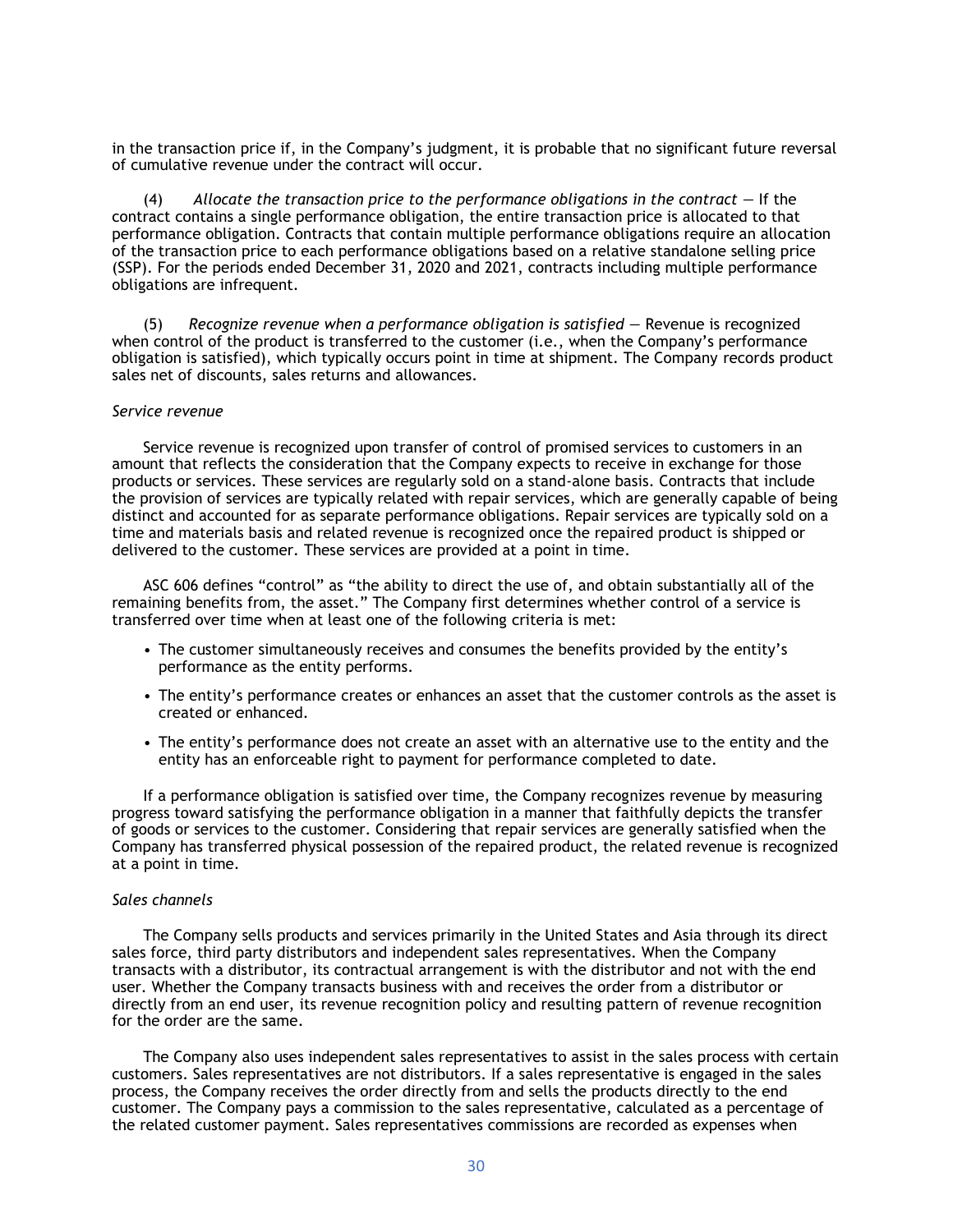in the transaction price if, in the Company's judgment, it is probable that no significant future reversal of cumulative revenue under the contract will occur.

(4)    *Allocate the transaction price to the performance obligations in the contract —* If the contract contains a single performance obligation, the entire transaction price is allocated to that performance obligation. Contracts that contain multiple performance obligations require an allocation of the transaction price to each performance obligations based on a relative standalone selling price (SSP). For the periods ended December 31, 2020 and 2021, contracts including multiple performance obligations are infrequent.

(5)   *Recognize revenue when a performance obligation is satisfied —* Revenue is recognized when control of the product is transferred to the customer (i.e., when the Company's performance obligation is satisfied), which typically occurs point in time at shipment. The Company records product sales net of discounts, sales returns and allowances.

#### *Service revenue*

Service revenue is recognized upon transfer of control of promised services to customers in an amount that reflects the consideration that the Company expects to receive in exchange for those products or services. These services are regularly sold on a stand-alone basis. Contracts that include the provision of services are typically related with repair services, which are generally capable of being distinct and accounted for as separate performance obligations. Repair services are typically sold on a time and materials basis and related revenue is recognized once the repaired product is shipped or delivered to the customer. These services are provided at a point in time.

ASC 606 defines "control" as "the ability to direct the use of, and obtain substantially all of the remaining benefits from, the asset." The Company first determines whether control of a service is transferred over time when at least one of the following criteria is met:

- The customer simultaneously receives and consumes the benefits provided by the entity's performance as the entity performs.
- The entity's performance creates or enhances an asset that the customer controls as the asset is created or enhanced.
- The entity's performance does not create an asset with an alternative use to the entity and the entity has an enforceable right to payment for performance completed to date.

If a performance obligation is satisfied over time, the Company recognizes revenue by measuring progress toward satisfying the performance obligation in a manner that faithfully depicts the transfer of goods or services to the customer. Considering that repair services are generally satisfied when the Company has transferred physical possession of the repaired product, the related revenue is recognized at a point in time.

#### *Sales channels*

The Company sells products and services primarily in the United States and Asia through its direct sales force, third party distributors and independent sales representatives. When the Company transacts with a distributor, its contractual arrangement is with the distributor and not with the end user. Whether the Company transacts business with and receives the order from a distributor or directly from an end user, its revenue recognition policy and resulting pattern of revenue recognition for the order are the same.

The Company also uses independent sales representatives to assist in the sales process with certain customers. Sales representatives are not distributors. If a sales representative is engaged in the sales process, the Company receives the order directly from and sells the products directly to the end customer. The Company pays a commission to the sales representative, calculated as a percentage of the related customer payment. Sales representatives commissions are recorded as expenses when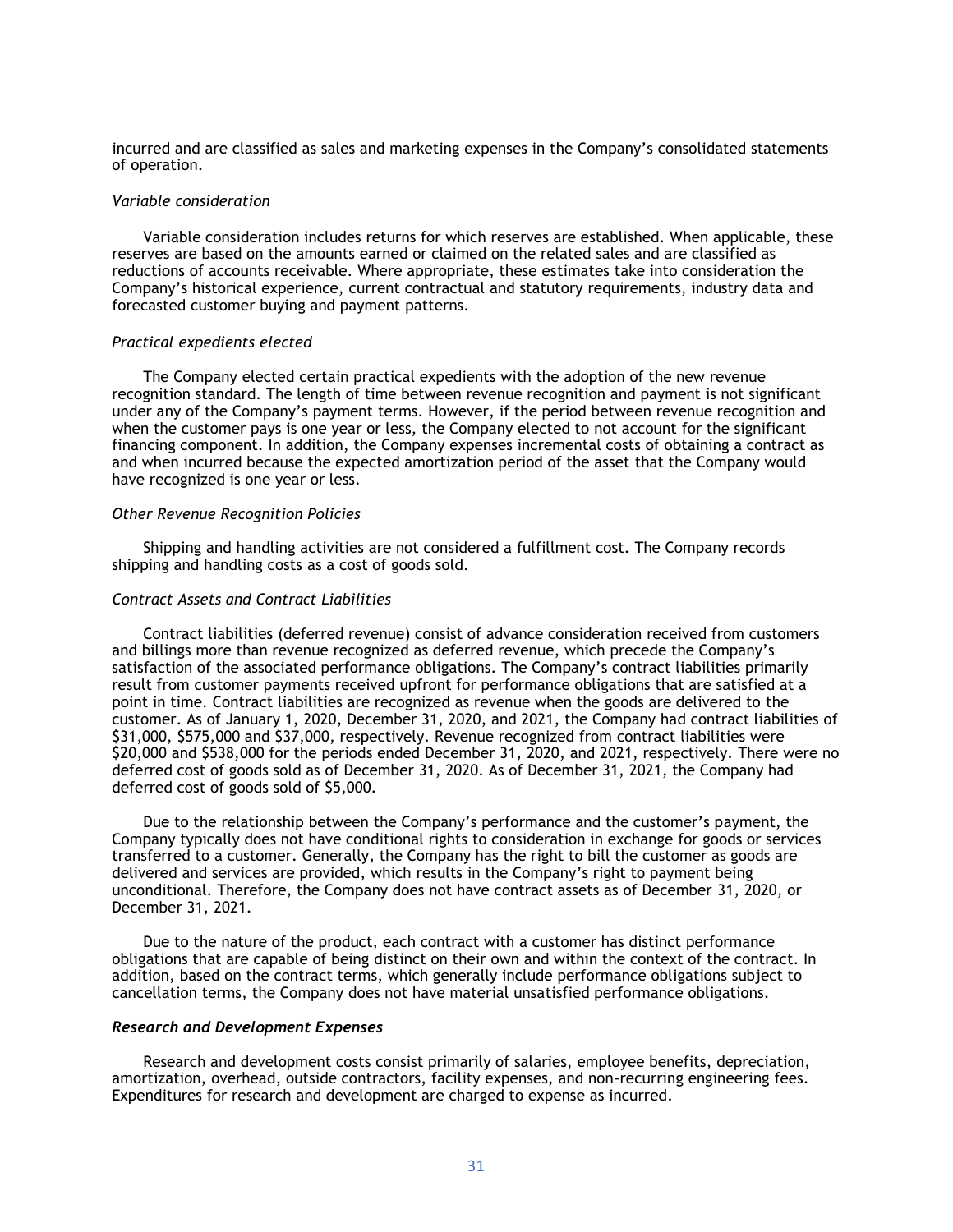incurred and are classified as sales and marketing expenses in the Company's consolidated statements of operation.

#### *Variable consideration*

Variable consideration includes returns for which reserves are established. When applicable, these reserves are based on the amounts earned or claimed on the related sales and are classified as reductions of accounts receivable. Where appropriate, these estimates take into consideration the Company's historical experience, current contractual and statutory requirements, industry data and forecasted customer buying and payment patterns.

#### *Practical expedients elected*

The Company elected certain practical expedients with the adoption of the new revenue recognition standard. The length of time between revenue recognition and payment is not significant under any of the Company's payment terms. However, if the period between revenue recognition and when the customer pays is one year or less, the Company elected to not account for the significant financing component. In addition, the Company expenses incremental costs of obtaining a contract as and when incurred because the expected amortization period of the asset that the Company would have recognized is one year or less.

#### *Other Revenue Recognition Policies*

Shipping and handling activities are not considered a fulfillment cost. The Company records shipping and handling costs as a cost of goods sold.

## *Contract Assets and Contract Liabilities*

Contract liabilities (deferred revenue) consist of advance consideration received from customers and billings more than revenue recognized as deferred revenue, which precede the Company's satisfaction of the associated performance obligations. The Company's contract liabilities primarily result from customer payments received upfront for performance obligations that are satisfied at a point in time. Contract liabilities are recognized as revenue when the goods are delivered to the customer. As of January 1, 2020, December 31, 2020, and 2021, the Company had contract liabilities of \$31,000, \$575,000 and \$37,000, respectively. Revenue recognized from contract liabilities were \$20,000 and \$538,000 for the periods ended December 31, 2020, and 2021, respectively. There were no deferred cost of goods sold as of December 31, 2020. As of December 31, 2021, the Company had deferred cost of goods sold of \$5,000.

Due to the relationship between the Company's performance and the customer's payment, the Company typically does not have conditional rights to consideration in exchange for goods or services transferred to a customer. Generally, the Company has the right to bill the customer as goods are delivered and services are provided, which results in the Company's right to payment being unconditional. Therefore, the Company does not have contract assets as of December 31, 2020, or December 31, 2021.

Due to the nature of the product, each contract with a customer has distinct performance obligations that are capable of being distinct on their own and within the context of the contract. In addition, based on the contract terms, which generally include performance obligations subject to cancellation terms, the Company does not have material unsatisfied performance obligations.

#### *Research and Development Expenses*

Research and development costs consist primarily of salaries, employee benefits, depreciation, amortization, overhead, outside contractors, facility expenses, and non-recurring engineering fees. Expenditures for research and development are charged to expense as incurred.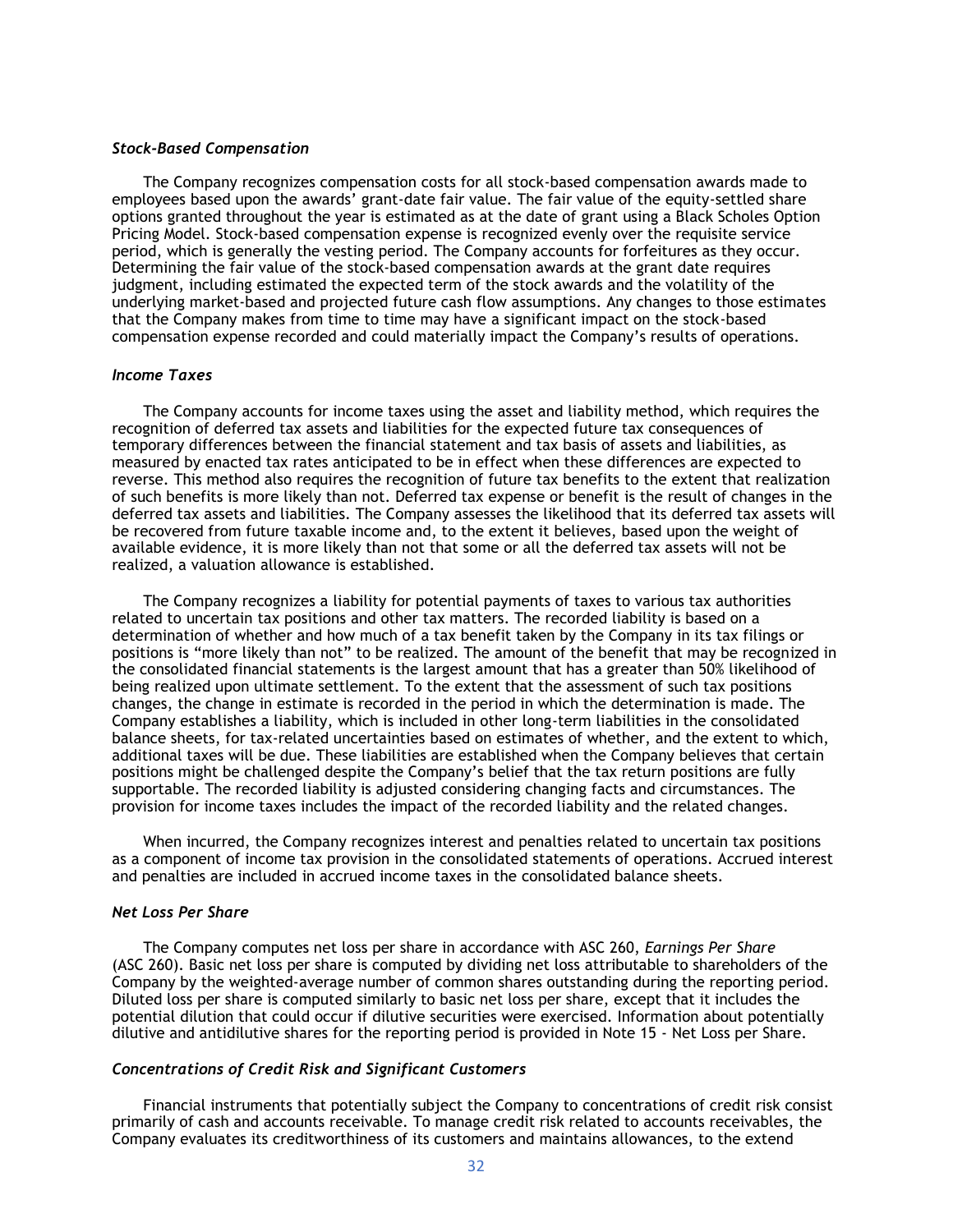#### *Stock-Based Compensation*

The Company recognizes compensation costs for all stock-based compensation awards made to employees based upon the awards' grant-date fair value. The fair value of the equity-settled share options granted throughout the year is estimated as at the date of grant using a Black Scholes Option Pricing Model. Stock-based compensation expense is recognized evenly over the requisite service period, which is generally the vesting period. The Company accounts for forfeitures as they occur. Determining the fair value of the stock-based compensation awards at the grant date requires judgment, including estimated the expected term of the stock awards and the volatility of the underlying market-based and projected future cash flow assumptions. Any changes to those estimates that the Company makes from time to time may have a significant impact on the stock-based compensation expense recorded and could materially impact the Company's results of operations.

#### *Income Taxes*

The Company accounts for income taxes using the asset and liability method, which requires the recognition of deferred tax assets and liabilities for the expected future tax consequences of temporary differences between the financial statement and tax basis of assets and liabilities, as measured by enacted tax rates anticipated to be in effect when these differences are expected to reverse. This method also requires the recognition of future tax benefits to the extent that realization of such benefits is more likely than not. Deferred tax expense or benefit is the result of changes in the deferred tax assets and liabilities. The Company assesses the likelihood that its deferred tax assets will be recovered from future taxable income and, to the extent it believes, based upon the weight of available evidence, it is more likely than not that some or all the deferred tax assets will not be realized, a valuation allowance is established.

The Company recognizes a liability for potential payments of taxes to various tax authorities related to uncertain tax positions and other tax matters. The recorded liability is based on a determination of whether and how much of a tax benefit taken by the Company in its tax filings or positions is "more likely than not" to be realized. The amount of the benefit that may be recognized in the consolidated financial statements is the largest amount that has a greater than 50% likelihood of being realized upon ultimate settlement. To the extent that the assessment of such tax positions changes, the change in estimate is recorded in the period in which the determination is made. The Company establishes a liability, which is included in other long-term liabilities in the consolidated balance sheets, for tax-related uncertainties based on estimates of whether, and the extent to which, additional taxes will be due. These liabilities are established when the Company believes that certain positions might be challenged despite the Company's belief that the tax return positions are fully supportable. The recorded liability is adjusted considering changing facts and circumstances. The provision for income taxes includes the impact of the recorded liability and the related changes.

When incurred, the Company recognizes interest and penalties related to uncertain tax positions as a component of income tax provision in the consolidated statements of operations. Accrued interest and penalties are included in accrued income taxes in the consolidated balance sheets.

#### *Net Loss Per Share*

The Company computes net loss per share in accordance with ASC 260, *Earnings Per Share* (ASC 260). Basic net loss per share is computed by dividing net loss attributable to shareholders of the Company by the weighted-average number of common shares outstanding during the reporting period. Diluted loss per share is computed similarly to basic net loss per share, except that it includes the potential dilution that could occur if dilutive securities were exercised. Information about potentially dilutive and antidilutive shares for the reporting period is provided in Note 15 - Net Loss per Share.

### *Concentrations of Credit Risk and Significant Customers*

Financial instruments that potentially subject the Company to concentrations of credit risk consist primarily of cash and accounts receivable. To manage credit risk related to accounts receivables, the Company evaluates its creditworthiness of its customers and maintains allowances, to the extend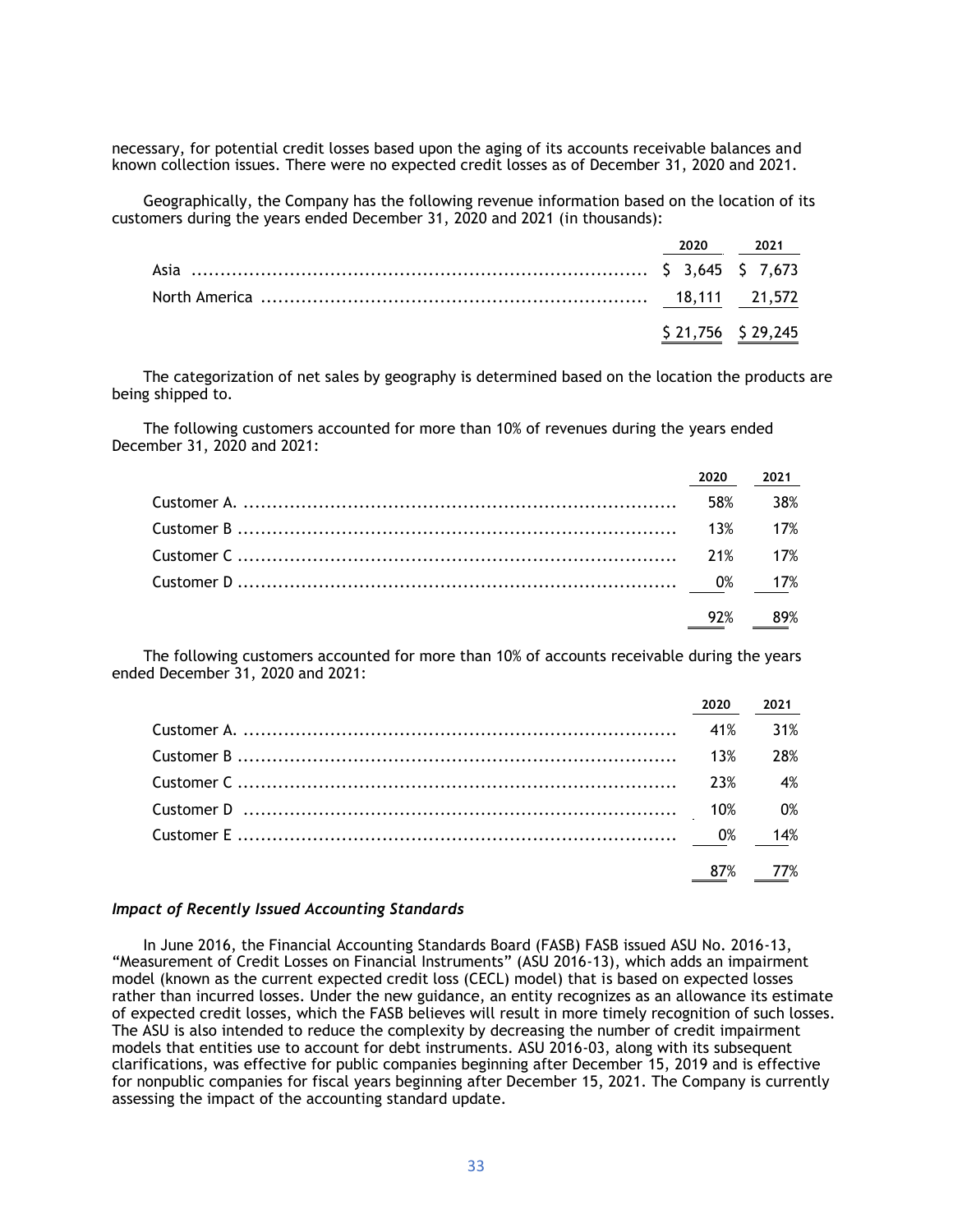necessary, for potential credit losses based upon the aging of its accounts receivable balances and known collection issues. There were no expected credit losses as of December 31, 2020 and 2021.

Geographically, the Company has the following revenue information based on the location of its customers during the years ended December 31, 2020 and 2021 (in thousands):

|  | 2020 2021         |
|--|-------------------|
|  |                   |
|  |                   |
|  | \$21,756 \$29,245 |

The categorization of net sales by geography is determined based on the location the products are being shipped to.

The following customers accounted for more than 10% of revenues during the years ended December 31, 2020 and 2021:

|  | 2020 2021 |
|--|-----------|
|  |           |
|  |           |
|  |           |
|  |           |
|  | 92% 89%   |

The following customers accounted for more than 10% of accounts receivable during the years ended December 31, 2020 and 2021:

| 2020 | 2021 |
|------|------|
|      |      |
|      | 28%  |
|      | 4%   |
|      |      |
|      |      |
|      |      |

## *Impact of Recently Issued Accounting Standards*

In June 2016, the Financial Accounting Standards Board (FASB) FASB issued ASU No. 2016-13, "Measurement of Credit Losses on Financial Instruments" (ASU 2016-13), which adds an impairment model (known as the current expected credit loss (CECL) model) that is based on expected losses rather than incurred losses. Under the new guidance, an entity recognizes as an allowance its estimate of expected credit losses, which the FASB believes will result in more timely recognition of such losses. The ASU is also intended to reduce the complexity by decreasing the number of credit impairment models that entities use to account for debt instruments. ASU 2016-03, along with its subsequent clarifications, was effective for public companies beginning after December 15, 2019 and is effective for nonpublic companies for fiscal years beginning after December 15, 2021. The Company is currently assessing the impact of the accounting standard update.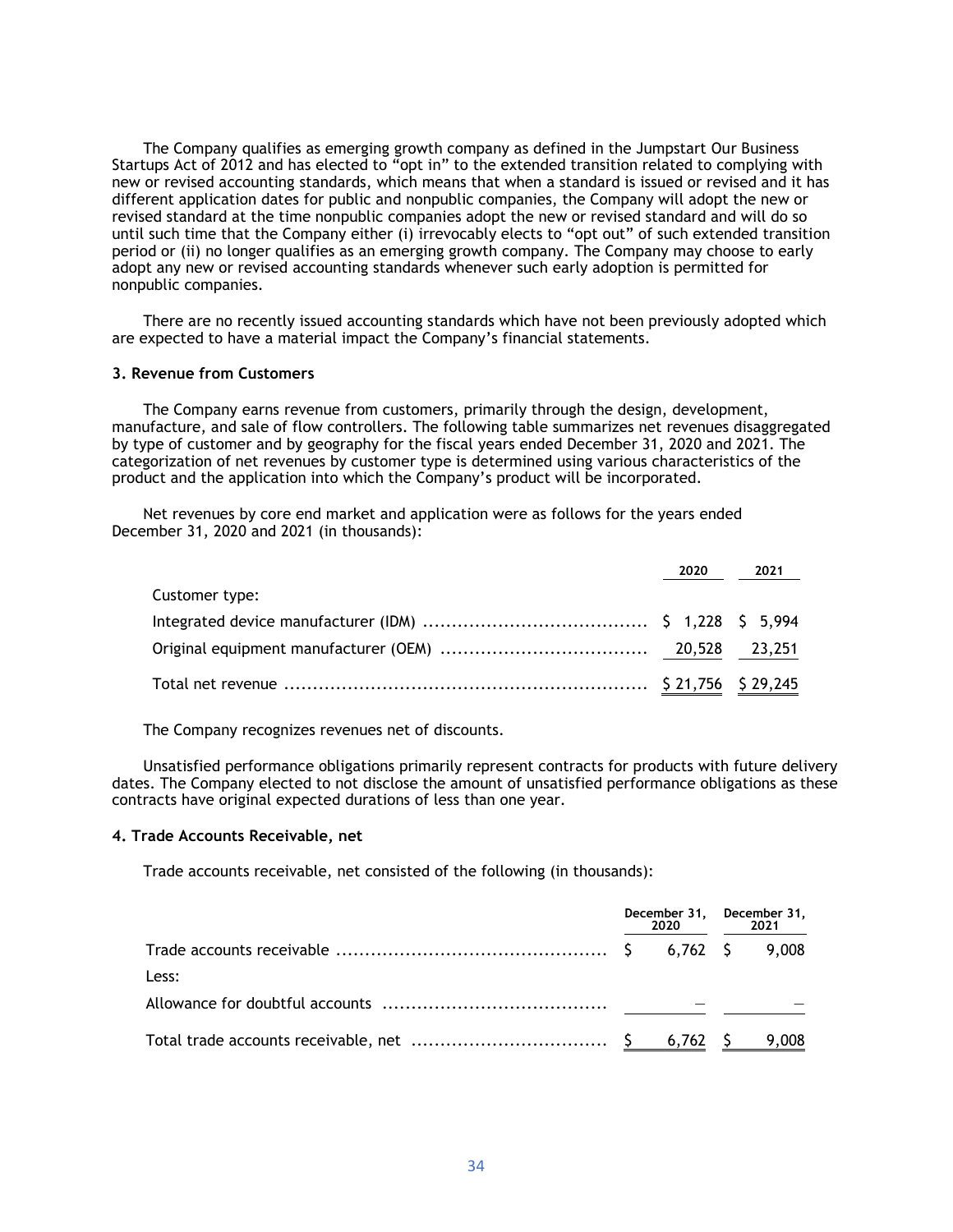The Company qualifies as emerging growth company as defined in the Jumpstart Our Business Startups Act of 2012 and has elected to "opt in" to the extended transition related to complying with new or revised accounting standards, which means that when a standard is issued or revised and it has different application dates for public and nonpublic companies, the Company will adopt the new or revised standard at the time nonpublic companies adopt the new or revised standard and will do so until such time that the Company either (i) irrevocably elects to "opt out" of such extended transition period or (ii) no longer qualifies as an emerging growth company. The Company may choose to early adopt any new or revised accounting standards whenever such early adoption is permitted for nonpublic companies.

There are no recently issued accounting standards which have not been previously adopted which are expected to have a material impact the Company's financial statements.

#### **3. Revenue from Customers**

The Company earns revenue from customers, primarily through the design, development, manufacture, and sale of flow controllers. The following table summarizes net revenues disaggregated by type of customer and by geography for the fiscal years ended December 31, 2020 and 2021. The categorization of net revenues by customer type is determined using various characteristics of the product and the application into which the Company's product will be incorporated.

Net revenues by core end market and application were as follows for the years ended December 31, 2020 and 2021 (in thousands):

|                | 2020 2021 |
|----------------|-----------|
| Customer type: |           |
|                |           |
|                |           |
|                |           |

The Company recognizes revenues net of discounts.

Unsatisfied performance obligations primarily represent contracts for products with future delivery dates. The Company elected to not disclose the amount of unsatisfied performance obligations as these contracts have original expected durations of less than one year.

#### **4. Trade Accounts Receivable, net**

Trade accounts receivable, net consisted of the following (in thousands):

|       | December 31, December 31,<br>2020 — 2020 |  | 2021 |  |  |
|-------|------------------------------------------|--|------|--|--|
|       |                                          |  |      |  |  |
| Less: |                                          |  |      |  |  |
|       |                                          |  |      |  |  |
|       |                                          |  |      |  |  |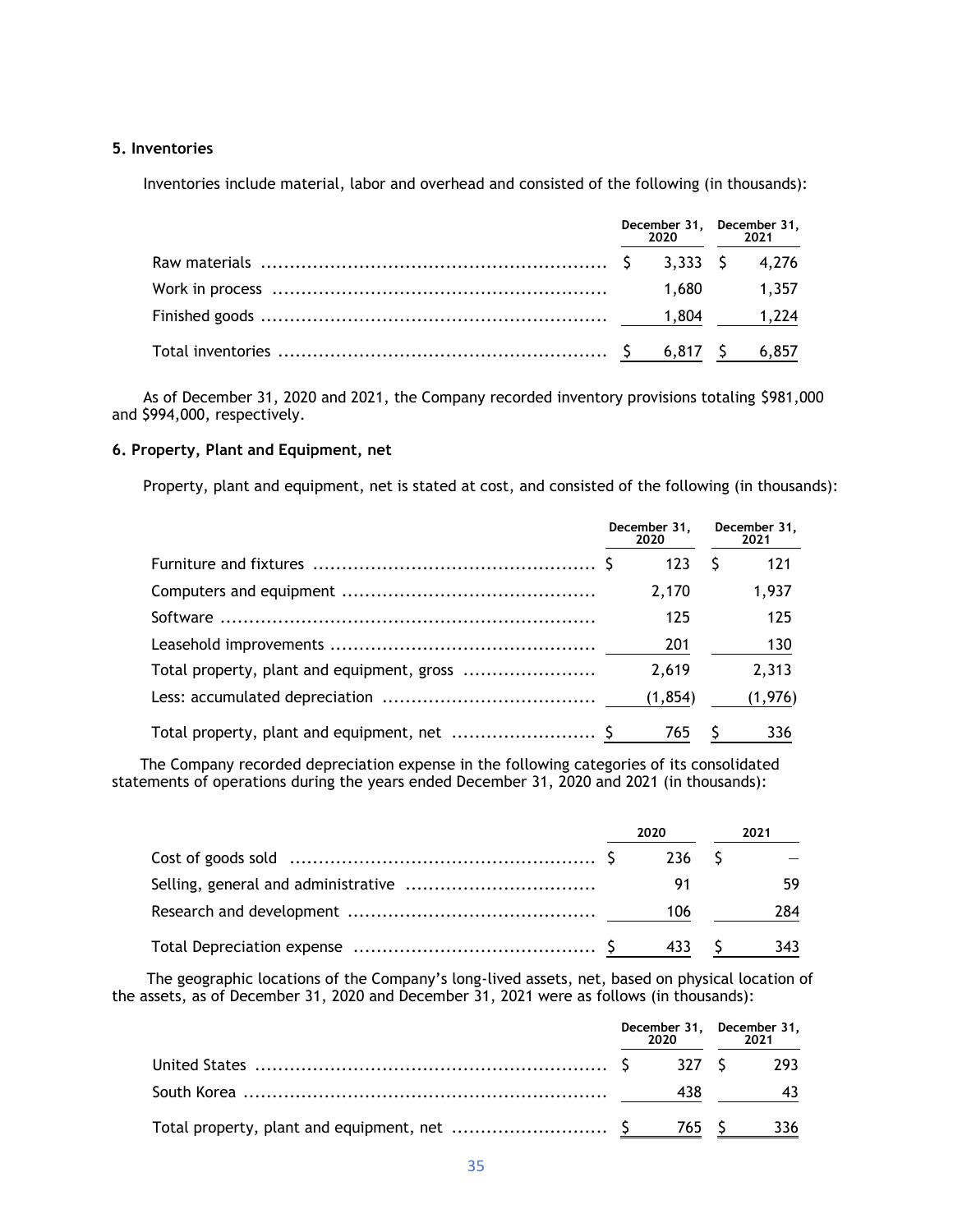## **5. Inventories**

Inventories include material, labor and overhead and consisted of the following (in thousands):

|  | 2020 2021 | December 31, December 31, |
|--|-----------|---------------------------|
|  |           |                           |
|  |           | 1.680 1.357               |
|  |           |                           |
|  |           |                           |

As of December 31, 2020 and 2021, the Company recorded inventory provisions totaling \$981,000 and \$994,000, respectively.

## **6. Property, Plant and Equipment, net**

Property, plant and equipment, net is stated at cost, and consisted of the following (in thousands):

|                                            | December 31,<br>2020 | December 31,<br>2021 |
|--------------------------------------------|----------------------|----------------------|
|                                            | 123                  | 121                  |
|                                            | 2.170                | 1,937                |
|                                            | 125                  | 125                  |
|                                            | 201                  | 130                  |
| Total property, plant and equipment, gross | 2.619                | 2,313                |
|                                            | (1, 854)             | (1,976)              |
|                                            | 765                  | 336                  |

The Company recorded depreciation expense in the following categories of its consolidated statements of operations during the years ended December 31, 2020 and 2021 (in thousands):

| 2020 |    | 2021 |     |  |
|------|----|------|-----|--|
|      |    |      |     |  |
|      | 91 |      |     |  |
|      |    |      | 284 |  |
|      |    |      |     |  |

The geographic locations of the Company's long-lived assets, net, based on physical location of the assets, as of December 31, 2020 and December 31, 2021 were as follows (in thousands):

|  | December 31, December 31,<br>2020 2021 |  |
|--|----------------------------------------|--|
|  |                                        |  |
|  | 438                                    |  |
|  |                                        |  |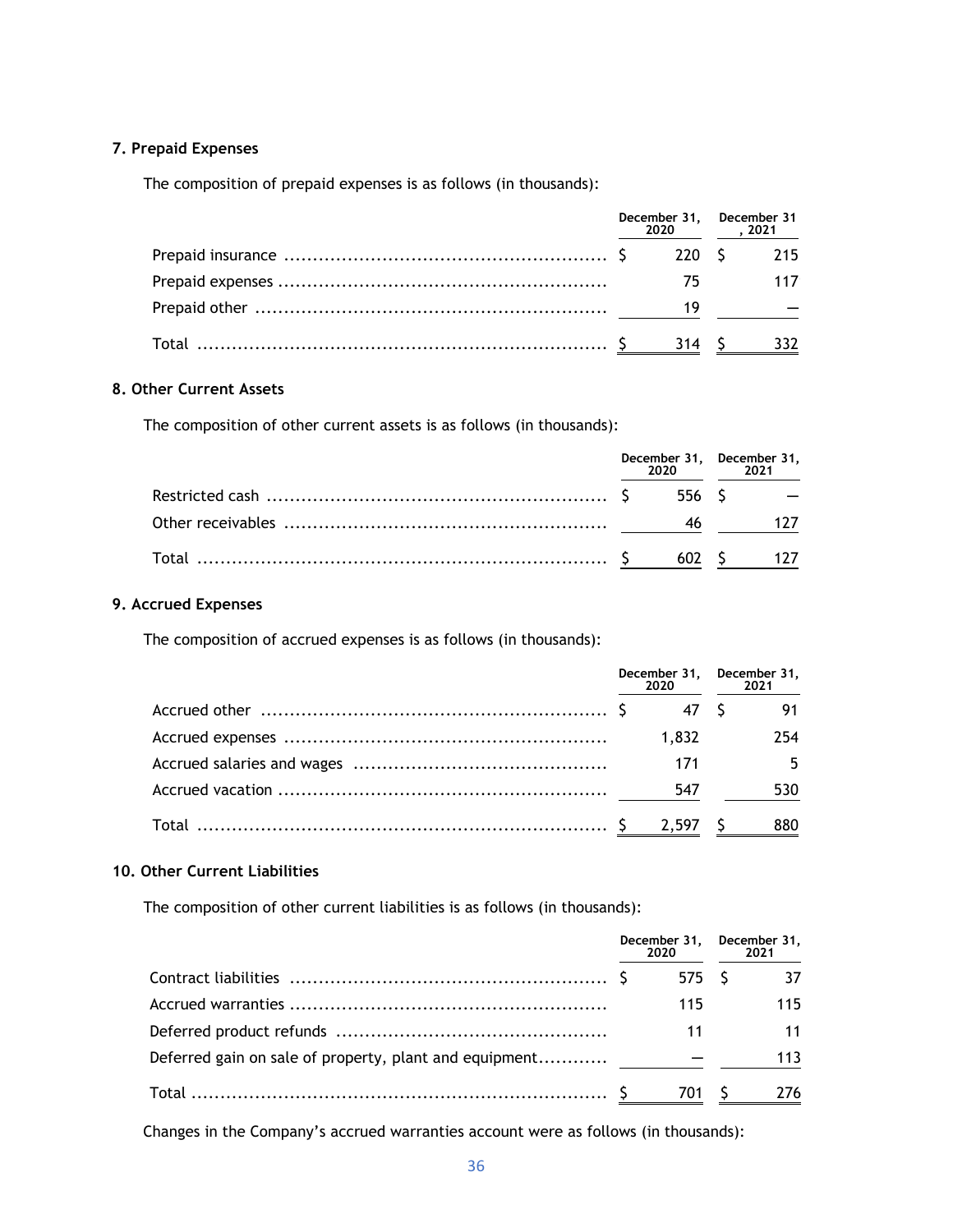## **7. Prepaid Expenses**

The composition of prepaid expenses is as follows (in thousands):

| December 31, December 31 |    | 2020, 2021 |     |  |
|--------------------------|----|------------|-----|--|
|                          |    |            |     |  |
|                          | 75 |            | 117 |  |
|                          | 19 |            |     |  |
|                          |    |            | 332 |  |

## **8. Other Current Assets**

The composition of other current assets is as follows (in thousands):

| December 31, December 31, |  | 2020 2021 |  |
|---------------------------|--|-----------|--|
|                           |  |           |  |
|                           |  |           |  |
|                           |  |           |  |

## **9. Accrued Expenses**

The composition of accrued expenses is as follows (in thousands):

| December 31, December 31,<br>2020 2021 |       |  |     |
|----------------------------------------|-------|--|-----|
|                                        |       |  | 91  |
|                                        | 1,832 |  | 254 |
|                                        | 171   |  | 5.  |
|                                        |       |  | 530 |
|                                        |       |  | 880 |

## **10. Other Current Liabilities**

The composition of other current liabilities is as follows (in thousands):

|                                                        | December 31, December 31,<br>2020 | 2021 |
|--------------------------------------------------------|-----------------------------------|------|
|                                                        | 575 S                             | 37   |
|                                                        | 115                               | 115  |
|                                                        | 11                                | 11   |
| Deferred gain on sale of property, plant and equipment |                                   | 113  |
|                                                        |                                   | 276  |

Changes in the Company's accrued warranties account were as follows (in thousands):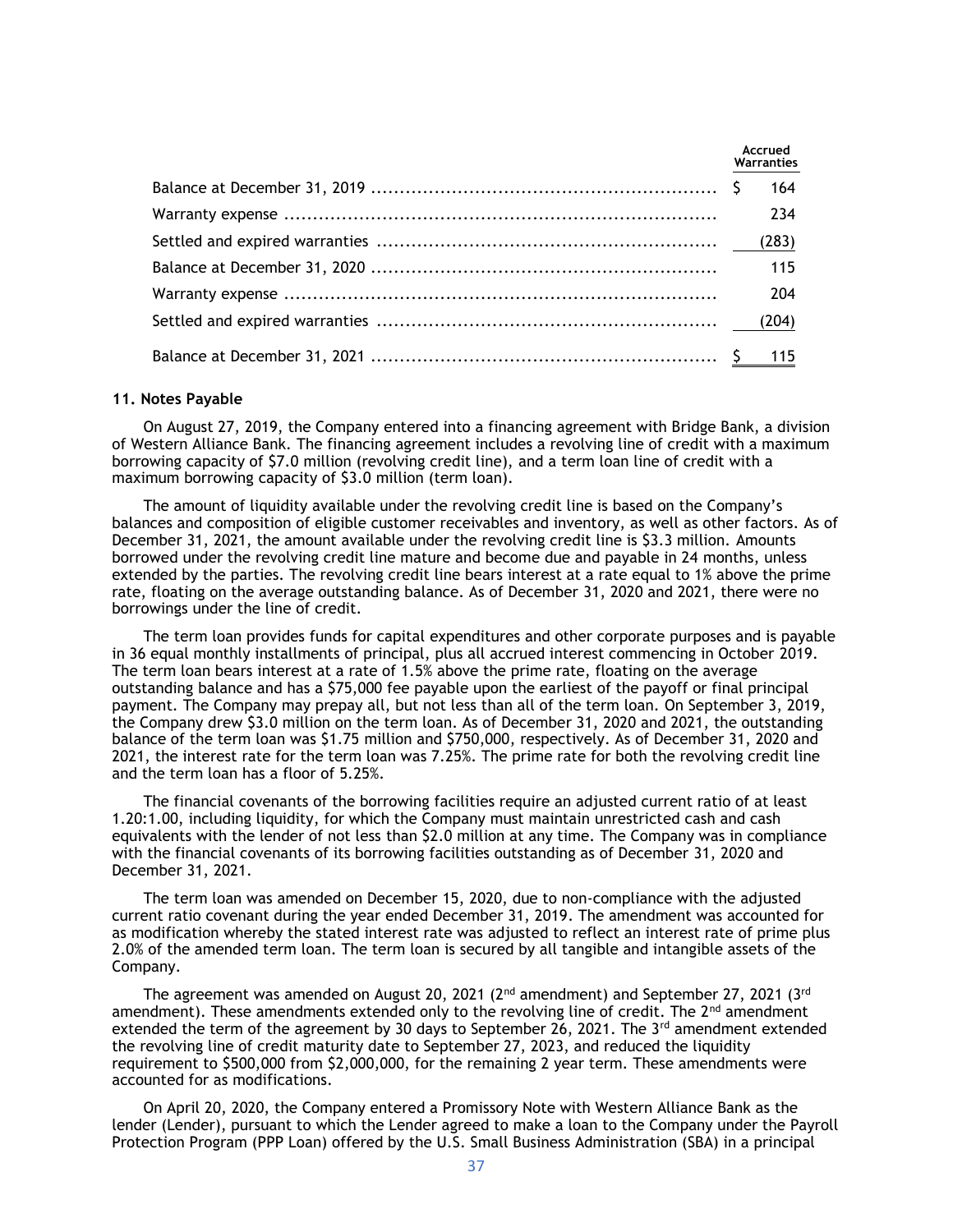|  | Accrued<br>Warranties |
|--|-----------------------|
|  | 164                   |
|  | 234                   |
|  | (283)                 |
|  | 115                   |
|  | 204                   |
|  |                       |
|  |                       |

#### **11. Notes Payable**

On August 27, 2019, the Company entered into a financing agreement with Bridge Bank, a division of Western Alliance Bank. The financing agreement includes a revolving line of credit with a maximum borrowing capacity of \$7.0 million (revolving credit line), and a term loan line of credit with a maximum borrowing capacity of \$3.0 million (term loan).

The amount of liquidity available under the revolving credit line is based on the Company's balances and composition of eligible customer receivables and inventory, as well as other factors. As of December 31, 2021, the amount available under the revolving credit line is \$3.3 million. Amounts borrowed under the revolving credit line mature and become due and payable in 24 months, unless extended by the parties. The revolving credit line bears interest at a rate equal to 1% above the prime rate, floating on the average outstanding balance. As of December 31, 2020 and 2021, there were no borrowings under the line of credit.

The term loan provides funds for capital expenditures and other corporate purposes and is payable in 36 equal monthly installments of principal, plus all accrued interest commencing in October 2019. The term loan bears interest at a rate of 1.5% above the prime rate, floating on the average outstanding balance and has a \$75,000 fee payable upon the earliest of the payoff or final principal payment. The Company may prepay all, but not less than all of the term loan. On September 3, 2019, the Company drew \$3.0 million on the term loan. As of December 31, 2020 and 2021, the outstanding balance of the term loan was \$1.75 million and \$750,000, respectively. As of December 31, 2020 and 2021, the interest rate for the term loan was 7.25%. The prime rate for both the revolving credit line and the term loan has a floor of 5.25%.

The financial covenants of the borrowing facilities require an adjusted current ratio of at least 1.20:1.00, including liquidity, for which the Company must maintain unrestricted cash and cash equivalents with the lender of not less than \$2.0 million at any time. The Company was in compliance with the financial covenants of its borrowing facilities outstanding as of December 31, 2020 and December 31, 2021.

The term loan was amended on December 15, 2020, due to non-compliance with the adjusted current ratio covenant during the year ended December 31, 2019. The amendment was accounted for as modification whereby the stated interest rate was adjusted to reflect an interest rate of prime plus 2.0% of the amended term loan. The term loan is secured by all tangible and intangible assets of the Company.

The agreement was amended on August 20, 2021 ( $2<sup>nd</sup>$  amendment) and September 27, 2021 ( $3<sup>rd</sup>$ amendment). These amendments extended only to the revolving line of credit. The  $2^{nd}$  amendment extended the term of the agreement by 30 days to September 26, 2021. The  $3^{rd}$  amendment extended the revolving line of credit maturity date to September 27, 2023, and reduced the liquidity requirement to \$500,000 from \$2,000,000, for the remaining 2 year term. These amendments were accounted for as modifications.

On April 20, 2020, the Company entered a Promissory Note with Western Alliance Bank as the lender (Lender), pursuant to which the Lender agreed to make a loan to the Company under the Payroll Protection Program (PPP Loan) offered by the U.S. Small Business Administration (SBA) in a principal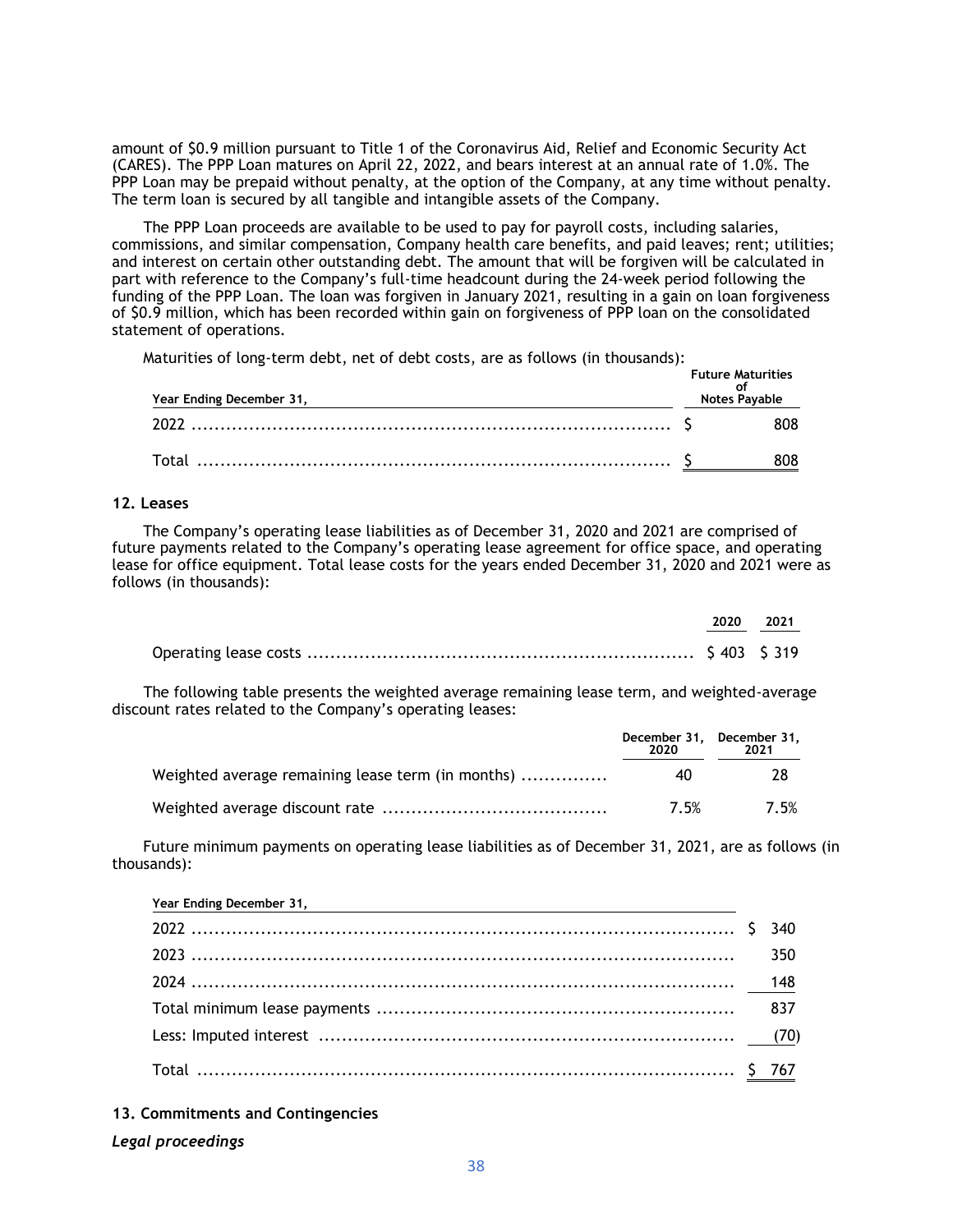amount of \$0.9 million pursuant to Title 1 of the Coronavirus Aid, Relief and Economic Security Act (CARES). The PPP Loan matures on April 22, 2022, and bears interest at an annual rate of 1.0%. The PPP Loan may be prepaid without penalty, at the option of the Company, at any time without penalty. The term loan is secured by all tangible and intangible assets of the Company.

The PPP Loan proceeds are available to be used to pay for payroll costs, including salaries, commissions, and similar compensation, Company health care benefits, and paid leaves; rent; utilities; and interest on certain other outstanding debt. The amount that will be forgiven will be calculated in part with reference to the Company's full-time headcount during the 24-week period following the funding of the PPP Loan. The loan was forgiven in January 2021, resulting in a gain on loan forgiveness of \$0.9 million, which has been recorded within gain on forgiveness of PPP loan on the consolidated statement of operations.

Maturities of long-term debt, net of debt costs, are as follows (in thousands):

| Year Ending December 31, | <b>Future Maturities</b><br>Notes Payable |
|--------------------------|-------------------------------------------|
|                          | 808.                                      |
|                          |                                           |

### **12. Leases**

The Company's operating lease liabilities as of December 31, 2020 and 2021 are comprised of future payments related to the Company's operating lease agreement for office space, and operating lease for office equipment. Total lease costs for the years ended December 31, 2020 and 2021 were as follows (in thousands):

|  | 2020 2021 |
|--|-----------|
|  |           |

The following table presents the weighted average remaining lease term, and weighted-average discount rates related to the Company's operating leases:

|                                                   | December 31, December 31,<br>2020 | 2021 |
|---------------------------------------------------|-----------------------------------|------|
| Weighted average remaining lease term (in months) | 40                                | 78   |
|                                                   | 7.5%                              | 7.5% |

Future minimum payments on operating lease liabilities as of December 31, 2021, are as follows (in thousands):

| Year Ending December 31, |  |
|--------------------------|--|
|                          |  |
|                          |  |
|                          |  |
|                          |  |
|                          |  |
|                          |  |

**13. Commitments and Contingencies**

### *Legal proceedings*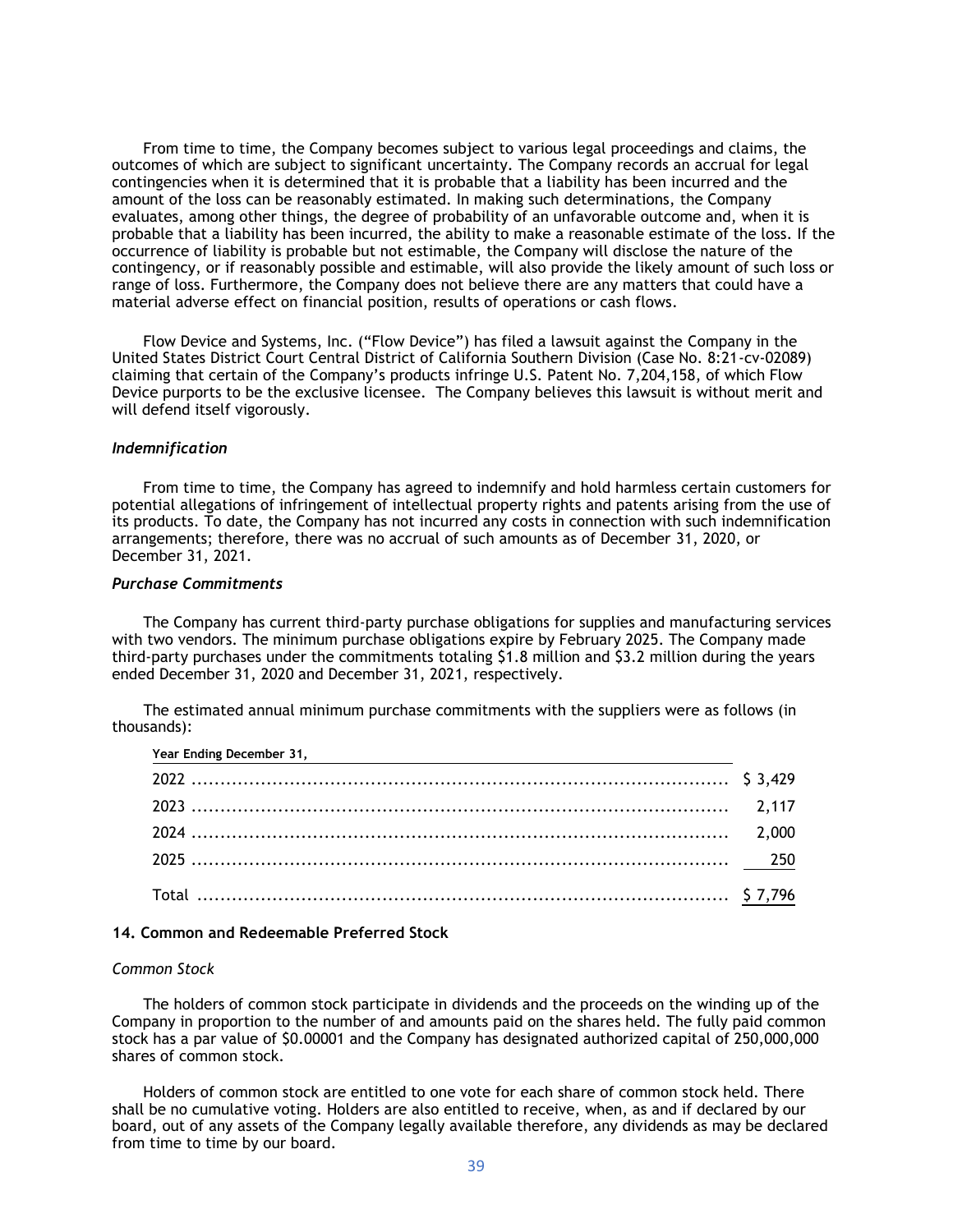From time to time, the Company becomes subject to various legal proceedings and claims, the outcomes of which are subject to significant uncertainty. The Company records an accrual for legal contingencies when it is determined that it is probable that a liability has been incurred and the amount of the loss can be reasonably estimated. In making such determinations, the Company evaluates, among other things, the degree of probability of an unfavorable outcome and, when it is probable that a liability has been incurred, the ability to make a reasonable estimate of the loss. If the occurrence of liability is probable but not estimable, the Company will disclose the nature of the contingency, or if reasonably possible and estimable, will also provide the likely amount of such loss or range of loss. Furthermore, the Company does not believe there are any matters that could have a material adverse effect on financial position, results of operations or cash flows.

Flow Device and Systems, Inc. ("Flow Device") has filed a lawsuit against the Company in the United States District Court Central District of California Southern Division (Case No. 8:21-cv-02089) claiming that certain of the Company's products infringe U.S. Patent No. 7,204,158, of which Flow Device purports to be the exclusive licensee. The Company believes this lawsuit is without merit and will defend itself vigorously.

#### *Indemnification*

From time to time, the Company has agreed to indemnify and hold harmless certain customers for potential allegations of infringement of intellectual property rights and patents arising from the use of its products. To date, the Company has not incurred any costs in connection with such indemnification arrangements; therefore, there was no accrual of such amounts as of December 31, 2020, or December 31, 2021.

#### *Purchase Commitments*

The Company has current third-party purchase obligations for supplies and manufacturing services with two vendors. The minimum purchase obligations expire by February 2025. The Company made third-party purchases under the commitments totaling \$1.8 million and \$3.2 million during the years ended December 31, 2020 and December 31, 2021, respectively.

The estimated annual minimum purchase commitments with the suppliers were as follows (in thousands):

| Year Ending December 31, |  |
|--------------------------|--|
|                          |  |
|                          |  |
|                          |  |
|                          |  |
|                          |  |

### **14. Common and Redeemable Preferred Stock**

#### *Common Stock*

The holders of common stock participate in dividends and the proceeds on the winding up of the Company in proportion to the number of and amounts paid on the shares held. The fully paid common stock has a par value of \$0.00001 and the Company has designated authorized capital of 250,000,000 shares of common stock.

Holders of common stock are entitled to one vote for each share of common stock held. There shall be no cumulative voting. Holders are also entitled to receive, when, as and if declared by our board, out of any assets of the Company legally available therefore, any dividends as may be declared from time to time by our board.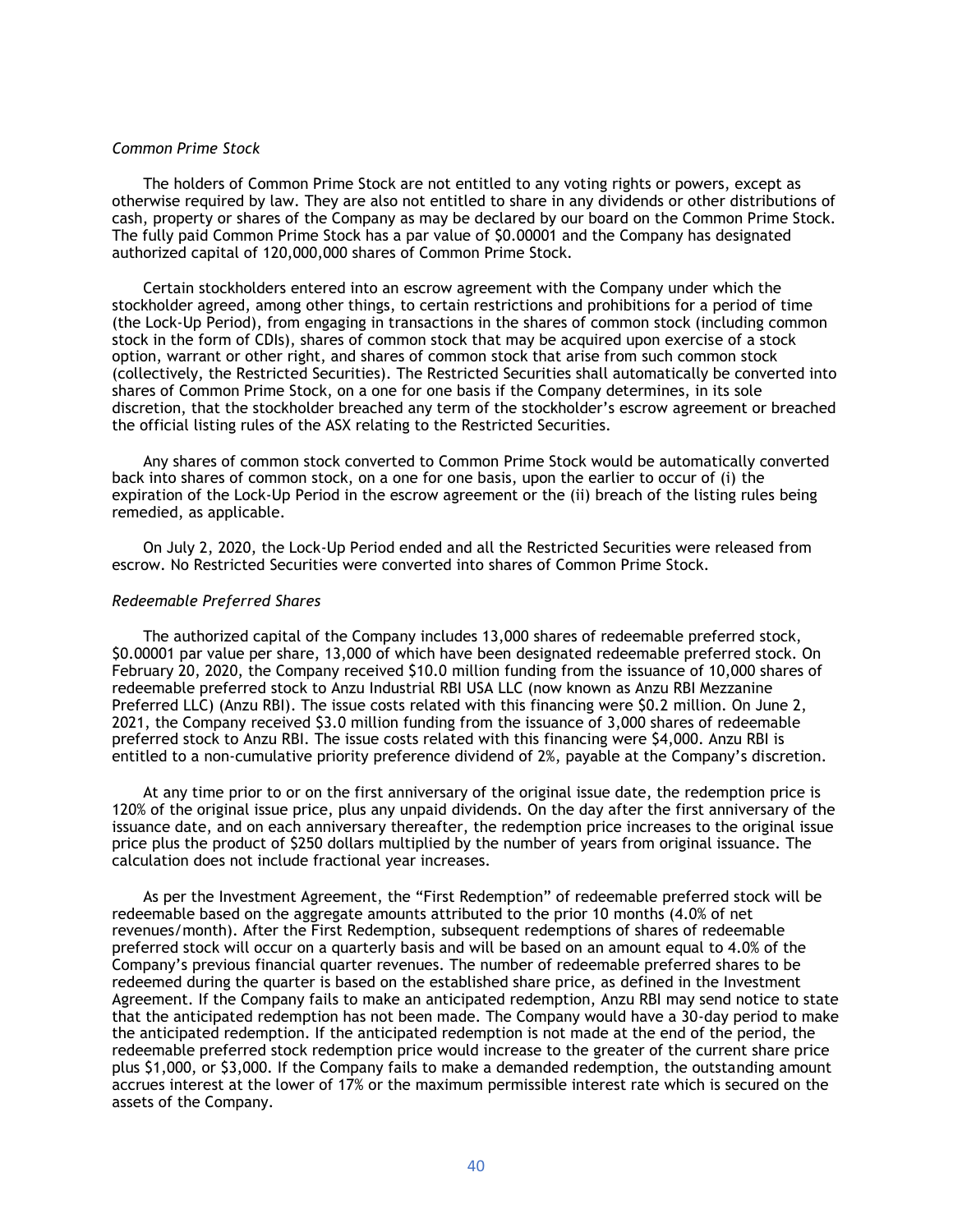#### *Common Prime Stock*

The holders of Common Prime Stock are not entitled to any voting rights or powers, except as otherwise required by law. They are also not entitled to share in any dividends or other distributions of cash, property or shares of the Company as may be declared by our board on the Common Prime Stock. The fully paid Common Prime Stock has a par value of \$0.00001 and the Company has designated authorized capital of 120,000,000 shares of Common Prime Stock.

Certain stockholders entered into an escrow agreement with the Company under which the stockholder agreed, among other things, to certain restrictions and prohibitions for a period of time (the Lock-Up Period), from engaging in transactions in the shares of common stock (including common stock in the form of CDIs), shares of common stock that may be acquired upon exercise of a stock option, warrant or other right, and shares of common stock that arise from such common stock (collectively, the Restricted Securities). The Restricted Securities shall automatically be converted into shares of Common Prime Stock, on a one for one basis if the Company determines, in its sole discretion, that the stockholder breached any term of the stockholder's escrow agreement or breached the official listing rules of the ASX relating to the Restricted Securities.

Any shares of common stock converted to Common Prime Stock would be automatically converted back into shares of common stock, on a one for one basis, upon the earlier to occur of (i) the expiration of the Lock-Up Period in the escrow agreement or the (ii) breach of the listing rules being remedied, as applicable.

On July 2, 2020, the Lock-Up Period ended and all the Restricted Securities were released from escrow. No Restricted Securities were converted into shares of Common Prime Stock.

#### *Redeemable Preferred Shares*

The authorized capital of the Company includes 13,000 shares of redeemable preferred stock, \$0.00001 par value per share, 13,000 of which have been designated redeemable preferred stock. On February 20, 2020, the Company received \$10.0 million funding from the issuance of 10,000 shares of redeemable preferred stock to Anzu Industrial RBI USA LLC (now known as Anzu RBI Mezzanine Preferred LLC) (Anzu RBI). The issue costs related with this financing were \$0.2 million. On June 2, 2021, the Company received \$3.0 million funding from the issuance of 3,000 shares of redeemable preferred stock to Anzu RBI. The issue costs related with this financing were \$4,000. Anzu RBI is entitled to a non-cumulative priority preference dividend of 2%, payable at the Company's discretion.

At any time prior to or on the first anniversary of the original issue date, the redemption price is 120% of the original issue price, plus any unpaid dividends. On the day after the first anniversary of the issuance date, and on each anniversary thereafter, the redemption price increases to the original issue price plus the product of \$250 dollars multiplied by the number of years from original issuance. The calculation does not include fractional year increases.

As per the Investment Agreement, the "First Redemption" of redeemable preferred stock will be redeemable based on the aggregate amounts attributed to the prior 10 months (4.0% of net revenues/month). After the First Redemption, subsequent redemptions of shares of redeemable preferred stock will occur on a quarterly basis and will be based on an amount equal to 4.0% of the Company's previous financial quarter revenues. The number of redeemable preferred shares to be redeemed during the quarter is based on the established share price, as defined in the Investment Agreement. If the Company fails to make an anticipated redemption, Anzu RBI may send notice to state that the anticipated redemption has not been made. The Company would have a 30-day period to make the anticipated redemption. If the anticipated redemption is not made at the end of the period, the redeemable preferred stock redemption price would increase to the greater of the current share price plus \$1,000, or \$3,000. If the Company fails to make a demanded redemption, the outstanding amount accrues interest at the lower of 17% or the maximum permissible interest rate which is secured on the assets of the Company.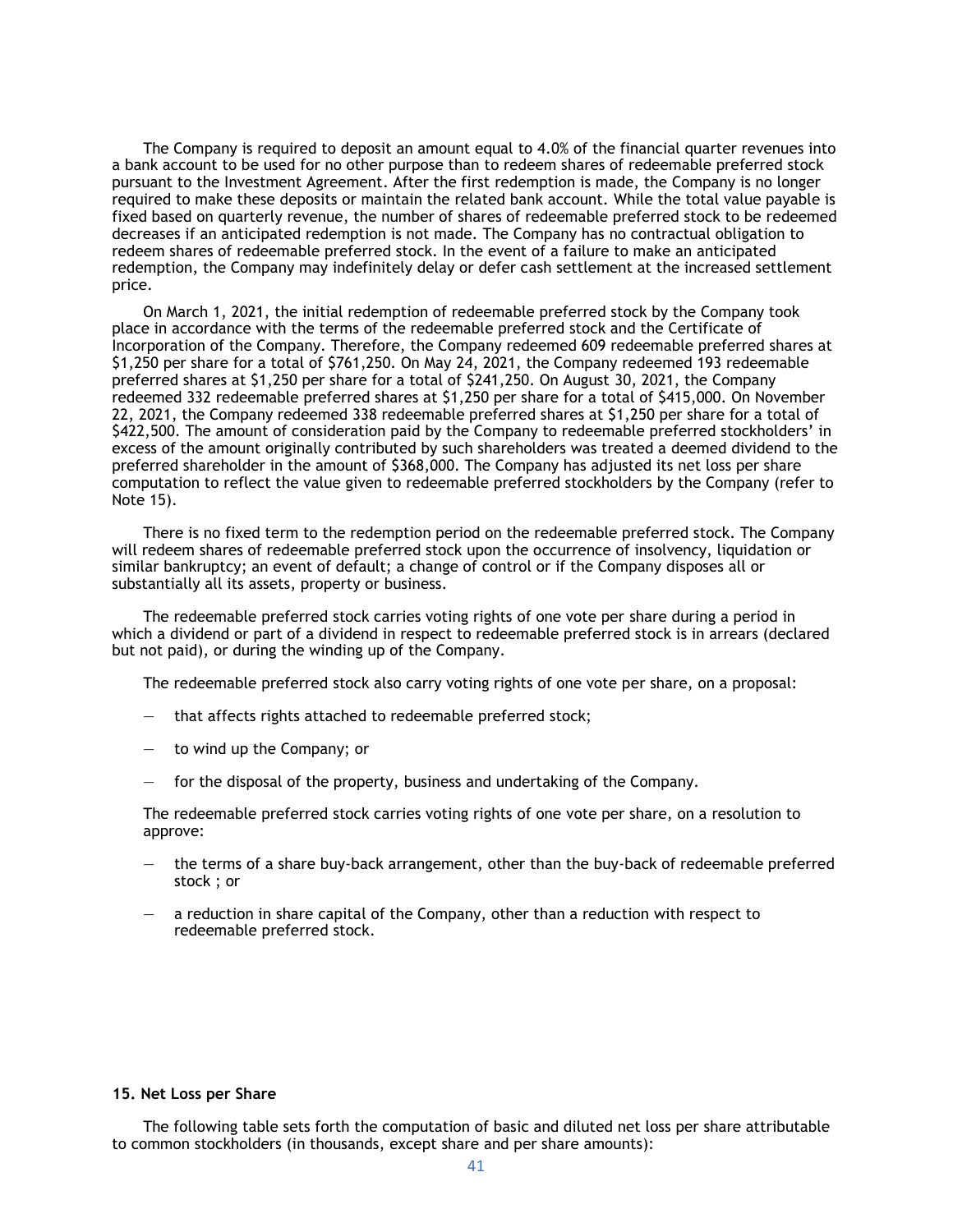The Company is required to deposit an amount equal to 4.0% of the financial quarter revenues into a bank account to be used for no other purpose than to redeem shares of redeemable preferred stock pursuant to the Investment Agreement. After the first redemption is made, the Company is no longer required to make these deposits or maintain the related bank account. While the total value payable is fixed based on quarterly revenue, the number of shares of redeemable preferred stock to be redeemed decreases if an anticipated redemption is not made. The Company has no contractual obligation to redeem shares of redeemable preferred stock. In the event of a failure to make an anticipated redemption, the Company may indefinitely delay or defer cash settlement at the increased settlement price.

On March 1, 2021, the initial redemption of redeemable preferred stock by the Company took place in accordance with the terms of the redeemable preferred stock and the Certificate of Incorporation of the Company. Therefore, the Company redeemed 609 redeemable preferred shares at \$1,250 per share for a total of \$761,250. On May 24, 2021, the Company redeemed 193 redeemable preferred shares at \$1,250 per share for a total of \$241,250. On August 30, 2021, the Company redeemed 332 redeemable preferred shares at \$1,250 per share for a total of \$415,000. On November 22, 2021, the Company redeemed 338 redeemable preferred shares at \$1,250 per share for a total of \$422,500. The amount of consideration paid by the Company to redeemable preferred stockholders' in excess of the amount originally contributed by such shareholders was treated a deemed dividend to the preferred shareholder in the amount of \$368,000. The Company has adjusted its net loss per share computation to reflect the value given to redeemable preferred stockholders by the Company (refer to Note 15).

There is no fixed term to the redemption period on the redeemable preferred stock. The Company will redeem shares of redeemable preferred stock upon the occurrence of insolvency, liquidation or similar bankruptcy; an event of default; a change of control or if the Company disposes all or substantially all its assets, property or business.

The redeemable preferred stock carries voting rights of one vote per share during a period in which a dividend or part of a dividend in respect to redeemable preferred stock is in arrears (declared but not paid), or during the winding up of the Company.

The redeemable preferred stock also carry voting rights of one vote per share, on a proposal:

- that affects rights attached to redeemable preferred stock;
- to wind up the Company; or
- for the disposal of the property, business and undertaking of the Company.

The redeemable preferred stock carries voting rights of one vote per share, on a resolution to approve:

- the terms of a share buy-back arrangement, other than the buy-back of redeemable preferred stock ; or
- a reduction in share capital of the Company, other than a reduction with respect to redeemable preferred stock.

#### **15. Net Loss per Share**

The following table sets forth the computation of basic and diluted net loss per share attributable to common stockholders (in thousands, except share and per share amounts):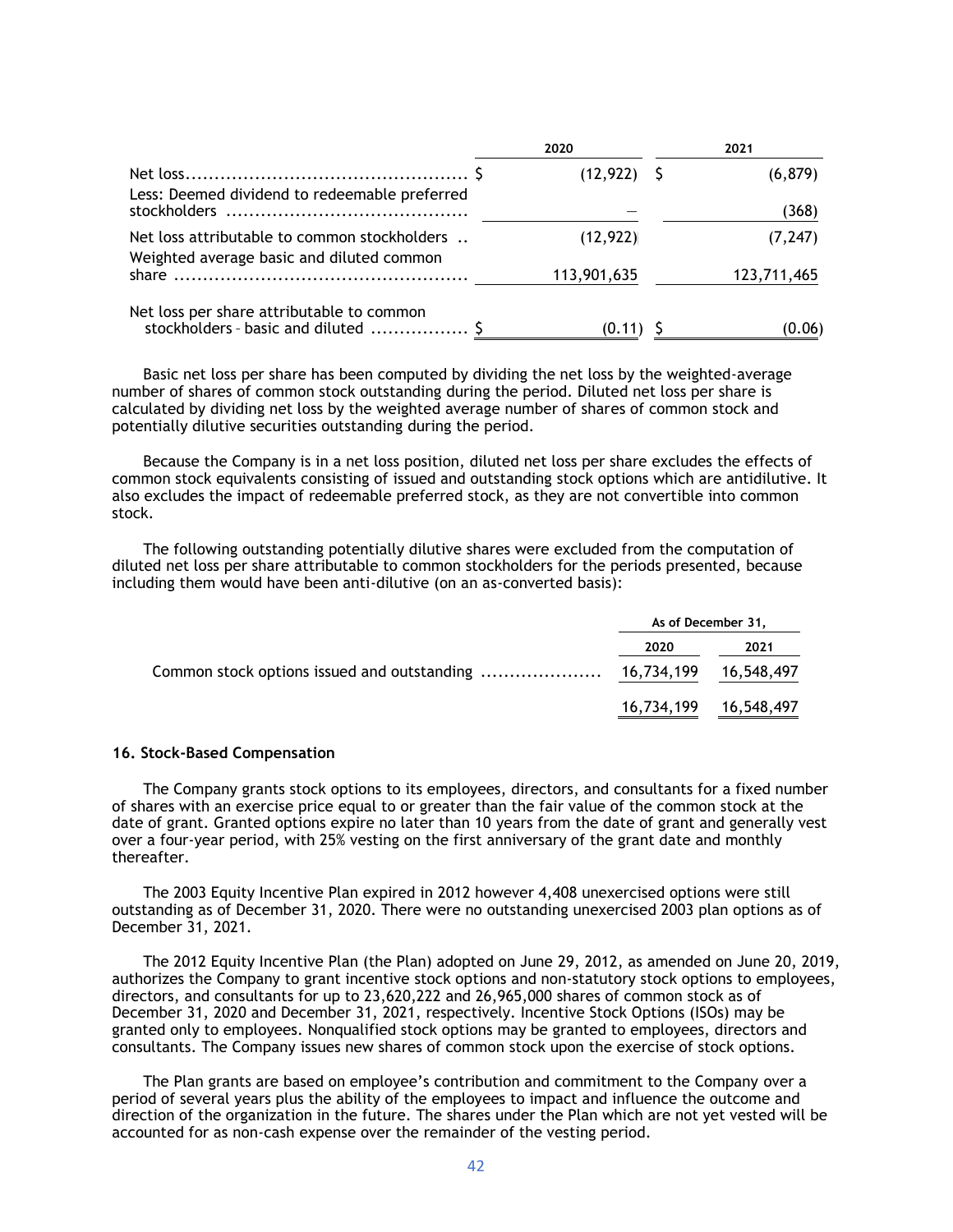|                                                                                           | 2020           | 2021        |
|-------------------------------------------------------------------------------------------|----------------|-------------|
| Less: Deemed dividend to redeemable preferred                                             | $(12, 922)$ \$ | (6, 879)    |
|                                                                                           |                | (368)       |
| Net loss attributable to common stockholders<br>Weighted average basic and diluted common | (12, 922)      | (7, 247)    |
|                                                                                           | 113,901,635    | 123,711,465 |
| Net loss per share attributable to common<br>stockholders - basic and diluted  \$         | $(0.11)$ \$    | (0.06)      |

Basic net loss per share has been computed by dividing the net loss by the weighted-average number of shares of common stock outstanding during the period. Diluted net loss per share is calculated by dividing net loss by the weighted average number of shares of common stock and potentially dilutive securities outstanding during the period.

Because the Company is in a net loss position, diluted net loss per share excludes the effects of common stock equivalents consisting of issued and outstanding stock options which are antidilutive. It also excludes the impact of redeemable preferred stock, as they are not convertible into common stock.

The following outstanding potentially dilutive shares were excluded from the computation of diluted net loss per share attributable to common stockholders for the periods presented, because including them would have been anti-dilutive (on an as-converted basis):

| As of December 31, |      |
|--------------------|------|
| 2020               | 2021 |
|                    |      |
|                    |      |

#### **16. Stock-Based Compensation**

The Company grants stock options to its employees, directors, and consultants for a fixed number of shares with an exercise price equal to or greater than the fair value of the common stock at the date of grant. Granted options expire no later than 10 years from the date of grant and generally vest over a four-year period, with 25% vesting on the first anniversary of the grant date and monthly thereafter.

The 2003 Equity Incentive Plan expired in 2012 however 4,408 unexercised options were still outstanding as of December 31, 2020. There were no outstanding unexercised 2003 plan options as of December 31, 2021.

The 2012 Equity Incentive Plan (the Plan) adopted on June 29, 2012, as amended on June 20, 2019, authorizes the Company to grant incentive stock options and non-statutory stock options to employees, directors, and consultants for up to 23,620,222 and 26,965,000 shares of common stock as of December 31, 2020 and December 31, 2021, respectively. Incentive Stock Options (ISOs) may be granted only to employees. Nonqualified stock options may be granted to employees, directors and consultants. The Company issues new shares of common stock upon the exercise of stock options.

The Plan grants are based on employee's contribution and commitment to the Company over a period of several years plus the ability of the employees to impact and influence the outcome and direction of the organization in the future. The shares under the Plan which are not yet vested will be accounted for as non-cash expense over the remainder of the vesting period.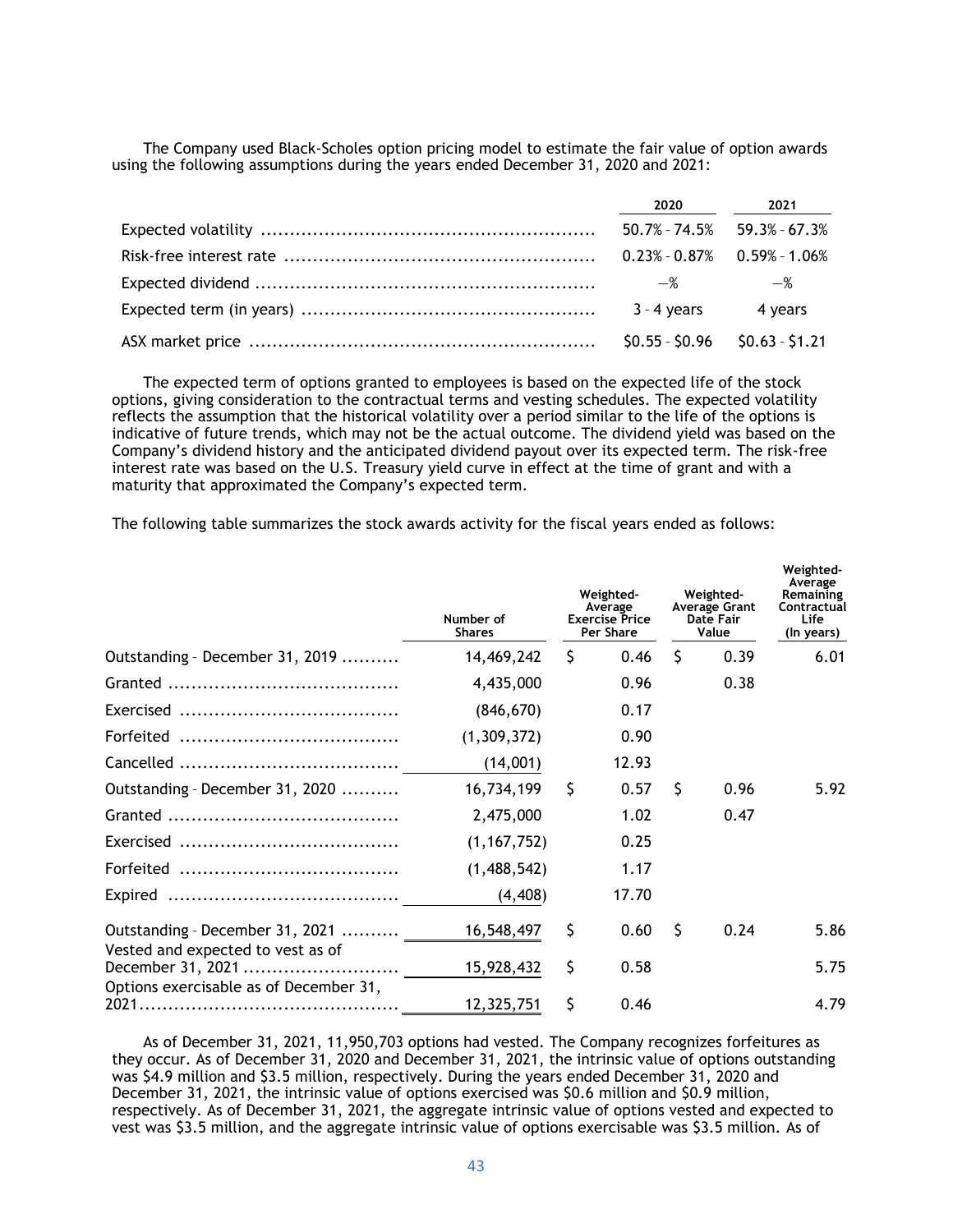The Company used Black-Scholes option pricing model to estimate the fair value of option awards using the following assumptions during the years ended December 31, 2020 and 2021:

|                                 | 2020 2021                           |
|---------------------------------|-------------------------------------|
|                                 | $50.7\% - 74.5\%$ 59.3% - 67.3%     |
|                                 | $0.23\% - 0.87\% - 0.59\% - 1.06\%$ |
| —%                              | $-\%$                               |
| $3 - 4$ years 4 years           |                                     |
| $$0.55 - $0.96$ $$0.63 - $1.21$ |                                     |

The expected term of options granted to employees is based on the expected life of the stock options, giving consideration to the contractual terms and vesting schedules. The expected volatility reflects the assumption that the historical volatility over a period similar to the life of the options is indicative of future trends, which may not be the actual outcome. The dividend yield was based on the Company's dividend history and the anticipated dividend payout over its expected term. The risk-free interest rate was based on the U.S. Treasury yield curve in effect at the time of grant and with a maturity that approximated the Company's expected term.

The following table summarizes the stock awards activity for the fiscal years ended as follows:

|                                                        | Number of<br><b>Shares</b> |    | Weighted-<br>Average<br><b>Exercise Price</b><br>Per Share |    | Weighted-<br>Average Grant<br>Date Fair<br>Value | Weighted-<br>Average<br>Remaining<br>Contractual<br>Life<br>(In years) |
|--------------------------------------------------------|----------------------------|----|------------------------------------------------------------|----|--------------------------------------------------|------------------------------------------------------------------------|
| Outstanding - December 31, 2019                        | 14,469,242                 | Ŝ. | 0.46                                                       | Ś. | 0.39                                             | 6.01                                                                   |
|                                                        | 4,435,000                  |    | 0.96                                                       |    | 0.38                                             |                                                                        |
|                                                        | (846, 670)                 |    | 0.17                                                       |    |                                                  |                                                                        |
|                                                        | (1,309,372)                |    | 0.90                                                       |    |                                                  |                                                                        |
|                                                        | (14,001)                   |    | 12.93                                                      |    |                                                  |                                                                        |
| Outstanding - December 31, 2020                        | 16,734,199                 | \$ | 0.57                                                       | Ŝ  | 0.96                                             | 5.92                                                                   |
|                                                        | 2,475,000                  |    | 1.02                                                       |    | 0.47                                             |                                                                        |
|                                                        | (1, 167, 752)              |    | 0.25                                                       |    |                                                  |                                                                        |
|                                                        | (1,488,542)                |    | 1.17                                                       |    |                                                  |                                                                        |
|                                                        | (4, 408)                   |    | 17.70                                                      |    |                                                  |                                                                        |
| Outstanding - December 31, 2021                        | 16,548,497                 | \$ | 0.60                                                       | Ŝ  | 0.24                                             | 5.86                                                                   |
| Vested and expected to vest as of<br>December 31, 2021 | 15,928,432                 | \$ | 0.58                                                       |    |                                                  | 5.75                                                                   |
| Options exercisable as of December 31,                 | 12,325,751                 | \$ | 0.46                                                       |    |                                                  | 4.79                                                                   |

As of December 31, 2021, 11,950,703 options had vested. The Company recognizes forfeitures as they occur. As of December 31, 2020 and December 31, 2021, the intrinsic value of options outstanding was \$4.9 million and \$3.5 million, respectively. During the years ended December 31, 2020 and December 31, 2021, the intrinsic value of options exercised was \$0.6 million and \$0.9 million, respectively. As of December 31, 2021, the aggregate intrinsic value of options vested and expected to vest was \$3.5 million, and the aggregate intrinsic value of options exercisable was \$3.5 million. As of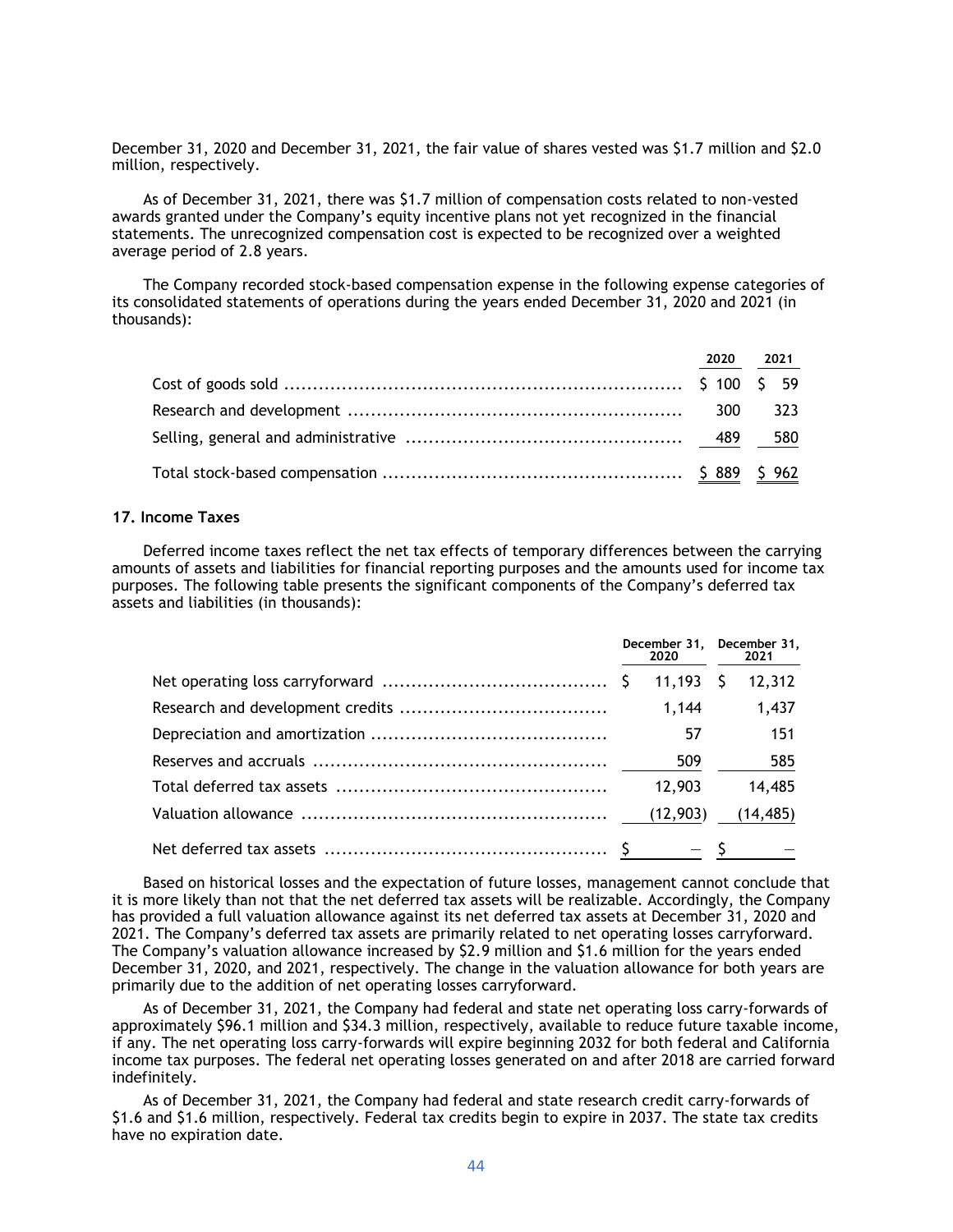December 31, 2020 and December 31, 2021, the fair value of shares vested was \$1.7 million and \$2.0 million, respectively.

As of December 31, 2021, there was \$1.7 million of compensation costs related to non-vested awards granted under the Company's equity incentive plans not yet recognized in the financial statements. The unrecognized compensation cost is expected to be recognized over a weighted average period of 2.8 years.

The Company recorded stock-based compensation expense in the following expense categories of its consolidated statements of operations during the years ended December 31, 2020 and 2021 (in thousands):

|  | 2020 2021 |
|--|-----------|
|  |           |
|  | 300 323   |
|  |           |
|  |           |

#### **17. Income Taxes**

Deferred income taxes reflect the net tax effects of temporary differences between the carrying amounts of assets and liabilities for financial reporting purposes and the amounts used for income tax purposes. The following table presents the significant components of the Company's deferred tax assets and liabilities (in thousands):

|  | December 31, December 31,<br>2020 | 2021      |
|--|-----------------------------------|-----------|
|  | 11.193 S                          | 12,312    |
|  | 1,144                             | 1,437     |
|  | 57                                | 151       |
|  | 509                               | 585       |
|  | 12,903                            | 14,485    |
|  | (12,903)                          | (14, 485) |
|  |                                   |           |

Based on historical losses and the expectation of future losses, management cannot conclude that it is more likely than not that the net deferred tax assets will be realizable. Accordingly, the Company has provided a full valuation allowance against its net deferred tax assets at December 31, 2020 and 2021. The Company's deferred tax assets are primarily related to net operating losses carryforward. The Company's valuation allowance increased by \$2.9 million and \$1.6 million for the years ended December 31, 2020, and 2021, respectively. The change in the valuation allowance for both years are primarily due to the addition of net operating losses carryforward.

As of December 31, 2021, the Company had federal and state net operating loss carry-forwards of approximately \$96.1 million and \$34.3 million, respectively, available to reduce future taxable income, if any. The net operating loss carry-forwards will expire beginning 2032 for both federal and California income tax purposes. The federal net operating losses generated on and after 2018 are carried forward indefinitely.

As of December 31, 2021, the Company had federal and state research credit carry-forwards of \$1.6 and \$1.6 million, respectively. Federal tax credits begin to expire in 2037. The state tax credits have no expiration date.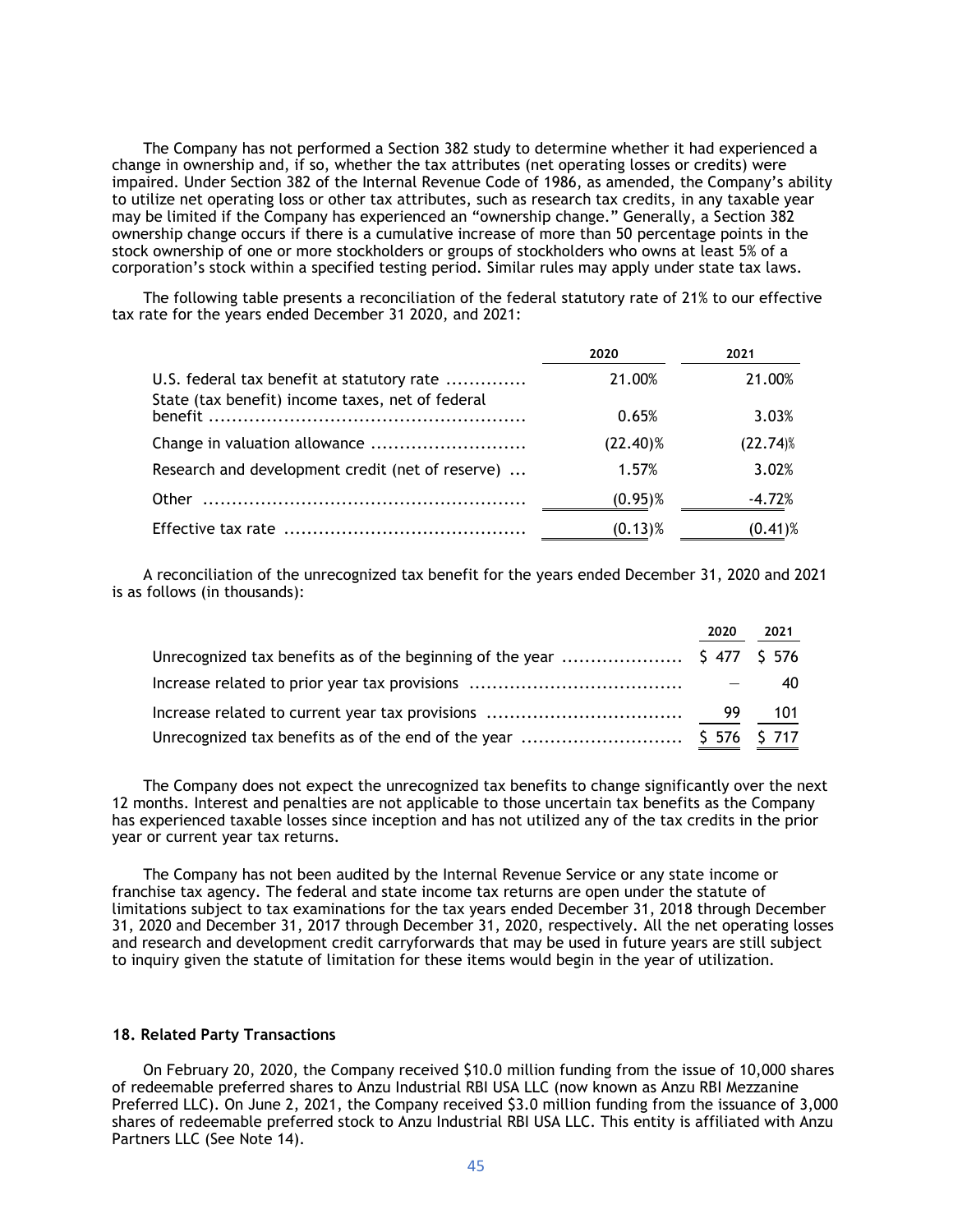The Company has not performed a Section 382 study to determine whether it had experienced a change in ownership and, if so, whether the tax attributes (net operating losses or credits) were impaired. Under Section 382 of the Internal Revenue Code of 1986, as amended, the Company's ability to utilize net operating loss or other tax attributes, such as research tax credits, in any taxable year may be limited if the Company has experienced an "ownership change." Generally, a Section 382 ownership change occurs if there is a cumulative increase of more than 50 percentage points in the stock ownership of one or more stockholders or groups of stockholders who owns at least 5% of a corporation's stock within a specified testing period. Similar rules may apply under state tax laws.

The following table presents a reconciliation of the federal statutory rate of 21% to our effective tax rate for the years ended December 31 2020, and 2021:

|                                                  | 2020        | 2021        |
|--------------------------------------------------|-------------|-------------|
| U.S. federal tax benefit at statutory rate       | 21.00%      | 21.00%      |
| State (tax benefit) income taxes, net of federal | 0.65%       | 3.03%       |
| Change in valuation allowance                    | $(22.40)\%$ | $(22.74)$ % |
| Research and development credit (net of reserve) | 1.57%       | 3.02%       |
|                                                  | $(0.95)\%$  | $-4.72%$    |
|                                                  | $(0.13)$ %  | $(0.41)$ %  |

A reconciliation of the unrecognized tax benefit for the years ended December 31, 2020 and 2021 is as follows (in thousands):

| 2020 | 2021 |
|------|------|
|      |      |
|      | 40   |
|      |      |
|      |      |

The Company does not expect the unrecognized tax benefits to change significantly over the next 12 months. Interest and penalties are not applicable to those uncertain tax benefits as the Company has experienced taxable losses since inception and has not utilized any of the tax credits in the prior year or current year tax returns.

The Company has not been audited by the Internal Revenue Service or any state income or franchise tax agency. The federal and state income tax returns are open under the statute of limitations subject to tax examinations for the tax years ended December 31, 2018 through December 31, 2020 and December 31, 2017 through December 31, 2020, respectively. All the net operating losses and research and development credit carryforwards that may be used in future years are still subject to inquiry given the statute of limitation for these items would begin in the year of utilization.

#### **18. Related Party Transactions**

On February 20, 2020, the Company received \$10.0 million funding from the issue of 10,000 shares of redeemable preferred shares to Anzu Industrial RBI USA LLC (now known as Anzu RBI Mezzanine Preferred LLC). On June 2, 2021, the Company received \$3.0 million funding from the issuance of 3,000 shares of redeemable preferred stock to Anzu Industrial RBI USA LLC. This entity is affiliated with Anzu Partners LLC (See Note 14).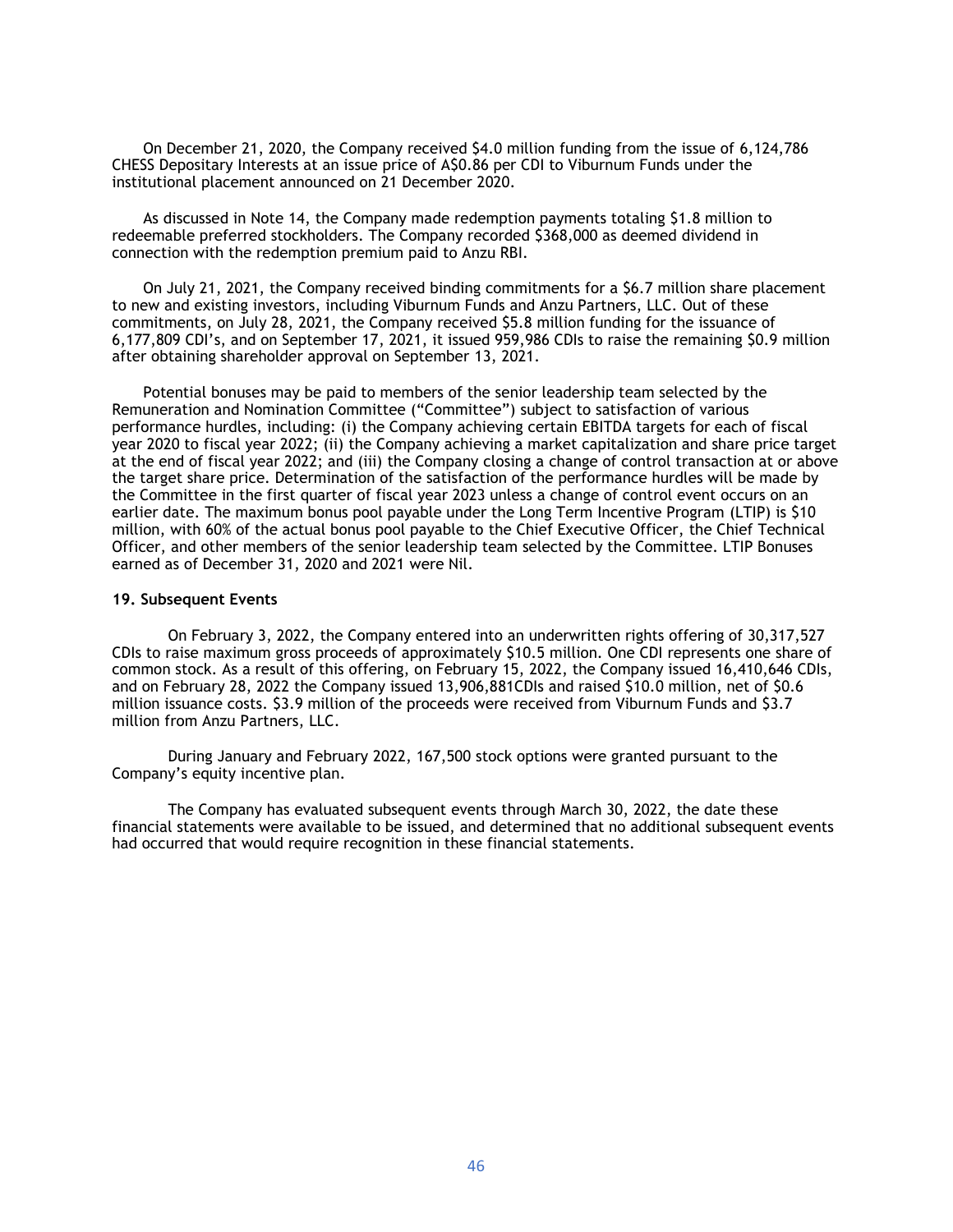On December 21, 2020, the Company received \$4.0 million funding from the issue of 6,124,786 CHESS Depositary Interests at an issue price of A\$0.86 per CDI to Viburnum Funds under the institutional placement announced on 21 December 2020.

As discussed in Note 14, the Company made redemption payments totaling \$1.8 million to redeemable preferred stockholders. The Company recorded \$368,000 as deemed dividend in connection with the redemption premium paid to Anzu RBI.

On July 21, 2021, the Company received binding commitments for a \$6.7 million share placement to new and existing investors, including Viburnum Funds and Anzu Partners, LLC. Out of these commitments, on July 28, 2021, the Company received \$5.8 million funding for the issuance of 6,177,809 CDI's, and on September 17, 2021, it issued 959,986 CDIs to raise the remaining \$0.9 million after obtaining shareholder approval on September 13, 2021.

Potential bonuses may be paid to members of the senior leadership team selected by the Remuneration and Nomination Committee ("Committee") subject to satisfaction of various performance hurdles, including: (i) the Company achieving certain EBITDA targets for each of fiscal year 2020 to fiscal year 2022; (ii) the Company achieving a market capitalization and share price target at the end of fiscal year 2022; and (iii) the Company closing a change of control transaction at or above the target share price. Determination of the satisfaction of the performance hurdles will be made by the Committee in the first quarter of fiscal year 2023 unless a change of control event occurs on an earlier date. The maximum bonus pool payable under the Long Term Incentive Program (LTIP) is \$10 million, with 60% of the actual bonus pool payable to the Chief Executive Officer, the Chief Technical Officer, and other members of the senior leadership team selected by the Committee. LTIP Bonuses earned as of December 31, 2020 and 2021 were Nil.

#### **19. Subsequent Events**

On February 3, 2022, the Company entered into an underwritten rights offering of 30,317,527 CDIs to raise maximum gross proceeds of approximately \$10.5 million. One CDI represents one share of common stock. As a result of this offering, on February 15, 2022, the Company issued 16,410,646 CDIs, and on February 28, 2022 the Company issued 13,906,881CDIs and raised \$10.0 million, net of \$0.6 million issuance costs. \$3.9 million of the proceeds were received from Viburnum Funds and \$3.7 million from Anzu Partners, LLC.

During January and February 2022, 167,500 stock options were granted pursuant to the Company's equity incentive plan.

The Company has evaluated subsequent events through March 30, 2022, the date these financial statements were available to be issued, and determined that no additional subsequent events had occurred that would require recognition in these financial statements.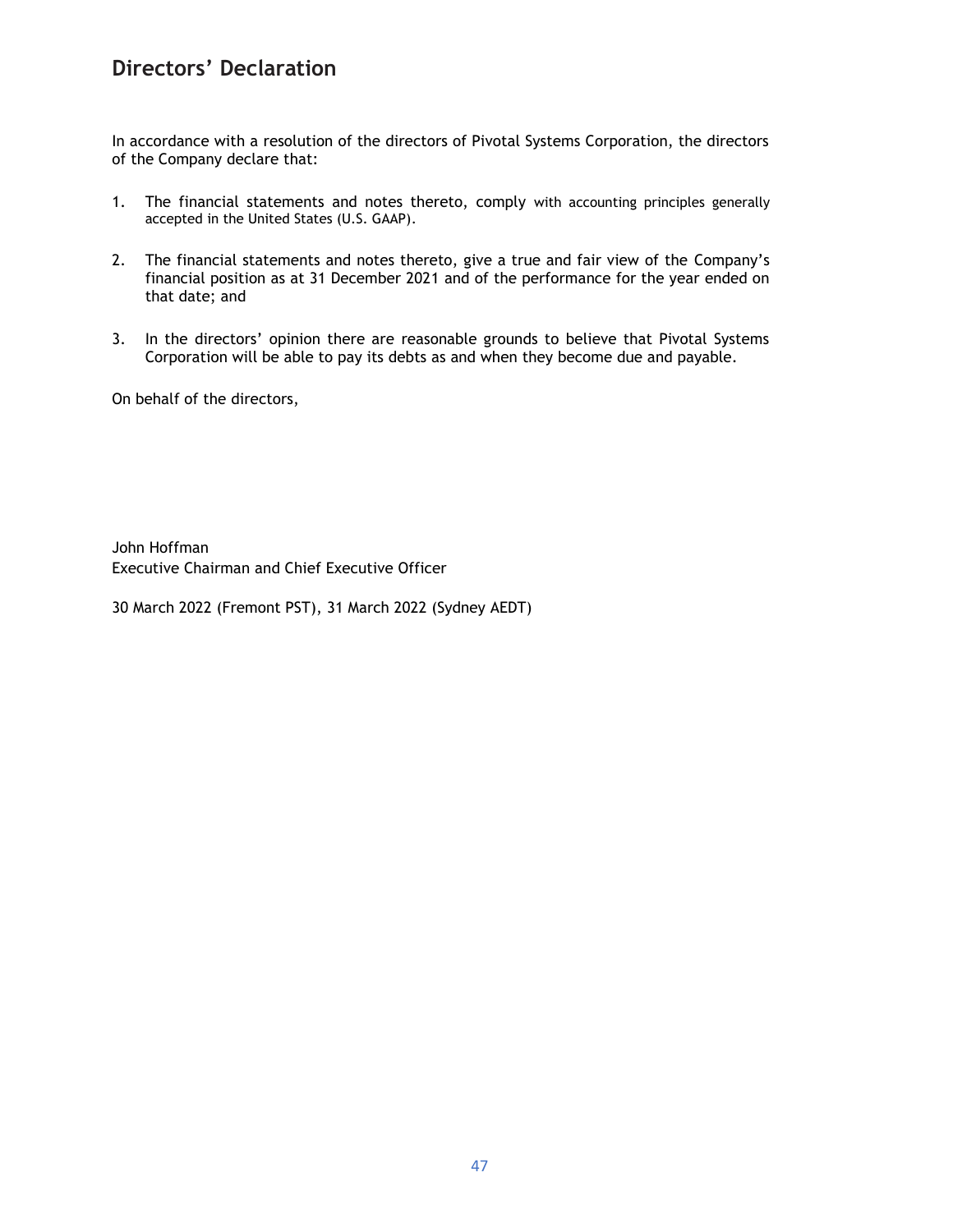## **Directors' Declaration**

In accordance with a resolution of the directors of Pivotal Systems Corporation, the directors of the Company declare that:

- 1. The financial statements and notes thereto, comply with accounting principles generally accepted in the United States (U.S. GAAP).
- 2. The financial statements and notes thereto, give a true and fair view of the Company's financial position as at 31 December 2021 and of the performance for the year ended on that date; and
- 3. In the directors' opinion there are reasonable grounds to believe that Pivotal Systems Corporation will be able to pay its debts as and when they become due and payable.

On behalf of the directors,

John Hoffman Executive Chairman and Chief Executive Officer

30 March 2022 (Fremont PST), 31 March 2022 (Sydney AEDT)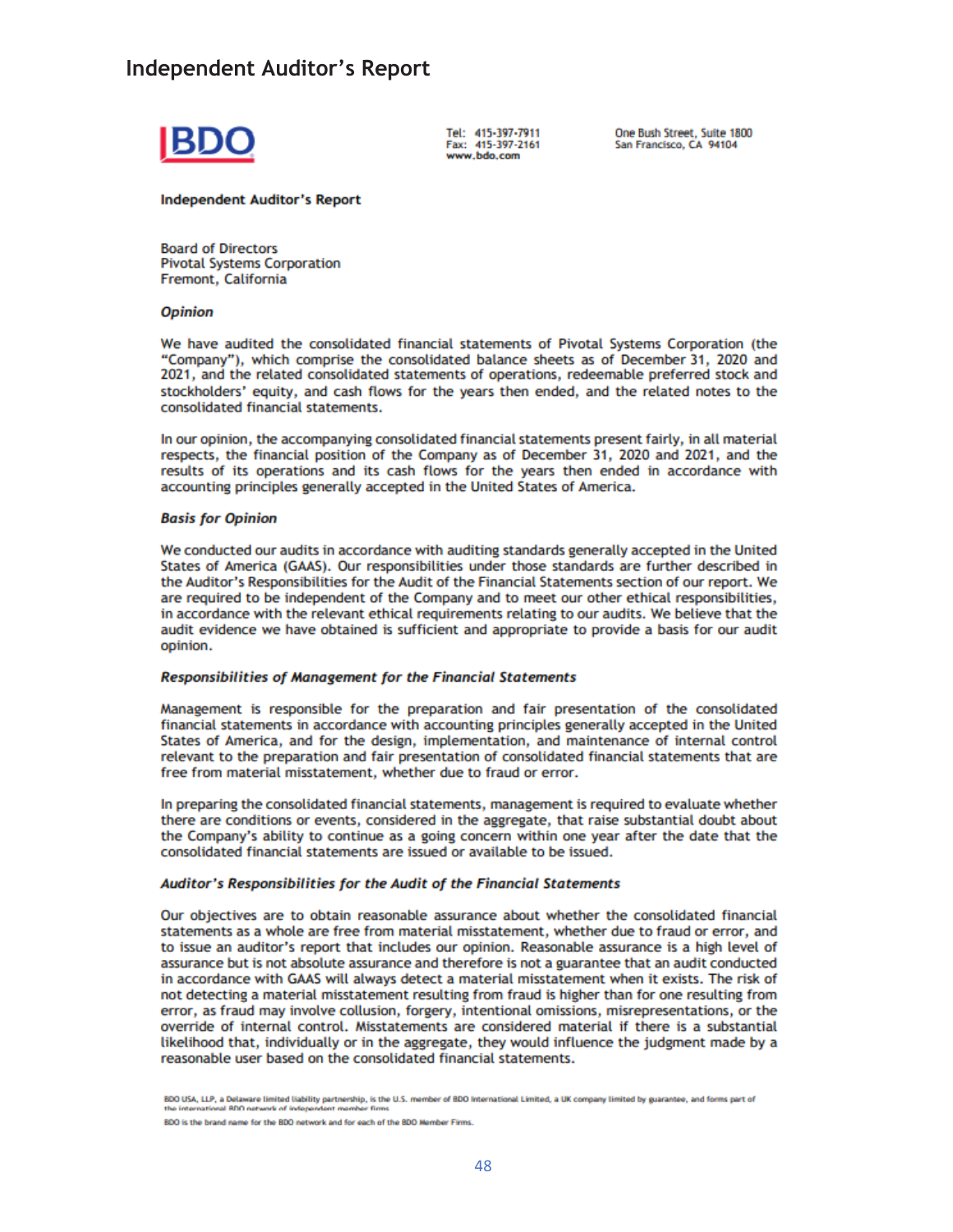## **Independent Auditor's Report**



Tel: 415-397-7911 Fax: 415-397-2161 www.bdo.com

One Bush Street, Suite 1800 San Francisco, CA 94104

**Independent Auditor's Report** 

**Board of Directors Pivotal Systems Corporation** Fremont, California

#### **Opinion**

We have audited the consolidated financial statements of Pivotal Systems Corporation (the "Company"), which comprise the consolidated balance sheets as of December 31, 2020 and 2021, and the related consolidated statements of operations, redeemable preferred stock and stockholders' equity, and cash flows for the years then ended, and the related notes to the consolidated financial statements.

In our opinion, the accompanying consolidated financial statements present fairly, in all material respects, the financial position of the Company as of December 31, 2020 and 2021, and the results of its operations and its cash flows for the years then ended in accordance with accounting principles generally accepted in the United States of America.

#### **Basis for Opinion**

We conducted our audits in accordance with auditing standards generally accepted in the United States of America (GAAS). Our responsibilities under those standards are further described in the Auditor's Responsibilities for the Audit of the Financial Statements section of our report. We are required to be independent of the Company and to meet our other ethical responsibilities, in accordance with the relevant ethical requirements relating to our audits. We believe that the audit evidence we have obtained is sufficient and appropriate to provide a basis for our audit opinion.

#### Responsibilities of Management for the Financial Statements

Management is responsible for the preparation and fair presentation of the consolidated financial statements in accordance with accounting principles generally accepted in the United States of America, and for the design, implementation, and maintenance of internal control relevant to the preparation and fair presentation of consolidated financial statements that are free from material misstatement, whether due to fraud or error.

In preparing the consolidated financial statements, management is required to evaluate whether there are conditions or events, considered in the aggregate, that raise substantial doubt about the Company's ability to continue as a going concern within one year after the date that the consolidated financial statements are issued or available to be issued.

#### Auditor's Responsibilities for the Audit of the Financial Statements

Our objectives are to obtain reasonable assurance about whether the consolidated financial statements as a whole are free from material misstatement, whether due to fraud or error, and to issue an auditor's report that includes our opinion. Reasonable assurance is a high level of assurance but is not absolute assurance and therefore is not a guarantee that an audit conducted in accordance with GAAS will always detect a material misstatement when it exists. The risk of not detecting a material misstatement resulting from fraud is higher than for one resulting from error, as fraud may involve collusion, forgery, intentional omissions, misrepresentations, or the override of internal control. Misstatements are considered material if there is a substantial likelihood that, individually or in the aggregate, they would influence the judgment made by a reasonable user based on the consolidated financial statements.

BDO USA, LLP, a Delaware limited liability partnership, is the U.S. member of BDO International Limited, a UK company limited by guarantee, and forms part of

BDO is the brand name for the BDO network and for each of the BDO Member Firms.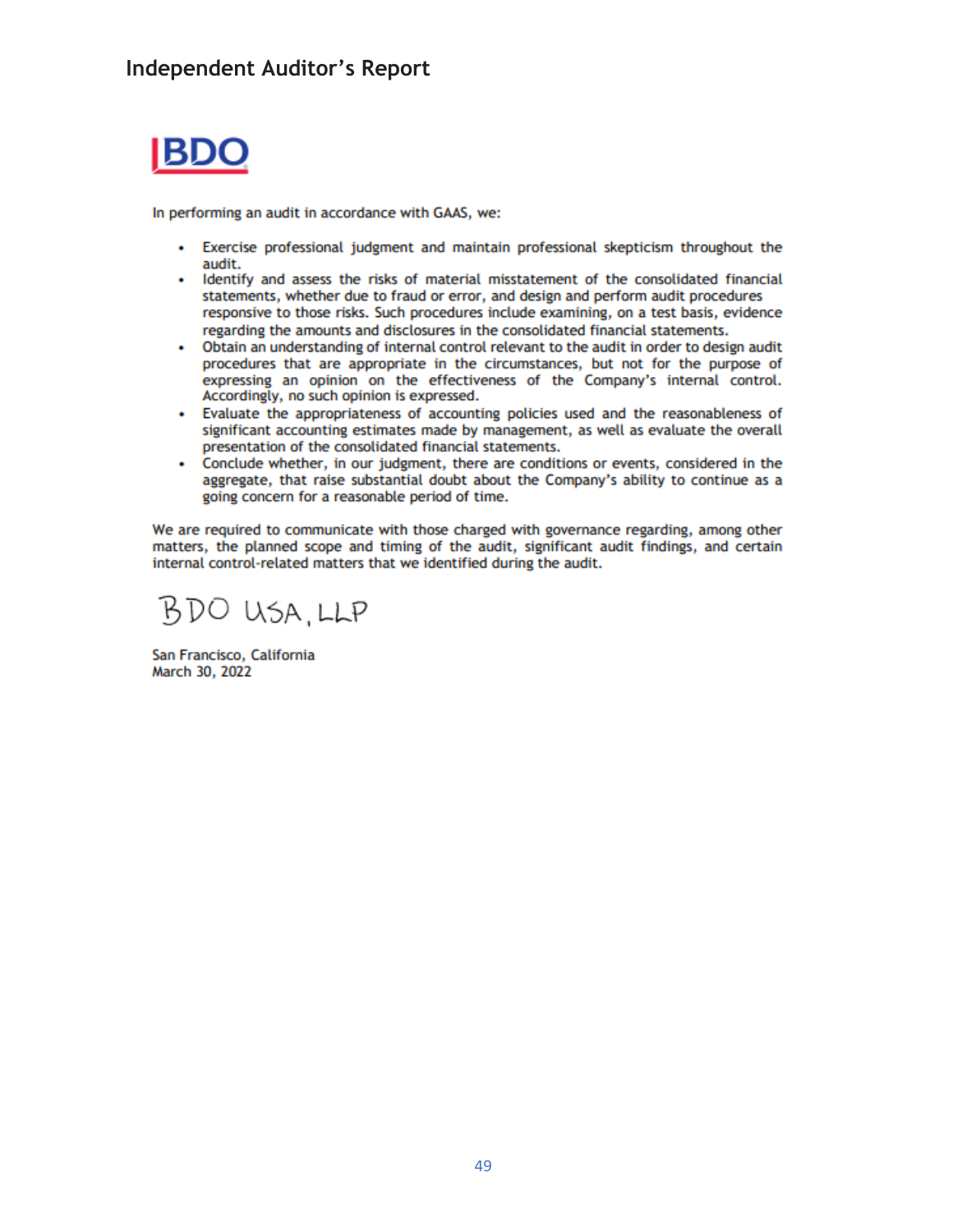

In performing an audit in accordance with GAAS, we:

- Exercise professional judgment and maintain professional skepticism throughout the audit.
- Identify and assess the risks of material misstatement of the consolidated financial statements, whether due to fraud or error, and design and perform audit procedures responsive to those risks. Such procedures include examining, on a test basis, evidence regarding the amounts and disclosures in the consolidated financial statements.
- Obtain an understanding of internal control relevant to the audit in order to design audit procedures that are appropriate in the circumstances, but not for the purpose of expressing an opinion on the effectiveness of the Company's internal control. Accordingly, no such opinion is expressed.
- Evaluate the appropriateness of accounting policies used and the reasonableness of significant accounting estimates made by management, as well as evaluate the overall presentation of the consolidated financial statements.
- Conclude whether, in our judgment, there are conditions or events, considered in the aggregate, that raise substantial doubt about the Company's ability to continue as a going concern for a reasonable period of time.

We are required to communicate with those charged with governance regarding, among other matters, the planned scope and timing of the audit, significant audit findings, and certain internal control-related matters that we identified during the audit.

BDO USA.LLP

San Francisco, California March 30, 2022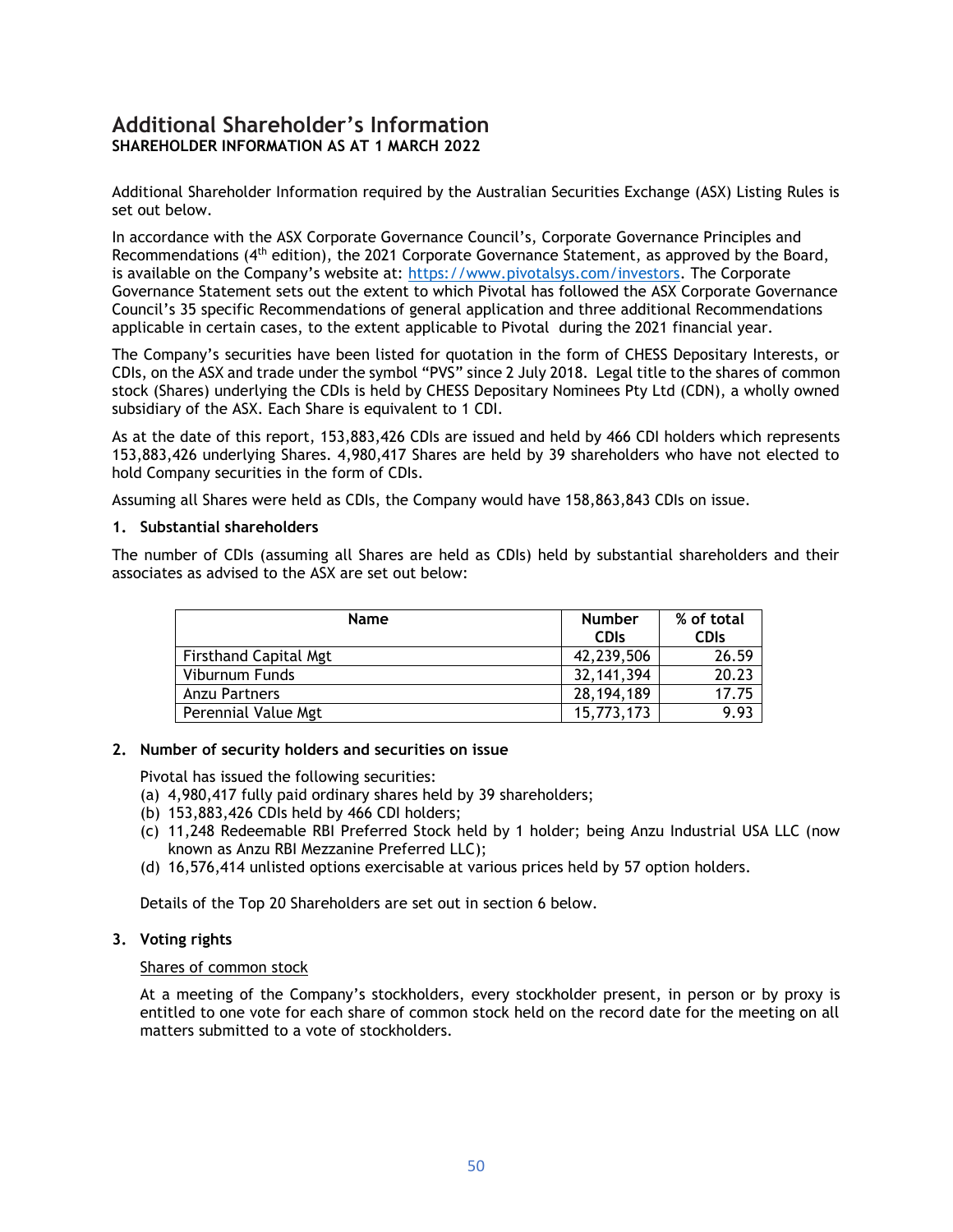## **Additional Shareholder's Information SHAREHOLDER INFORMATION AS AT 1 MARCH 2022**

Additional Shareholder Information required by the Australian Securities Exchange (ASX) Listing Rules is set out below.

In accordance with the ASX Corporate Governance Council's, Corporate Governance Principles and Recommendations (4th edition), the 2021 Corporate Governance Statement, as approved by the Board, is available on the Company's website at: [https://www.pivotalsys.com/investors.](https://www.pivotalsys.com/investors) The Corporate Governance Statement sets out the extent to which Pivotal has followed the ASX Corporate Governance Council's 35 specific Recommendations of general application and three additional Recommendations applicable in certain cases, to the extent applicable to Pivotal during the 2021 financial year.

The Company's securities have been listed for quotation in the form of CHESS Depositary Interests, or CDIs, on the ASX and trade under the symbol "PVS" since 2 July 2018. Legal title to the shares of common stock (Shares) underlying the CDIs is held by CHESS Depositary Nominees Pty Ltd (CDN), a wholly owned subsidiary of the ASX. Each Share is equivalent to 1 CDI.

As at the date of this report, 153,883,426 CDIs are issued and held by 466 CDI holders which represents 153,883,426 underlying Shares. 4,980,417 Shares are held by 39 shareholders who have not elected to hold Company securities in the form of CDIs.

Assuming all Shares were held as CDIs, the Company would have 158,863,843 CDIs on issue.

### **1. Substantial shareholders**

The number of CDIs (assuming all Shares are held as CDIs) held by substantial shareholders and their associates as advised to the ASX are set out below:

| <b>Name</b>                  | <b>Number</b><br><b>CDIs</b> | % of total<br><b>CDIs</b> |
|------------------------------|------------------------------|---------------------------|
| <b>Firsthand Capital Mgt</b> | 42,239,506                   | 26.59                     |
| Viburnum Funds               | 32, 141, 394                 | 20.23                     |
| Anzu Partners                | 28, 194, 189                 | 17.75                     |
| Perennial Value Mgt          | 15,773,173                   | 9.93                      |

### **2. Number of security holders and securities on issue**

Pivotal has issued the following securities:

- (a) 4,980,417 fully paid ordinary shares held by 39 shareholders;
- (b) 153,883,426 CDIs held by 466 CDI holders;
- (c) 11,248 Redeemable RBI Preferred Stock held by 1 holder; being Anzu Industrial USA LLC (now known as Anzu RBI Mezzanine Preferred LLC);
- (d) 16,576,414 unlisted options exercisable at various prices held by 57 option holders.

Details of the Top 20 Shareholders are set out in section 6 below.

## **3. Voting rights**

## Shares of common stock

At a meeting of the Company's stockholders, every stockholder present, in person or by proxy is entitled to one vote for each share of common stock held on the record date for the meeting on all matters submitted to a vote of stockholders.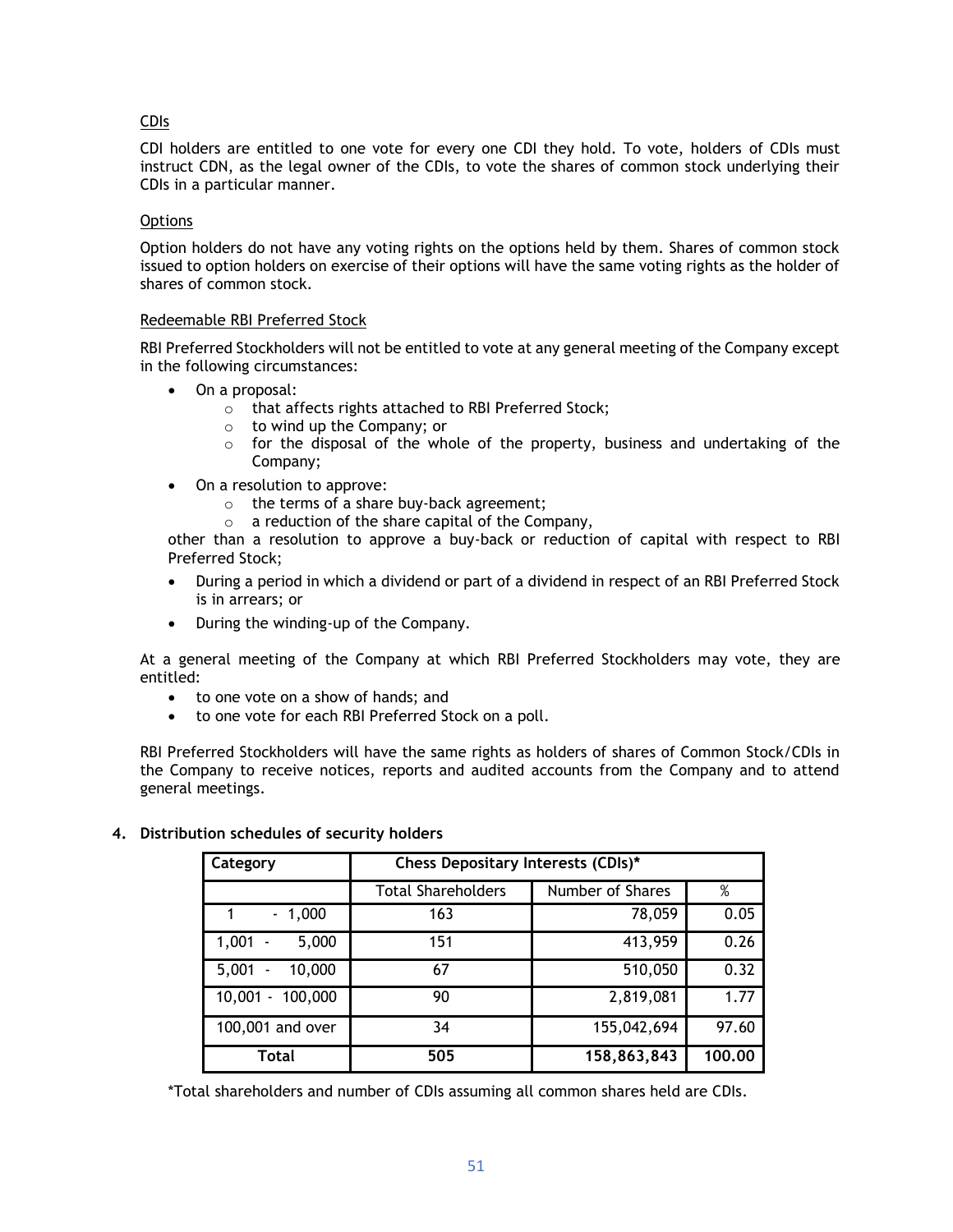## CDIs

CDI holders are entitled to one vote for every one CDI they hold. To vote, holders of CDIs must instruct CDN, as the legal owner of the CDIs, to vote the shares of common stock underlying their CDIs in a particular manner.

## **Options**

Option holders do not have any voting rights on the options held by them. Shares of common stock issued to option holders on exercise of their options will have the same voting rights as the holder of shares of common stock.

## Redeemable RBI Preferred Stock

RBI Preferred Stockholders will not be entitled to vote at any general meeting of the Company except in the following circumstances:

- On a proposal:
	- o that affects rights attached to RBI Preferred Stock;
	- o to wind up the Company; or
	- $\circ$  for the disposal of the whole of the property, business and undertaking of the Company;
- On a resolution to approve:
	- o the terms of a share buy-back agreement;
	- o a reduction of the share capital of the Company,

other than a resolution to approve a buy-back or reduction of capital with respect to RBI Preferred Stock;

- During a period in which a dividend or part of a dividend in respect of an RBI Preferred Stock is in arrears; or
- During the winding-up of the Company.

At a general meeting of the Company at which RBI Preferred Stockholders may vote, they are entitled:

- to one vote on a show of hands; and
- to one vote for each RBI Preferred Stock on a poll.

RBI Preferred Stockholders will have the same rights as holders of shares of Common Stock/CDIs in the Company to receive notices, reports and audited accounts from the Company and to attend general meetings.

| Category                          | Chess Depositary Interests (CDIs)* |                  |        |
|-----------------------------------|------------------------------------|------------------|--------|
|                                   | <b>Total Shareholders</b>          | Number of Shares | %      |
| $-1,000$                          | 163                                | 78,059           | 0.05   |
| $1,001 -$<br>5,000                | 151                                | 413,959          | 0.26   |
| 5,001<br>10,000<br>$\blacksquare$ | 67                                 | 510,050          | 0.32   |
| 10,001 - 100,000                  | 90                                 | 2,819,081        | 1.77   |
| 100,001 and over                  | 34                                 | 155,042,694      | 97.60  |
| Total                             | 505                                | 158,863,843      | 100.00 |

## **4. Distribution schedules of security holders**

\*Total shareholders and number of CDIs assuming all common shares held are CDIs.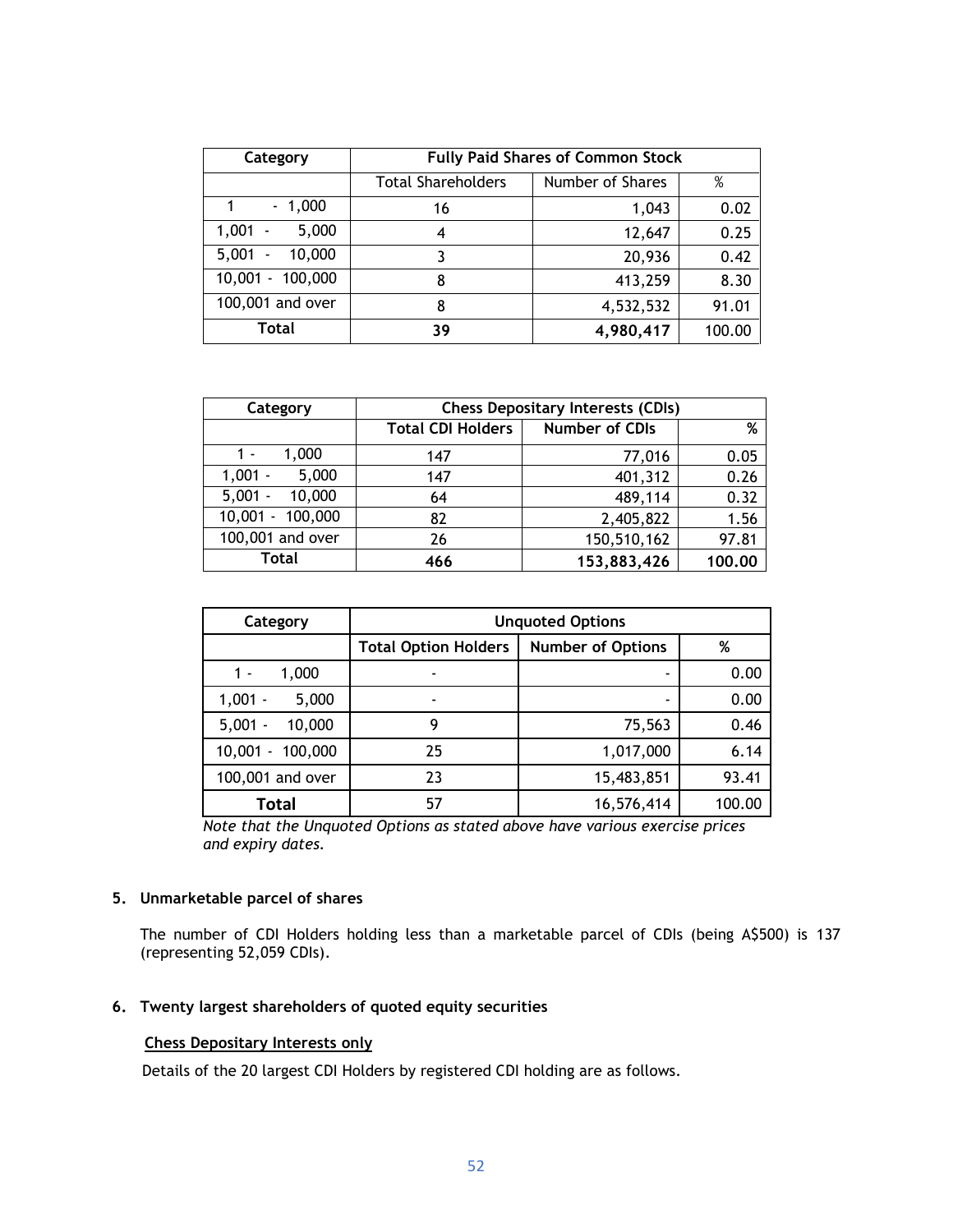| Category                                    | <b>Fully Paid Shares of Common Stock</b> |                  |        |
|---------------------------------------------|------------------------------------------|------------------|--------|
|                                             | <b>Total Shareholders</b>                | Number of Shares | %      |
| $-1,000$                                    | 16                                       | 1,043            | 0.02   |
| 1,001<br>5,000<br>$\sim$                    | 4                                        | 12,647           | 0.25   |
| 10,000<br>5,001<br>$\overline{\phantom{a}}$ |                                          | 20,936           | 0.42   |
| 10,001 - 100,000                            | 8                                        | 413,259          | 8.30   |
| 100,001 and over                            | 8                                        | 4,532,532        | 91.01  |
| Total                                       | 39                                       | 4,980,417        | 100.00 |

| Category            | <b>Chess Depositary Interests (CDIs)</b> |                |        |
|---------------------|------------------------------------------|----------------|--------|
|                     | <b>Total CDI Holders</b>                 | Number of CDIs | %      |
| 1,000<br>1 -        | 147                                      | 77,016         | 0.05   |
| 5,000<br>$1,001 -$  | 147                                      | 401,312        | 0.26   |
| 10,000<br>$5,001 -$ | 64                                       | 489,114        | 0.32   |
| 10,001 - 100,000    | 82                                       | 2,405,822      | 1.56   |
| 100,001 and over    | 26                                       | 150,510,162    | 97.81  |
| Total               | 466                                      | 153,883,426    | 100.00 |

| Category                                  | <b>Unquoted Options</b>     |                          |        |
|-------------------------------------------|-----------------------------|--------------------------|--------|
|                                           | <b>Total Option Holders</b> | <b>Number of Options</b> | %      |
| 1,000<br>1 -                              | ٠                           |                          | 0.00   |
| $1,001 -$<br>5,000<br>10,000<br>$5,001 -$ | ٠                           | ۰                        | 0.00   |
|                                           | 9                           | 75,563                   | 0.46   |
| 100,000<br>10,001<br>$\blacksquare$       | 25                          | 1,017,000                | 6.14   |
| 100,001 and over                          | 23                          | 15,483,851               | 93.41  |
| <b>Total</b>                              | 57                          | 16,576,414               | 100.00 |

*Note that the Unquoted Options as stated above have various exercise prices and expiry dates.*

## **5. Unmarketable parcel of shares**

The number of CDI Holders holding less than a marketable parcel of CDIs (being A\$500) is 137 (representing 52,059 CDIs).

## **6. Twenty largest shareholders of quoted equity securities**

## **Chess Depositary Interests only**

Details of the 20 largest CDI Holders by registered CDI holding are as follows.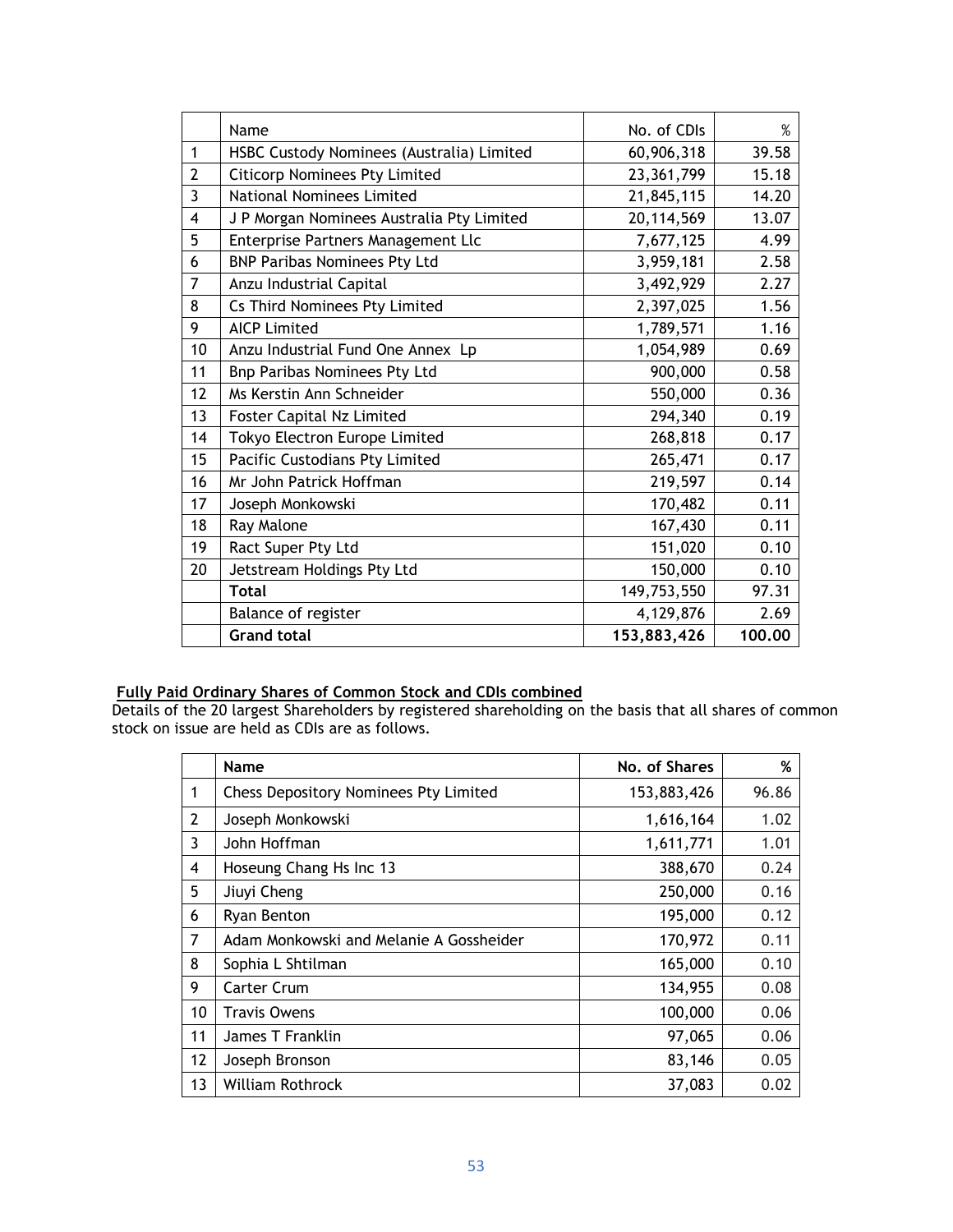|                | Name                                      | No. of CDIs  | %      |
|----------------|-------------------------------------------|--------------|--------|
| $\mathbf{1}$   | HSBC Custody Nominees (Australia) Limited | 60,906,318   | 39.58  |
| $\overline{2}$ | <b>Citicorp Nominees Pty Limited</b>      | 23,361,799   | 15.18  |
| $\overline{3}$ | <b>National Nominees Limited</b>          | 21,845,115   | 14.20  |
| 4              | J P Morgan Nominees Australia Pty Limited | 20, 114, 569 | 13.07  |
| 5              | Enterprise Partners Management Llc        | 7,677,125    | 4.99   |
| 6              | <b>BNP Paribas Nominees Pty Ltd</b>       | 3,959,181    | 2.58   |
| 7              | Anzu Industrial Capital                   | 3,492,929    | 2.27   |
| 8              | Cs Third Nominees Pty Limited             | 2,397,025    | 1.56   |
| 9              | <b>AICP Limited</b>                       | 1,789,571    | 1.16   |
| 10             | Anzu Industrial Fund One Annex Lp         | 1,054,989    | 0.69   |
| 11             | Bnp Paribas Nominees Pty Ltd              | 900,000      | 0.58   |
| 12             | Ms Kerstin Ann Schneider                  | 550,000      | 0.36   |
| 13             | Foster Capital Nz Limited                 | 294,340      | 0.19   |
| 14             | Tokyo Electron Europe Limited             | 268,818      | 0.17   |
| 15             | Pacific Custodians Pty Limited            | 265,471      | 0.17   |
| 16             | Mr John Patrick Hoffman                   | 219,597      | 0.14   |
| 17             | Joseph Monkowski                          | 170,482      | 0.11   |
| 18             | Ray Malone                                | 167,430      | 0.11   |
| 19             | Ract Super Pty Ltd                        | 151,020      | 0.10   |
| 20             | Jetstream Holdings Pty Ltd                | 150,000      | 0.10   |
|                | <b>Total</b>                              | 149,753,550  | 97.31  |
|                | Balance of register                       | 4,129,876    | 2.69   |
|                | <b>Grand total</b>                        | 153,883,426  | 100.00 |

## **Fully Paid Ordinary Shares of Common Stock and CDIs combined**

Details of the 20 largest Shareholders by registered shareholding on the basis that all shares of common stock on issue are held as CDIs are as follows.

|                | <b>Name</b>                                  | No. of Shares | %     |
|----------------|----------------------------------------------|---------------|-------|
| 1              | <b>Chess Depository Nominees Pty Limited</b> | 153,883,426   | 96.86 |
| $\overline{2}$ | Joseph Monkowski                             | 1,616,164     | 1.02  |
| 3              | John Hoffman                                 | 1,611,771     | 1.01  |
| 4              | Hoseung Chang Hs Inc 13                      | 388,670       | 0.24  |
| 5              | Jiuyi Cheng                                  | 250,000       | 0.16  |
| 6              | Ryan Benton                                  | 195,000       | 0.12  |
| 7              | Adam Monkowski and Melanie A Gossheider      | 170,972       | 0.11  |
| 8              | Sophia L Shtilman                            | 165,000       | 0.10  |
| 9              | Carter Crum                                  | 134,955       | 0.08  |
| 10             | Travis Owens                                 | 100,000       | 0.06  |
| 11             | James T Franklin                             | 97,065        | 0.06  |
| 12             | Joseph Bronson                               | 83,146        | 0.05  |
| 13             | <b>William Rothrock</b>                      | 37,083        | 0.02  |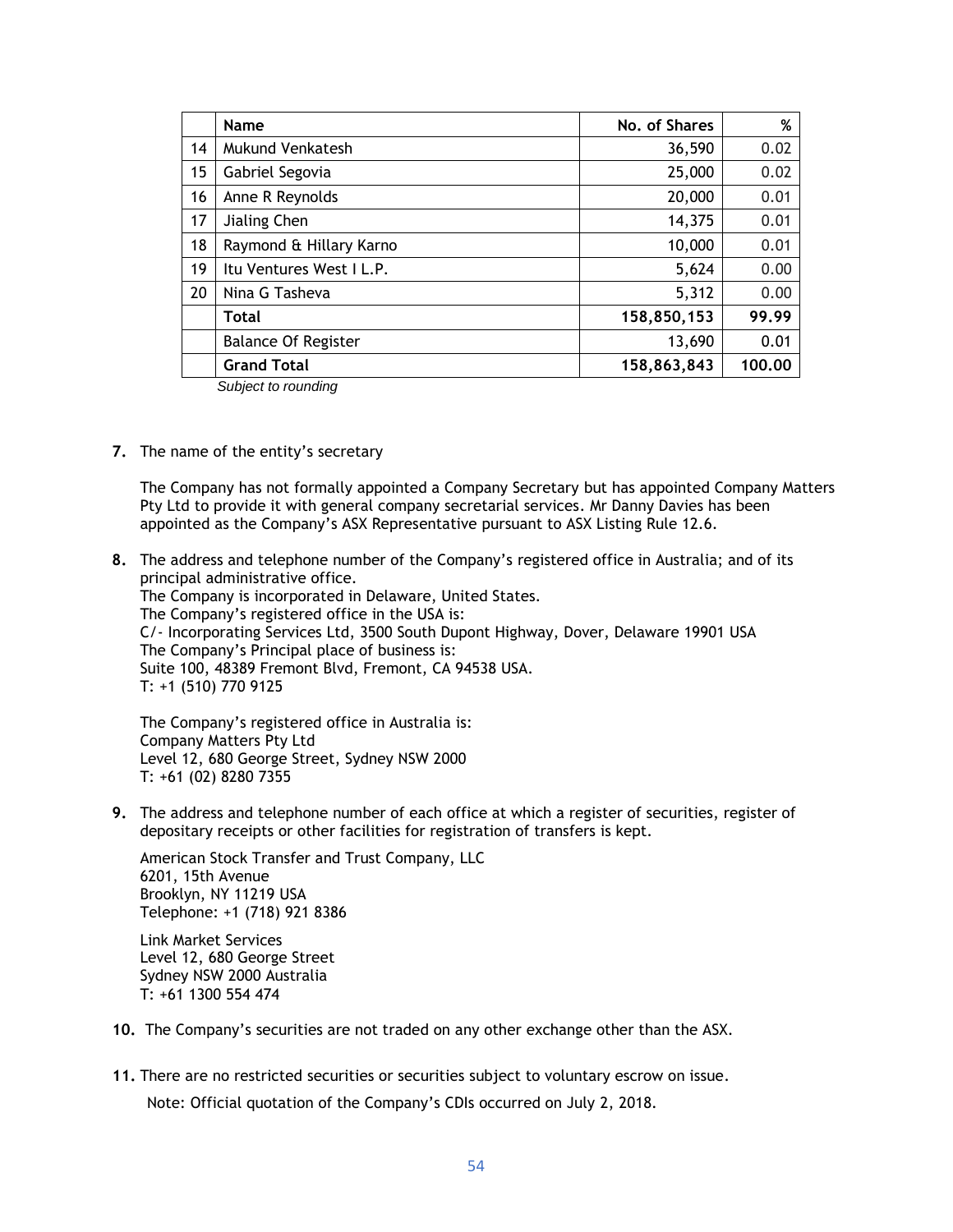|    | Name                       | No. of Shares | %      |
|----|----------------------------|---------------|--------|
| 14 | Mukund Venkatesh           | 36,590        | 0.02   |
| 15 | Gabriel Segovia            | 25,000        | 0.02   |
| 16 | Anne R Reynolds            | 20,000        | 0.01   |
| 17 | Jialing Chen               | 14,375        | 0.01   |
| 18 | Raymond & Hillary Karno    | 10,000        | 0.01   |
| 19 | Itu Ventures West I L.P.   | 5,624         | 0.00   |
| 20 | Nina G Tasheva             | 5,312         | 0.00   |
|    | Total                      | 158,850,153   | 99.99  |
|    | <b>Balance Of Register</b> | 13,690        | 0.01   |
|    | <b>Grand Total</b>         | 158,863,843   | 100.00 |

*Subject to rounding*

**7.** The name of the entity's secretary

The Company has not formally appointed a Company Secretary but has appointed Company Matters Pty Ltd to provide it with general company secretarial services. Mr Danny Davies has been appointed as the Company's ASX Representative pursuant to ASX Listing Rule 12.6.

**8.** The address and telephone number of the Company's registered office in Australia; and of its principal administrative office. The Company is incorporated in Delaware, United States. The Company's registered office in the USA is: C/- Incorporating Services Ltd, 3500 South Dupont Highway, Dover, Delaware 19901 USA The Company's Principal place of business is: Suite 100, 48389 Fremont Blvd, Fremont, CA 94538 USA. T: +1 (510) 770 9125

The Company's registered office in Australia is: Company Matters Pty Ltd Level 12, 680 George Street, Sydney NSW 2000 T: +61 (02) 8280 7355

**9.** The address and telephone number of each office at which a register of securities, register of depositary receipts or other facilities for registration of transfers is kept.

American Stock Transfer and Trust Company, LLC 6201, 15th Avenue Brooklyn, NY 11219 USA Telephone: +1 (718) 921 8386

Link Market Services Level 12, 680 George Street Sydney NSW 2000 Australia T: +61 1300 554 474

- **10.** The Company's securities are not traded on any other exchange other than the ASX.
- **11.** There are no restricted securities or securities subject to voluntary escrow on issue.

Note: Official quotation of the Company's CDIs occurred on July 2, 2018.